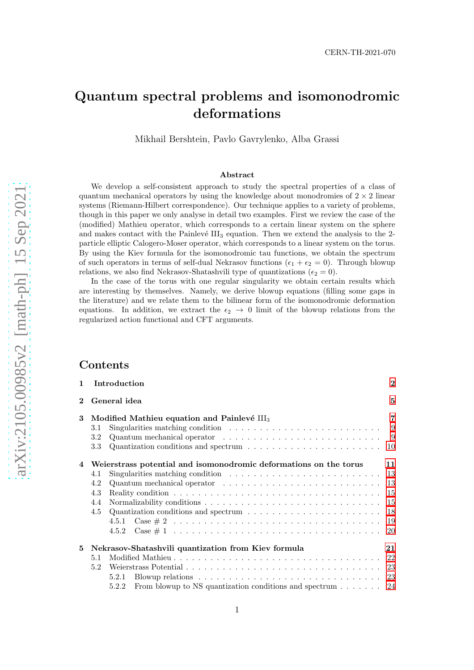# Quantum spectral problems and isomonodromic deformations

Mikhail Bershtein, Pavlo Gavrylenko, Alba Grassi

#### Abstract

We develop a self-consistent approach to study the spectral properties of a class of quantum mechanical operators by using the knowledge about monodromies of  $2 \times 2$  linear systems (Riemann-Hilbert correspondence). Our technique applies to a variety of problems, though in this paper we only analyse in detail two examples. First we review the case of the (modified) Mathieu operator, which corresponds to a certain linear system on the sphere and makes contact with the Painlevé  $III_3$  equation. Then we extend the analysis to the 2particle elliptic Calogero-Moser operator, which corresponds to a linear system on the torus. By using the Kiev formula for the isomonodromic tau functions, we obtain the spectrum of such operators in terms of self-dual Nekrasov functions ( $\epsilon_1 + \epsilon_2 = 0$ ). Through blowup relations, we also find Nekrasov-Shatashvili type of quantizations ( $\epsilon_2 = 0$ ).

In the case of the torus with one regular singularity we obtain certain results which are interesting by themselves. Namely, we derive blowup equations (filling some gaps in the literature) and we relate them to the bilinear form of the isomonodromic deformation equations. In addition, we extract the  $\epsilon_2 \rightarrow 0$  limit of the blowup relations from the regularized action functional and CFT arguments.

### Contents

| $\mathbf{1}$ | Introduction                                                                                                | $\overline{2}$ |  |  |  |  |  |
|--------------|-------------------------------------------------------------------------------------------------------------|----------------|--|--|--|--|--|
| $\bf{2}^-$   | General idea                                                                                                |                |  |  |  |  |  |
| $3^{-}$      | Modified Mathieu equation and Painlevé $III3$                                                               |                |  |  |  |  |  |
|              | Singularities matching condition $\ldots \ldots \ldots \ldots \ldots \ldots \ldots \ldots$ 9<br>3.1         |                |  |  |  |  |  |
|              | Quantum mechanical operator $\dots \dots \dots \dots \dots \dots \dots \dots \dots \dots$<br>3.2            |                |  |  |  |  |  |
|              | 3.3 <sub>1</sub>                                                                                            |                |  |  |  |  |  |
|              | 4 Weierstrass potential and isomonodromic deformations on the torus                                         | 11             |  |  |  |  |  |
|              | Singularities matching condition $\ldots \ldots \ldots \ldots \ldots \ldots \ldots \ldots \ldots$ 13<br>4.1 |                |  |  |  |  |  |
|              | 4.2                                                                                                         |                |  |  |  |  |  |
|              | 4.3                                                                                                         |                |  |  |  |  |  |
|              | 4.4                                                                                                         |                |  |  |  |  |  |
|              | Quantization conditions and spectrum $\ldots \ldots \ldots \ldots \ldots \ldots \ldots \ldots$ 18<br>4.5    |                |  |  |  |  |  |
|              |                                                                                                             |                |  |  |  |  |  |
|              |                                                                                                             |                |  |  |  |  |  |
| 5.           | Nekrasov-Shatashvili quantization from Kiev formula                                                         |                |  |  |  |  |  |
|              | 5.1                                                                                                         |                |  |  |  |  |  |
|              | 5.2                                                                                                         |                |  |  |  |  |  |
|              | Blowup relations $\ldots \ldots \ldots \ldots \ldots \ldots \ldots \ldots \ldots \ldots$<br>5.2.1           |                |  |  |  |  |  |
|              | From blowup to NS quantization conditions and spectrum $\dots \dots$ 24<br>5.2.2                            |                |  |  |  |  |  |
|              |                                                                                                             |                |  |  |  |  |  |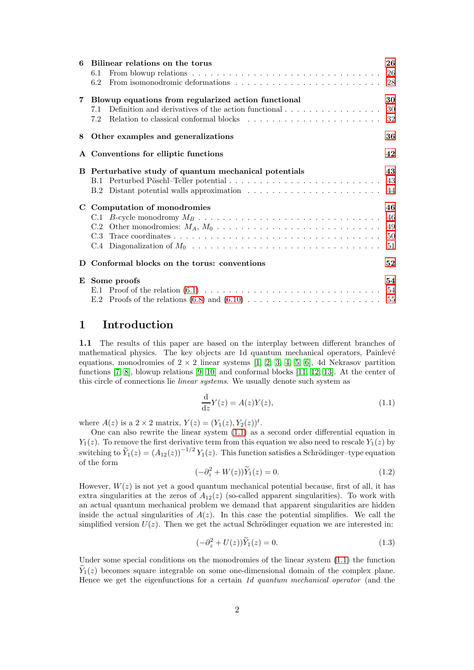| 6 | Bilinear relations on the torus                                                                               | 26 |  |  |  |  |  |
|---|---------------------------------------------------------------------------------------------------------------|----|--|--|--|--|--|
|   | From blowup relations $\ldots \ldots \ldots \ldots \ldots \ldots \ldots \ldots \ldots \ldots \ldots$<br>6.1   |    |  |  |  |  |  |
|   | From isomonodromic deformations $\dots \dots \dots \dots \dots \dots \dots \dots \dots \dots \dots$ 28<br>6.2 |    |  |  |  |  |  |
|   | 7 Blowup equations from regularized action functional                                                         | 30 |  |  |  |  |  |
|   | Definition and derivatives of the action functional $\ldots \ldots \ldots \ldots \ldots$ 30<br>7.1            |    |  |  |  |  |  |
|   | 7.2                                                                                                           |    |  |  |  |  |  |
| 8 | Other examples and generalizations                                                                            | 36 |  |  |  |  |  |
|   | A Conventions for elliptic functions                                                                          | 42 |  |  |  |  |  |
|   | B Perturbative study of quantum mechanical potentials                                                         |    |  |  |  |  |  |
|   |                                                                                                               |    |  |  |  |  |  |
|   |                                                                                                               |    |  |  |  |  |  |
|   | C Computation of monodromies                                                                                  |    |  |  |  |  |  |
|   |                                                                                                               |    |  |  |  |  |  |
|   |                                                                                                               |    |  |  |  |  |  |
|   |                                                                                                               |    |  |  |  |  |  |
|   |                                                                                                               |    |  |  |  |  |  |
|   | D Conformal blocks on the torus: conventions                                                                  | 52 |  |  |  |  |  |
|   | E Some proofs                                                                                                 |    |  |  |  |  |  |
|   |                                                                                                               |    |  |  |  |  |  |
|   |                                                                                                               |    |  |  |  |  |  |

# <span id="page-1-0"></span>1 Introduction

1.1 The results of this paper are based on the interplay between different branches of mathematical physics. The key objects are 1d quantum mechanical operators, Painlevé equations, monodromies of  $2 \times 2$  linear systems [\[1,](#page-55-0) [2,](#page-55-1) [3,](#page-55-2) [4,](#page-55-3) [5,](#page-55-4) [6\]](#page-55-5), 4d Nekrasov partition functions [\[7,](#page-55-6) [8\]](#page-55-7), blowup relations [\[9,](#page-55-8) [10\]](#page-55-9) and conformal blocks [\[11,](#page-55-10) [12,](#page-55-11) [13\]](#page-55-12). At the center of this circle of connections lie linear systems. We usually denote such system as

<span id="page-1-1"></span>
$$
\frac{\mathrm{d}}{\mathrm{d}z}Y(z) = A(z)Y(z),\tag{1.1}
$$

where  $A(z)$  is a  $2 \times 2$  matrix,  $Y(z) = (Y_1(z), Y_2(z))^t$ .

One can also rewrite the linear system [\(1.1\)](#page-1-1) as a second order differential equation in  $Y_1(z)$ . To remove the first derivative term from this equation we also need to rescale  $Y_1(z)$  by switching to  $\widetilde{Y}_1(z) = (A_{12}(z))^{-1/2} Y_1(z)$ . This function satisfies a Schrödinger-type equation of the form

$$
(-\partial_z^2 + W(z))\widetilde{Y}_1(z) = 0.
$$
\n(1.2)

However,  $W(z)$  is not yet a good quantum mechanical potential because, first of all, it has extra singularities at the zeros of  $A_{12}(z)$  (so-called apparent singularities). To work with an actual quantum mechanical problem we demand that apparent singularities are hidden inside the actual singularities of  $A(z)$ . In this case the potential simplifies. We call the simplified version  $U(z)$ . Then we get the actual Schrödinger equation we are interested in:

<span id="page-1-2"></span>
$$
(-\partial_z^2 + U(z))\widetilde{Y}_1(z) = 0.
$$
\n(1.3)

Under some special conditions on the monodromies of the linear system  $(1.1)$  the function  $\tilde{Y}_1(z)$  becomes square integrable on some one-dimensional domain of the complex plane. Hence we get the eigenfunctions for a certain 1d quantum mechanical operator (and the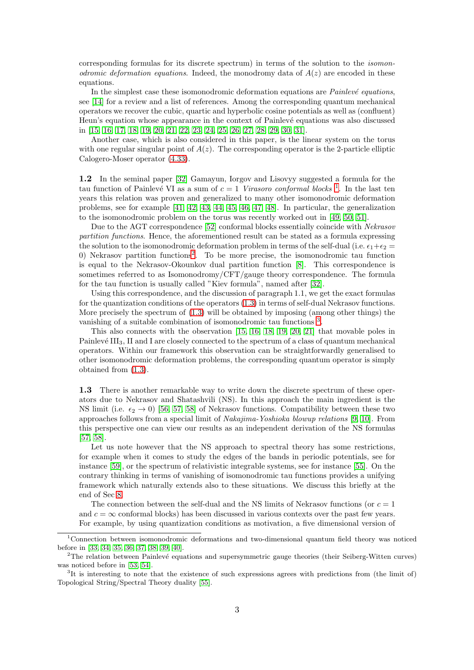corresponding formulas for its discrete spectrum) in terms of the solution to the isomonodromic deformation equations. Indeed, the monodromy data of  $A(z)$  are encoded in these equations.

In the simplest case these isomonodromic deformation equations are  $Painlevé$  equations, see [\[14\]](#page-55-13) for a review and a list of references. Among the corresponding quantum mechanical operators we recover the cubic, quartic and hyperbolic cosine potentials as well as (confluent) Heun's equation whose appearance in the context of Painlevé equations was also discussed in [\[15,](#page-55-14) [16,](#page-55-15) [17,](#page-55-16) [18,](#page-55-17) [19,](#page-55-18) [20,](#page-55-19) [21,](#page-56-0) [22,](#page-56-1) [23,](#page-56-2) [24,](#page-56-3) [25,](#page-56-4) [26,](#page-56-5) [27,](#page-56-6) [28,](#page-56-7) [29,](#page-56-8) [30,](#page-56-9) [31\]](#page-56-10).

Another case, which is also considered in this paper, is the linear system on the torus with one regular singular point of  $A(z)$ . The corresponding operator is the 2-particle elliptic Calogero-Moser operator [\(4.33\)](#page-14-2).

1.2 In the seminal paper [\[32\]](#page-56-11) Gamayun, Iorgov and Lisovyy suggested a formula for the tau function of Painlevé VI as a sum of  $c = 1$  $c = 1$  Virasoro conformal blocks<sup>1</sup>. In the last ten years this relation was proven and generalized to many other isomonodromic deformation problems, see for example [\[41,](#page-56-12) [42,](#page-56-13) [43,](#page-56-14) [44,](#page-57-0) [45,](#page-57-1) [46,](#page-57-2) [47,](#page-57-3) [48\]](#page-57-4). In particular, the generalization to the isomonodromic problem on the torus was recently worked out in [\[49,](#page-57-5) [50,](#page-57-6) [51\]](#page-57-7).

Due to the AGT correspondence [\[52\]](#page-57-8) conformal blocks essentially coincide with Nekrasov partition functions. Hence, the aforementioned result can be stated as a formula expressing the solution to the isomonodromic deformation problem in terms of the self-dual (i.e.  $\epsilon_1+\epsilon_2$ ) 0) Nekrasov partition functions<sup>[2](#page-2-1)</sup>. To be more precise, the isomonodromic tau function is equal to the Nekrasov-Okounkov dual partition function [\[8\]](#page-55-7). This correspondence is sometimes referred to as Isomonodromy/CFT/gauge theory correspondence. The formula for the tau function is usually called "Kiev formula", named after [\[32\]](#page-56-11).

Using this correspondence, and the discussion of paragraph 1.1, we get the exact formulas for the quantization conditions of the operators [\(1.3\)](#page-1-2) in terms of self-dual Nekrasov functions. More precisely the spectrum of [\(1.3\)](#page-1-2) will be obtained by imposing (among other things) the vanishing of a suitable combination of isomonodromic tau functions<sup>[3](#page-2-2)</sup>.

This also connects with the observation [\[15,](#page-55-14) [16,](#page-55-15) [18,](#page-55-17) [19,](#page-55-18) [20,](#page-55-19) [21\]](#page-56-0) that movable poles in Painlevé III<sub>3</sub>, II and I are closely connected to the spectrum of a class of quantum mechanical operators. Within our framework this observation can be straightforwardly generalised to other isomonodromic deformation problems, the corresponding quantum operator is simply obtained from [\(1.3\)](#page-1-2).

1.3 There is another remarkable way to write down the discrete spectrum of these operators due to Nekrasov and Shatashvili (NS). In this approach the main ingredient is the NS limit (i.e.  $\epsilon_2 \rightarrow 0$ ) [\[56,](#page-57-9) [57,](#page-57-10) [58\]](#page-57-11) of Nekrasov functions. Compatibility between these two approaches follows from a special limit of Nakajima-Yoshioka blowup relations [\[9,](#page-55-8) [10\]](#page-55-9). From this perspective one can view our results as an independent derivation of the NS formulas [\[57,](#page-57-10) [58\]](#page-57-11).

Let us note however that the NS approach to spectral theory has some restrictions, for example when it comes to study the edges of the bands in periodic potentials, see for instance [\[59\]](#page-57-12), or the spectrum of relativistic integrable systems, see for instance [\[55\]](#page-57-13). On the contrary thinking in terms of vanishing of isomonodromic tau functions provides a unifying framework which naturally extends also to these situations. We discuss this briefly at the end of Sec [8.](#page-35-0)

The connection between the self-dual and the NS limits of Nekrasov functions (or  $c = 1$ ) and  $c = \infty$  conformal blocks) has been discussed in various contexts over the past few years. For example, by using quantization conditions as motivation, a five dimensional version of

<span id="page-2-0"></span><sup>1</sup>Connection between isomonodromic deformations and two-dimensional quantum field theory was noticed before in [\[33,](#page-56-15) [34,](#page-56-16) [35,](#page-56-17) [36,](#page-56-18) [37,](#page-56-19) [38,](#page-56-20) [39,](#page-56-21) [40\]](#page-56-22).

<span id="page-2-1"></span><sup>&</sup>lt;sup>2</sup>The relation between Painlevé equations and supersymmetric gauge theories (their Seiberg-Witten curves) was noticed before in [\[53,](#page-57-14) [54\]](#page-57-15).

<span id="page-2-2"></span><sup>&</sup>lt;sup>3</sup>It is interesting to note that the existence of such expressions agrees with predictions from (the limit of) Topological String/Spectral Theory duality [\[55\]](#page-57-13).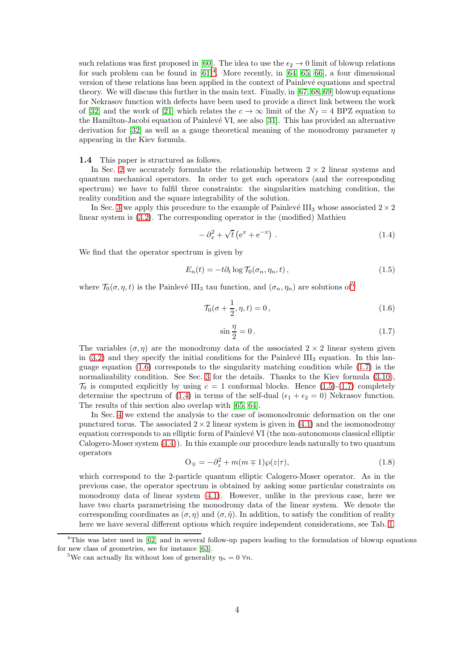such relations was first proposed in [\[60\]](#page-57-16). The idea to use the  $\epsilon_2 \rightarrow 0$  limit of blowup relations for such problem can be found in  $[61]^4$  $[61]^4$ . More recently, in  $[64, 65, 66]$  $[64, 65, 66]$  $[64, 65, 66]$ , a four dimensional version of these relations has been applied in the context of Painlev´e equations and spectral theory. We will discuss this further in the main text. Finally, in [\[67,](#page-58-3) [68,](#page-58-4) [69\]](#page-58-5) blowup equations for Nekrasov function with defects have been used to provide a direct link between the work of [\[32\]](#page-56-11) and the work of [\[21\]](#page-56-0) which relates the  $c \to \infty$  limit of the  $N_f = 4$  BPZ equation to the Hamilton-Jacobi equation of Painlevé VI, see also [\[31\]](#page-56-10). This has provided an alternative derivation for [\[32\]](#page-56-11) as well as a gauge theoretical meaning of the monodromy parameter  $\eta$ appearing in the Kiev formula.

1.4 This paper is structured as follows.

In Sec. [2](#page-4-0) we accurately formulate the relationship between  $2 \times 2$  linear systems and quantum mechanical operators. In order to get such operators (and the corresponding spectrum) we have to fulfil three constraints: the singularities matching condition, the reality condition and the square integrability of the solution.

In Sec. [3](#page-6-0) we apply this procedure to the example of Painlevé III<sub>3</sub> whose associated  $2 \times 2$ linear system is [\(3.2\)](#page-6-1). The corresponding operator is the (modified) Mathieu

<span id="page-3-5"></span>
$$
-\partial_x^2 + \sqrt{t}\left(e^x + e^{-x}\right). \tag{1.4}
$$

We find that the operator spectrum is given by

<span id="page-3-4"></span>
$$
E_n(t) = -t\partial_t \log \mathcal{T}_0(\sigma_n, \eta_n, t), \qquad (1.5)
$$

where  $\mathcal{T}_0(\sigma, \eta, t)$  is the Painlevé III<sub>3</sub> tau function, and  $(\sigma_n, \eta_n)$  are solutions of<sup>[5](#page-3-1)</sup>

<span id="page-3-2"></span>
$$
\mathcal{T}_0(\sigma + \frac{1}{2}, \eta, t) = 0, \qquad (1.6)
$$

<span id="page-3-3"></span>
$$
\sin\frac{\eta}{2} = 0. \tag{1.7}
$$

The variables  $(\sigma, \eta)$  are the monodromy data of the associated  $2 \times 2$  linear system given in  $(3.2)$  and they specify the initial conditions for the Painlevé III<sub>3</sub> equation. In this language equation [\(1.6\)](#page-3-2) corresponds to the singularity matching condition while [\(1.7\)](#page-3-3) is the normalizability condition. See Sec. [3](#page-6-0) for the details. Thanks to the Kiev formula [\(3.10\)](#page-7-0),  $\mathcal{T}_0$  is computed explicitly by using  $c = 1$  conformal blocks. Hence [\(1.5\)](#page-3-4)-[\(1.7\)](#page-3-3) completely determine the spectrum of [\(1.4\)](#page-3-5) in terms of the self-dual ( $\epsilon_1 + \epsilon_2 = 0$ ) Nekrasov function. The results of this section also overlap with [\[65,](#page-58-1) [64\]](#page-58-0).

In Sec. [4](#page-10-0) we extend the analysis to the case of isomonodromic deformation on the one punctured torus. The associated  $2 \times 2$  linear system is given in [\(4.1\)](#page-10-1) and the isomonodromy equation corresponds to an elliptic form of Painlevé VI (the non-autonomous classical elliptic Calogero-Moser system [\(4.4\)](#page-10-2)). In this example our procedure leads naturally to two quantum operators

<span id="page-3-6"></span>
$$
O_{\mp} = -\partial_z^2 + m(m \mp 1)\wp(z|\tau),\tag{1.8}
$$

which correspond to the 2-particle quantum elliptic Calogero-Moser operator. As in the previous case, the operator spectrum is obtained by asking some particular constraints on monodromy data of linear system  $(4.1)$ . However, unlike in the previous case, here we have two charts parametrising the monodromy data of the linear system. We denote the corresponding coordinates as  $(\sigma, \eta)$  and  $(\sigma, \tilde{\eta})$ . In addition, to satisfy the condition of reality here we have several different options which require independent considerations, see Tab. [1.](#page-14-3)

<sup>&</sup>lt;sup>4</sup>This was later used in [\[62\]](#page-57-18) and in several follow-up papers leading to the formulation of blowup equations for new class of geometries, see for instance [\[63\]](#page-57-19).

<span id="page-3-1"></span><span id="page-3-0"></span><sup>&</sup>lt;sup>5</sup>We can actually fix without loss of generality  $\eta_n = 0 \ \forall n$ .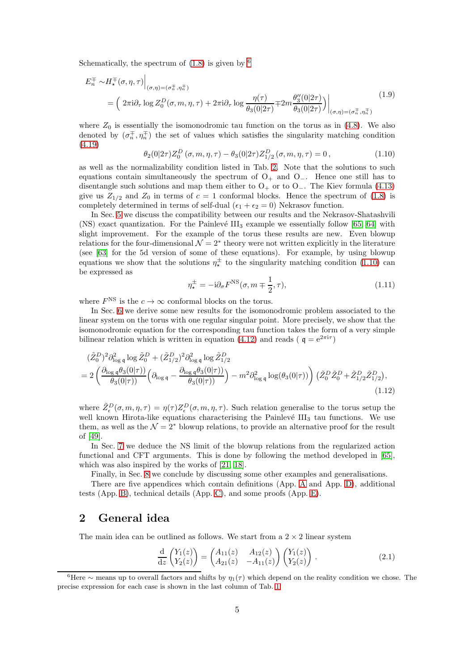Schematically, the spectrum of  $(1.8)$  is given by  $<sup>6</sup>$  $<sup>6</sup>$  $<sup>6</sup>$ </sup>

$$
E_n^{\pm} \sim H_\star^{\pm}(\sigma, \eta, \tau) \Big|_{(\sigma, \eta) = (\sigma_n^{\pm}, \eta_n^{\pm})} = \left(2\pi i \partial_\tau \log Z_0^D(\sigma, m, \eta, \tau) + 2\pi i \partial_\tau \log \frac{\eta(\tau)}{\theta_3(0|2\tau)} \mp 2m \frac{\theta_3''(0|2\tau)}{\theta_3(0|2\tau)}\right) \Big|_{(\sigma, \eta) = (\sigma_n^{\pm}, \eta_n^{\pm})}
$$
(1.9)

where  $Z_0$  is essentially the isomonodromic tau function on the torus as in [\(4.8\)](#page-11-0). We also denoted by  $(\sigma_n^{\pm}, \eta_n^{\pm})$  the set of values which satisfies the singularity matching condition [\(4.19\)](#page-12-2)

<span id="page-4-2"></span>
$$
\theta_2(0|2\tau)Z_0^D(\sigma, m, \eta, \tau) - \theta_3(0|2\tau)Z_{1/2}^D(\sigma, m, \eta, \tau) = 0, \qquad (1.10)
$$

as well as the normalizability condition listed in Tab. [2.](#page-17-1) Note that the solutions to such equations contain simultaneously the spectrum of  $O_+$  and  $O_-$ . Hence one still has to disentangle such solutions and map them either to  $O_+$  or to  $O_-$ . The Kiev formula [\(4.13\)](#page-11-1) give us  $Z_{1/2}$  and  $Z_0$  in terms of  $c = 1$  conformal blocks. Hence the spectrum of [\(1.8\)](#page-3-6) is completely determined in terms of self-dual ( $\epsilon_1 + \epsilon_2 = 0$ ) Nekrasov function.

In Sec. [5](#page-20-0) we discuss the compatibility between our results and the Nekrasov-Shatashvili (NS) exact quantization. For the Painlevé  $III_3$  example we essentially follow [\[65,](#page-58-1) [64\]](#page-58-0) with slight improvement. For the example of the torus these results are new. Even blowup relations for the four-dimensional  $\mathcal{N} = 2^*$  theory were not written explicitly in the literature (see [\[63\]](#page-57-19) for the 5d version of some of these equations). For example, by using blowup equations we show that the solutions  $\eta_{\star}^{\pm}$  to the singularity matching condition [\(1.10\)](#page-4-2) can be expressed as

$$
\eta_{\star}^{\pm} = -\mathrm{i}\partial_{\sigma} F^{\mathrm{NS}}(\sigma, m \mp \frac{1}{2}, \tau),\tag{1.11}
$$

where  $F^{\text{NS}}$  is the  $c \to \infty$  conformal blocks on the torus.

In Sec. [6](#page-25-0) we derive some new results for the isomonodromic problem associated to the linear system on the torus with one regular singular point. More precisely, we show that the isomonodromic equation for the corresponding tau function takes the form of a very simple bilinear relation which is written in equation [\(4.12\)](#page-11-2) and reads ( $q = e^{2\pi i \tau}$ )

$$
(\tilde{Z}_{0}^{D})^{2} \partial_{\log q}^{2} \log \tilde{Z}_{0}^{D} + (\tilde{Z}_{1/2}^{D})^{2} \partial_{\log q}^{2} \log \tilde{Z}_{1/2}^{D}
$$
  
= 
$$
2 \left( \frac{\partial_{\log q} \theta_{3}(0|\tau)}{\theta_{3}(0|\tau)} \left( \partial_{\log q} - \frac{\partial_{\log q} \theta_{3}(0|\tau)}{\theta_{3}(0|\tau)} \right) - m^{2} \partial_{\log q}^{2} \log(\theta_{3}(0|\tau)) \right) (\tilde{Z}_{0}^{D} \tilde{Z}_{0}^{D} + \tilde{Z}_{1/2}^{D} \tilde{Z}_{1/2}^{D}),
$$
\n(1.12)

where  $\tilde{Z}_{\epsilon}^D(\sigma,m,\eta,\tau) = \eta(\tau)Z_{\epsilon}^D(\sigma,m,\eta,\tau)$ . Such relation generalise to the torus setup the well known Hirota-like equations characterising the Painlevé  $III<sub>3</sub>$  tau functions. We use them, as well as the  $\mathcal{N} = 2^*$  blowup relations, to provide an alternative proof for the result of [\[49\]](#page-57-5).

In Sec. [7](#page-29-0) we deduce the NS limit of the blowup relations from the regularized action functional and CFT arguments. This is done by following the method developed in [\[65\]](#page-58-1), which was also inspired by the works of [\[21,](#page-56-0) [18\]](#page-55-17).

Finally, in Sec. [8](#page-35-0) we conclude by discussing some other examples and generalisations.

There are five appendices which contain definitions (App. [A](#page-41-0) and App. [D\)](#page-51-0), additional tests (App. [B\)](#page-42-0), technical details (App. [C\)](#page-45-0), and some proofs (App. [E\)](#page-53-0).

### <span id="page-4-0"></span>2 General idea

The main idea can be outlined as follows. We start from a  $2 \times 2$  linear system

<span id="page-4-3"></span>
$$
\frac{\mathrm{d}}{\mathrm{d}z} \begin{pmatrix} Y_1(z) \\ Y_2(z) \end{pmatrix} = \begin{pmatrix} A_{11}(z) & A_{12}(z) \\ A_{21}(z) & -A_{11}(z) \end{pmatrix} \begin{pmatrix} Y_1(z) \\ Y_2(z) \end{pmatrix} . \tag{2.1}
$$

<span id="page-4-1"></span> $6$ Here ∼ means up to overall factors and shifts by  $\eta_1(\tau)$  which depend on the reality condition we chose. The precise expression for each case is shown in the last column of Tab. [1](#page-14-3)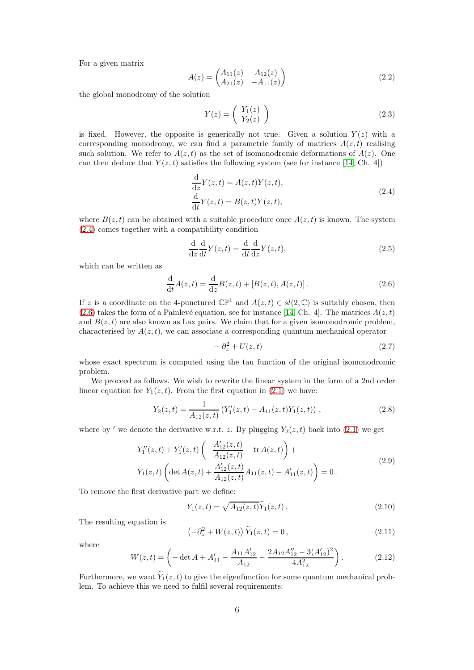For a given matrix

$$
A(z) = \begin{pmatrix} A_{11}(z) & A_{12}(z) \\ A_{21}(z) & -A_{11}(z) \end{pmatrix}
$$
 (2.2)

the global monodromy of the solution

$$
Y(z) = \begin{pmatrix} Y_1(z) \\ Y_2(z) \end{pmatrix}
$$
 (2.3)

is fixed. However, the opposite is generically not true. Given a solution  $Y(z)$  with a corresponding monodromy, we can find a parametric family of matrices  $A(z, t)$  realising such solution. We refer to  $A(z, t)$  as the set of isomonodromic deformations of  $A(z)$ . One can then deduce that  $Y(z, t)$  satisfies the following system (see for instance [\[14,](#page-55-13) Ch. 4])

<span id="page-5-0"></span>
$$
\frac{\mathrm{d}}{\mathrm{d}z}Y(z,t) = A(z,t)Y(z,t),
$$
\n
$$
\frac{\mathrm{d}}{\mathrm{d}t}Y(z,t) = B(z,t)Y(z,t),
$$
\n(2.4)

where  $B(z, t)$  can be obtained with a suitable procedure once  $A(z, t)$  is known. The system [\(2.4\)](#page-5-0) comes together with a compatibility condition

$$
\frac{\mathrm{d}}{\mathrm{d}z}\frac{\mathrm{d}}{\mathrm{d}t}Y(z,t) = \frac{\mathrm{d}}{\mathrm{d}t}\frac{\mathrm{d}}{\mathrm{d}z}Y(z,t),\tag{2.5}
$$

which can be written as

<span id="page-5-1"></span>
$$
\frac{d}{dt}A(z,t) = \frac{d}{dz}B(z,t) + [B(z,t), A(z,t)].
$$
\n(2.6)

If z is a coordinate on the 4-punctured  $\mathbb{CP}^1$  and  $A(z, t) \in sl(2, \mathbb{C})$  is suitably chosen, then  $(2.6)$  takes the form of a Painlevé equation, see for instance [\[14,](#page-55-13) Ch. 4]. The matrices  $A(z, t)$ and  $B(z, t)$  are also known as Lax pairs. We claim that for a given isomonodromic problem, characterised by  $A(z, t)$ , we can associate a corresponding quantum mechanical operator

$$
-\partial_z^2 + U(z,t) \tag{2.7}
$$

whose exact spectrum is computed using the tau function of the original isomonodromic problem.

We proceed as follows. We wish to rewrite the linear system in the form of a 2nd order linear equation for  $Y_1(z, t)$ . From the first equation in [\(2.1\)](#page-4-3) we have:

$$
Y_2(z,t) = \frac{1}{A_{12}(z,t)} \left( Y_1'(z,t) - A_{11}(z,t) Y_1(z,t) \right) ,\qquad (2.8)
$$

where by ' we denote the derivative w.r.t. z. By plugging  $Y_2(z, t)$  back into [\(2.1\)](#page-4-3) we get

$$
Y''_1(z,t) + Y'_1(z,t) \left( -\frac{A'_{12}(z,t)}{A_{12}(z,t)} - \text{tr } A(z,t) \right) +
$$
  
\n
$$
Y_1(z,t) \left( \det A(z,t) + \frac{A'_{12}(z,t)}{A_{12}(z,t)} A_{11}(z,t) - A'_{11}(z,t) \right) = 0.
$$
\n(2.9)

To remove the first derivative part we define:

<span id="page-5-2"></span>
$$
Y_1(z,t) = \sqrt{A_{12}(z,t)} \tilde{Y}_1(z,t).
$$
 (2.10)

The resulting equation is

<span id="page-5-3"></span>
$$
\left(-\partial_z^2 + W(z,t)\right)\widetilde{Y}_1(z,t) = 0\,,\tag{2.11}
$$

where

<span id="page-5-4"></span>
$$
W(z,t) = \left(-\det A + A'_{11} - \frac{A_{11}A'_{12}}{A_{12}} - \frac{2A_{12}A''_{12} - 3(A'_{12})^2}{4A_{12}^2}\right).
$$
 (2.12)

Furthermore, we want  $\widetilde{Y}_1(z,t)$  to give the eigenfunction for some quantum mechanical problem. To achieve this we need to fulfil several requirements: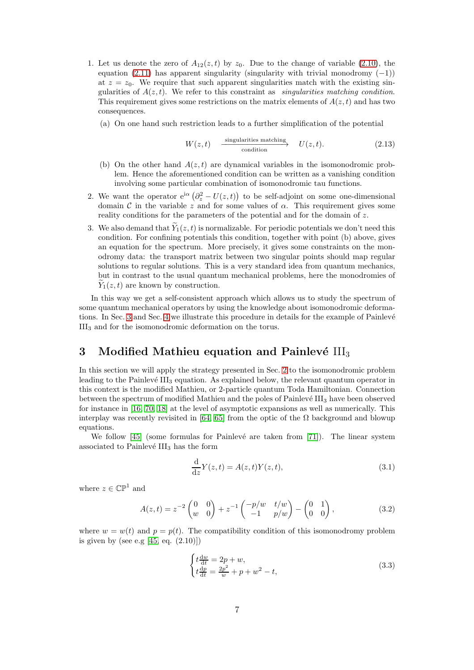- 1. Let us denote the zero of  $A_{12}(z, t)$  by  $z_0$ . Due to the change of variable [\(2.10\)](#page-5-2), the equation [\(2.11\)](#page-5-3) has apparent singularity (singularity with trivial monodromy  $(-1)$ ) at  $z = z_0$ . We require that such apparent singularities match with the existing singularities of  $A(z, t)$ . We refer to this constraint as *singularities matching condition*. This requirement gives some restrictions on the matrix elements of  $A(z, t)$  and has two consequences.
	- (a) On one hand such restriction leads to a further simplification of the potential

$$
W(z,t) \xrightarrow{\text{ singularities matching}} U(z,t). \tag{2.13}
$$

- (b) On the other hand  $A(z, t)$  are dynamical variables in the isomonodromic problem. Hence the aforementioned condition can be written as a vanishing condition involving some particular combination of isomonodromic tau functions.
- 2. We want the operator  $e^{i\alpha} (\partial_z^2 U(z, t))$  to be self-adjoint on some one-dimensional domain C in the variable z and for some values of  $\alpha$ . This requirement gives some reality conditions for the parameters of the potential and for the domain of z.
- 3. We also demand that  $\widetilde{Y}_1(z,t)$  is normalizable. For periodic potentials we don't need this condition. For confining potentials this condition, together with point (b) above, gives an equation for the spectrum. More precisely, it gives some constraints on the monodromy data: the transport matrix between two singular points should map regular solutions to regular solutions. This is a very standard idea from quantum mechanics, but in contrast to the usual quantum mechanical problems, here the monodromies of  $Y_1(z, t)$  are known by construction.

In this way we get a self-consistent approach which allows us to study the spectrum of some quantum mechanical operators by using the knowledge about isomonodromic deforma-tions. In Sec. [3](#page-6-0) and Sec. [4](#page-10-0) we illustrate this procedure in details for the example of Painlevé III<sup>3</sup> and for the isomonodromic deformation on the torus.

# <span id="page-6-0"></span>3 Modified Mathieu equation and Painlevé  $III<sub>3</sub>$

In this section we will apply the strategy presented in Sec. [2](#page-4-0) to the isomonodromic problem leading to the Painlevé  $III_3$  equation. As explained below, the relevant quantum operator in this context is the modified Mathieu, or 2-particle quantum Toda Hamiltonian. Connection between the spectrum of modified Mathieu and the poles of Painlevé  $III<sub>3</sub>$  have been observed for instance in [\[16,](#page-55-15) [70,](#page-58-6) [18\]](#page-55-17) at the level of asymptotic expansions as well as numerically. This interplay was recently revisited in [\[64,](#page-58-0) [65\]](#page-58-1) from the optic of the  $\Omega$  background and blowup equations.

We follow  $[45]$  (some formulas for Painlevé are taken from [\[71\]](#page-58-7)). The linear system associated to Painlevé  $\rm III_3$  has the form

<span id="page-6-2"></span><span id="page-6-1"></span>
$$
\frac{\mathrm{d}}{\mathrm{d}z}Y(z,t) = A(z,t)Y(z,t),\tag{3.1}
$$

where  $z \in \mathbb{CP}^1$  and

$$
A(z,t) = z^{-2} \begin{pmatrix} 0 & 0 \\ w & 0 \end{pmatrix} + z^{-1} \begin{pmatrix} -p/w & t/w \\ -1 & p/w \end{pmatrix} - \begin{pmatrix} 0 & 1 \\ 0 & 0 \end{pmatrix},
$$
(3.2)

where  $w = w(t)$  and  $p = p(t)$ . The compatibility condition of this isomonodromy problem is given by (see e.g  $[45, \text{ eq. } (2.10)]$ )

<span id="page-6-3"></span>
$$
\begin{cases}\nt\frac{dw}{dt} = 2p + w, \\
t\frac{dp}{dt} = \frac{2p^2}{w} + p + w^2 - t,\n\end{cases} (3.3)
$$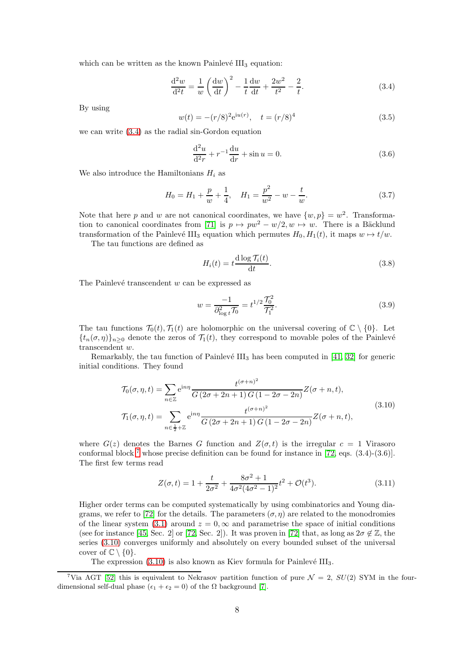which can be written as the known Painlevé  $III<sub>3</sub>$  equation:

<span id="page-7-1"></span>
$$
\frac{d^2w}{d^2t} = \frac{1}{w} \left(\frac{dw}{dt}\right)^2 - \frac{1}{t}\frac{dw}{dt} + \frac{2w^2}{t^2} - \frac{2}{t}.
$$
 (3.4)

By using

$$
w(t) = -(r/8)^2 e^{iu(r)}, \quad t = (r/8)^4
$$
\n(3.5)

we can write [\(3.4\)](#page-7-1) as the radial sin-Gordon equation

<span id="page-7-5"></span>
$$
\frac{d^2u}{d^2r} + r^{-1}\frac{du}{dr} + \sin u = 0.
$$
 (3.6)

We also introduce the Hamiltonians  $H_i$  as

$$
H_0 = H_1 + \frac{p}{w} + \frac{1}{4}, \quad H_1 = \frac{p^2}{w^2} - w - \frac{t}{w}.
$$
 (3.7)

Note that here p and w are not canonical coordinates, we have  $\{w, p\} = w^2$ . Transforma-tion to canonical coordinates from [\[71\]](#page-58-7) is  $p \mapsto pw^2 - w/2, w \mapsto w$ . There is a Bäcklund transformation of the Painlevé III<sub>3</sub> equation which permutes  $H_0, H_1(t)$ , it maps  $w \mapsto t/w$ .

The tau functions are defined as

<span id="page-7-4"></span>
$$
H_i(t) = t \frac{d \log \mathcal{T}_i(t)}{dt}.
$$
\n(3.8)

The Painlevé transcendent  $w$  can be expressed as

<span id="page-7-3"></span>
$$
w = \frac{-1}{\partial_{\log t}^2 \mathcal{T}_0} = t^{1/2} \frac{\mathcal{T}_0^2}{\mathcal{T}_1^2}.
$$
\n(3.9)

The tau functions  $\mathcal{T}_0(t), \mathcal{T}_1(t)$  are holomorphic on the universal covering of  $\mathbb{C} \setminus \{0\}$ . Let  $\{t_n(\sigma,\eta)\}_n>0$  denote the zeros of  $\mathcal{T}_1(t)$ , they correspond to movable poles of the Painlevé transcendent w.

Remarkably, the tau function of Painlevé  $III<sub>3</sub>$  has been computed in [\[41,](#page-56-12) [32\]](#page-56-11) for generic initial conditions. They found

<span id="page-7-0"></span>
$$
\mathcal{T}_{0}(\sigma,\eta,t) = \sum_{n\in\mathbb{Z}} e^{in\eta} \frac{t^{(\sigma+n)^{2}}}{G(2\sigma+2n+1)G(1-2\sigma-2n)} Z(\sigma+n,t),
$$
\n
$$
\mathcal{T}_{1}(\sigma,\eta,t) = \sum_{n\in\frac{1}{2}+\mathbb{Z}} e^{in\eta} \frac{t^{(\sigma+n)^{2}}}{G(2\sigma+2n+1)G(1-2\sigma-2n)} Z(\sigma+n,t),
$$
\n(3.10)

where  $G(z)$  denotes the Barnes G function and  $Z(\sigma, t)$  is the irregular  $c = 1$  Virasoro conformal block  $^7$  $^7$  whose precise definition can be found for instance in [\[72,](#page-58-8) eqs. (3.4)-(3.6)]. The first few terms read

<span id="page-7-6"></span>
$$
Z(\sigma, t) = 1 + \frac{t}{2\sigma^2} + \frac{8\sigma^2 + 1}{4\sigma^2(4\sigma^2 - 1)^2}t^2 + \mathcal{O}(t^3).
$$
 (3.11)

Higher order terms can be computed systematically by using combinatorics and Young dia-grams, we refer to [\[72\]](#page-58-8) for the details. The parameters  $(\sigma, \eta)$  are related to the monodromies of the linear system [\(3.1\)](#page-6-2) around  $z = 0$ ,  $\infty$  and parametrise the space of initial conditions (see for instance [\[45,](#page-57-1) Sec. 2] or [\[72,](#page-58-8) Sec. 2]). It was proven in [\[72\]](#page-58-8) that, as long as  $2\sigma \notin \mathbb{Z}$ , the series [\(3.10\)](#page-7-0) converges uniformly and absolutely on every bounded subset of the universal cover of  $\mathbb{C} \setminus \{0\}.$ 

The expression  $(3.10)$  is also known as Kiev formula for Painlevé III<sub>3</sub>.

<span id="page-7-2"></span><sup>&</sup>lt;sup>7</sup>Via AGT [\[52\]](#page-57-8) this is equivalent to Nekrasov partition function of pure  $\mathcal{N} = 2$ ,  $SU(2)$  SYM in the fourdimensional self-dual phase  $(\epsilon_1 + \epsilon_2 = 0)$  of the  $\Omega$  background [\[7\]](#page-55-6).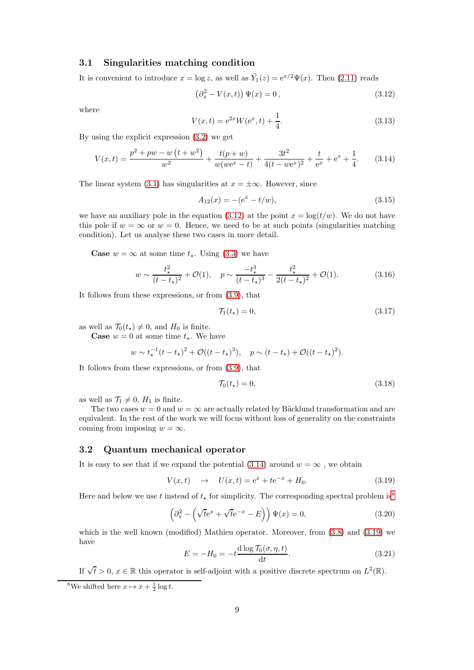#### <span id="page-8-0"></span>3.1 Singularities matching condition

It is convenient to introduce  $x = \log z$ , as well as  $\tilde{Y}_1(z) = e^{x/2} \Psi(x)$ . Then [\(2.11\)](#page-5-3) reads

<span id="page-8-2"></span>
$$
\left(\partial_x^2 - V(x,t)\right)\Psi(x) = 0\,,\tag{3.12}
$$

where

$$
V(x,t) = e^{2x}W(e^x, t) + \frac{1}{4}.
$$
\n(3.13)

By using the explicit expression [\(3.2\)](#page-6-1) we get

<span id="page-8-3"></span>
$$
V(x,t) = \frac{p^2 + pw - w(t + w^2)}{w^2} + \frac{t(p+w)}{w(we^x - t)} + \frac{3t^2}{4(t - we^x)^2} + \frac{t}{e^x} + e^x + \frac{1}{4}.
$$
 (3.14)

The linear system [\(3.1\)](#page-6-2) has singularities at  $x = \pm \infty$ . However, since

$$
A_{12}(x) = -(e^x - t/w), \tag{3.15}
$$

we have an auxiliary pole in the equation [\(3.12\)](#page-8-2) at the point  $x = \log(t/w)$ . We do not have this pole if  $w = \infty$  or  $w = 0$ . Hence, we need to be at such points (singularities matching condition). Let us analyse these two cases in more detail.

**Case**  $w = \infty$  at some time  $t_{\star}$ . Using [\(3.3\)](#page-6-3) we have

$$
w \sim \frac{t_{\star}^2}{(t - t_{\star})^2} + \mathcal{O}(1), \quad p \sim \frac{-t_{\star}^3}{(t - t_{\star})^3} - \frac{t_{\star}^2}{2(t - t_{\star})^2} + \mathcal{O}(1). \tag{3.16}
$$

It follows from these expressions, or from [\(3.9\)](#page-7-3), that

<span id="page-8-7"></span>
$$
\mathcal{T}_1(t_\star) = 0,\tag{3.17}
$$

as well as  $\mathcal{T}_0(t_\star) \neq 0$ , and  $H_0$  is finite.

**Case**  $w = 0$  at some time  $t_{\star}$ . We have

$$
w \sim t_{\star}^{-1}(t - t_{\star})^2 + \mathcal{O}((t - t_{\star})^3), \quad p \sim (t - t_{\star}) + \mathcal{O}((t - t_{\star})^2).
$$

It follows from these expressions, or from [\(3.9\)](#page-7-3), that

$$
\mathcal{T}_0(t_\star) = 0,\tag{3.18}
$$

as well as  $\mathcal{T}_1 \neq 0$ ,  $H_1$  is finite.

The two cases  $w = 0$  and  $w = \infty$  are actually related by Bäcklund transformation and are equivalent. In the rest of the work we will focus without loss of generality on the constraints coming from imposing  $w = \infty$ .

#### <span id="page-8-1"></span>3.2 Quantum mechanical operator

It is easy to see that if we expand the potential  $(3.14)$  around  $w = \infty$ , we obtain

<span id="page-8-5"></span>
$$
V(x,t) \to U(x,t) = e^x + te^{-x} + H_0.
$$
 (3.19)

Here and below we use t instead of  $t_{\star}$  for simplicity. The corresponding spectral problem is<sup>[8](#page-8-4)</sup>

<span id="page-8-6"></span>
$$
\left(\partial_x^2 - \left(\sqrt{t}e^x + \sqrt{t}e^{-x} - E\right)\right)\Psi(x) = 0,\tag{3.20}
$$

which is the well known (modified) Mathieu operator. Moreover, from  $(3.8)$  and  $(3.19)$  we have

<span id="page-8-8"></span>
$$
E = -H_0 = -t \frac{\mathrm{d}\log \mathcal{T}_0(\sigma, \eta, t)}{\mathrm{d}t}.
$$
\n(3.21)

If  $\sqrt{t} > 0$ ,  $x \in \mathbb{R}$  this operator is self-adjoint with a positive discrete spectrum on  $L^2(\mathbb{R})$ .

<span id="page-8-4"></span><sup>&</sup>lt;sup>8</sup>We shifted here  $x \mapsto x + \frac{1}{2} \log t$ .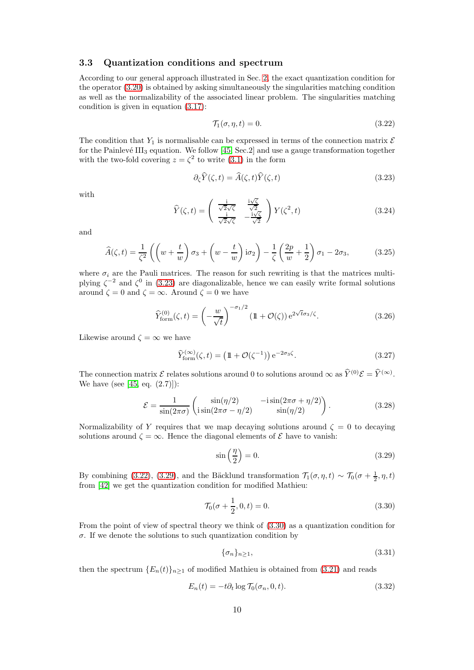### <span id="page-9-0"></span>3.3 Quantization conditions and spectrum

According to our general approach illustrated in Sec. [2,](#page-4-0) the exact quantization condition for the operator [\(3.20\)](#page-8-6) is obtained by asking simultaneously the singularities matching condition as well as the normalizability of the associated linear problem. The singularities matching condition is given in equation [\(3.17\)](#page-8-7):

<span id="page-9-2"></span>
$$
\mathcal{T}_1(\sigma, \eta, t) = 0. \tag{3.22}
$$

The condition that  $Y_1$  is normalisable can be expressed in terms of the connection matrix  $\mathcal E$ for the Painlevé III<sub>3</sub> equation. We follow [\[45,](#page-57-1) Sec.2] and use a gauge transformation together with the two-fold covering  $z = \zeta^2$  to write [\(3.1\)](#page-6-2) in the form

 $\mathbb{R}^2$ 

<span id="page-9-1"></span>
$$
\partial_{\zeta}\widehat{Y}(\zeta,t) = \widehat{A}(\zeta,t)\widehat{Y}(\zeta,t)
$$
\n(3.23)

with

$$
\widehat{Y}(\zeta,t) = \begin{pmatrix} \frac{\mathrm{i}}{\sqrt{2}\sqrt{\zeta}} & \frac{\mathrm{i}\sqrt{\zeta}}{\sqrt{2}}\\ \frac{\mathrm{i}}{\sqrt{2}\sqrt{\zeta}} & -\frac{\mathrm{i}\sqrt{\zeta}}{\sqrt{2}} \end{pmatrix} Y(\zeta^2,t) \tag{3.24}
$$

and

$$
\widehat{A}(\zeta, t) = \frac{1}{\zeta^2} \left( \left( w + \frac{t}{w} \right) \sigma_3 + \left( w - \frac{t}{w} \right) i \sigma_2 \right) - \frac{1}{\zeta} \left( \frac{2p}{w} + \frac{1}{2} \right) \sigma_1 - 2\sigma_3, \tag{3.25}
$$

where  $\sigma_i$  are the Pauli matrices. The reason for such rewriting is that the matrices multiplying  $\zeta^{-2}$  and  $\zeta^{0}$  in [\(3.23\)](#page-9-1) are diagonalizable, hence we can easily write formal solutions around  $\zeta = 0$  and  $\zeta = \infty$ . Around  $\zeta = 0$  we have

$$
\widehat{Y}_{\text{form}}^{(0)}(\zeta,t) = \left(-\frac{w}{\sqrt{t}}\right)^{-\sigma_1/2} \left(\mathbb{1} + \mathcal{O}(\zeta)\right) e^{2\sqrt{t}\sigma_3/\zeta}.\tag{3.26}
$$

Likewise around  $\zeta = \infty$  we have

$$
\widehat{Y}_{\text{form}}^{(\infty)}(\zeta, t) = \left(\mathbb{1} + \mathcal{O}(\zeta^{-1})\right) e^{-2\sigma_3 \zeta}.\tag{3.27}
$$

The connection matrix  $\mathcal{E}$  relates solutions around 0 to solutions around  $\infty$  as  $\widehat{Y}^{(0)}\mathcal{E} = \widehat{Y}^{(\infty)}$ . We have (see [\[45,](#page-57-1) eq.  $(2.7)$ ]):

$$
\mathcal{E} = \frac{1}{\sin(2\pi\sigma)} \begin{pmatrix} \sin(\eta/2) & -i\sin(2\pi\sigma + \eta/2) \\ i\sin(2\pi\sigma - \eta/2) & \sin(\eta/2) \end{pmatrix}.
$$
 (3.28)

Normalizability of Y requires that we map decaying solutions around  $\zeta = 0$  to decaying solutions around  $\zeta = \infty$ . Hence the diagonal elements of  $\mathcal E$  have to vanish:

<span id="page-9-3"></span>
$$
\sin\left(\frac{\eta}{2}\right) = 0.\tag{3.29}
$$

By combining [\(3.22\)](#page-9-2), [\(3.29\)](#page-9-3), and the Bäcklund transformation  $\mathcal{T}_1(\sigma, \eta, t) \sim \mathcal{T}_0(\sigma + \frac{1}{2}, \eta, t)$ from [\[42\]](#page-56-13) we get the quantization condition for modified Mathieu:

<span id="page-9-4"></span>
$$
\mathcal{T}_0(\sigma + \frac{1}{2}, 0, t) = 0.
$$
\n(3.30)

From the point of view of spectral theory we think of [\(3.30\)](#page-9-4) as a quantization condition for  $\sigma$ . If we denote the solutions to such quantization condition by

$$
\{\sigma_n\}_{n\geq 1},\tag{3.31}
$$

then the spectrum  ${E_n(t)}_{n>1}$  of modified Mathieu is obtained from [\(3.21\)](#page-8-8) and reads

<span id="page-9-5"></span>
$$
E_n(t) = -t\partial_t \log \mathcal{T}_0(\sigma_n, 0, t). \tag{3.32}
$$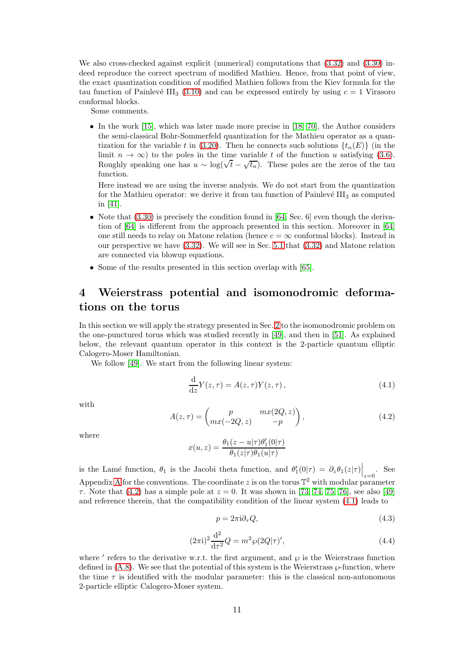We also cross-checked against explicit (numerical) computations that [\(3.32\)](#page-9-5) and [\(3.30\)](#page-9-4) indeed reproduce the correct spectrum of modified Mathieu. Hence, from that point of view, the exact quantization condition of modified Mathieu follows from the Kiev formula for the tau function of Painlevé III<sub>3</sub> [\(3.10\)](#page-7-0) and can be expressed entirely by using  $c = 1$  Virasoro conformal blocks.

Some comments.

• In the work  $[15]$ , which was later made more precise in  $[18, 70]$  $[18, 70]$ , the Author considers the semi-classical Bohr-Sommerfeld quantization for the Mathieu operator as a quan-tization for the variable t in [\(3.20\)](#page-8-6). Then he connects such solutions  $\{t_n(E)\}\$  (in the limit  $n \to \infty$ ) to the poles in the time variable t of the function u satisfying [\(3.6\)](#page-7-5). Roughly speaking one has  $u \sim \log(\sqrt{t} - \sqrt{t_n})$ . These poles are the zeros of the tau function.

Here instead we are using the inverse analysis. We do not start from the quantization for the Mathieu operator: we derive it from tau function of Painlevé  $III<sub>3</sub>$  as computed in [\[41\]](#page-56-12).

- Note that  $(3.30)$  is precisely the condition found in [\[64,](#page-58-0) Sec. 6] even though the derivation of [\[64\]](#page-58-0) is different from the approach presented in this section. Moreover in [\[64\]](#page-58-0) one still needs to relay on Matone relation (hence  $c = \infty$  conformal blocks). Instead in our perspective we have [\(3.32\)](#page-9-5). We will see in Sec. [5.1](#page-21-0) that [\(3.32\)](#page-9-5) and Matone relation are connected via blowup equations.
- Some of the results presented in this section overlap with [\[65\]](#page-58-1).

# <span id="page-10-0"></span>4 Weierstrass potential and isomonodromic deformations on the torus

In this section we will apply the strategy presented in Sec. [2](#page-4-0) to the isomonodromic problem on the one-punctured torus which was studied recently in [\[49\]](#page-57-5), and then in [\[51\]](#page-57-7). As explained below, the relevant quantum operator in this context is the 2-particle quantum elliptic Calogero-Moser Hamiltonian.

We follow [\[49\]](#page-57-5). We start from the following linear system:

<span id="page-10-1"></span>
$$
\frac{\mathrm{d}}{\mathrm{d}z}Y(z,\tau) = A(z,\tau)Y(z,\tau),\tag{4.1}
$$

with

<span id="page-10-3"></span>
$$
A(z,\tau) = \begin{pmatrix} p & mx(2Q,z) \\ mx(-2Q,z) & -p \end{pmatrix},\tag{4.2}
$$

where

$$
x(u,z) = \frac{\theta_1(z - u|\tau)\theta_1'(0|\tau)}{\theta_1(z|\tau)\theta_1(u|\tau)}
$$

is the Lamé function,  $\theta_1$  is the Jacobi theta function, and  $\theta'_1(0|\tau) = \partial_z \theta_1(z|\tau)\Big|_{z=0}$ . See Appendix [A](#page-41-0) for the conventions. The coordinate z is on the torus  $\mathbb{T}^2$  with modular parameter  $\tau$ . Note that [\(4.2\)](#page-10-3) has a simple pole at  $z = 0$ . It was shown in [\[73,](#page-58-9) [74,](#page-58-10) [75,](#page-58-11) [76\]](#page-58-12), see also [\[49\]](#page-57-5) and reference therein, that the compatibility condition of the linear system [\(4.1\)](#page-10-1) leads to

<span id="page-10-4"></span>
$$
p = 2\pi i \partial_{\tau} Q, \tag{4.3}
$$

<span id="page-10-2"></span>
$$
(2\pi i)^2 \frac{d^2}{d\tau^2} Q = m^2 \wp(2Q|\tau)',\tag{4.4}
$$

where ' refers to the derivative w.r.t. the first argument, and  $\wp$  is the Weierstrass function defined in  $(A.8)$ . We see that the potential of this system is the Weierstrass  $\varphi$ -function, where the time  $\tau$  is identified with the modular parameter: this is the classical non-autonomous 2-particle elliptic Calogero-Moser system.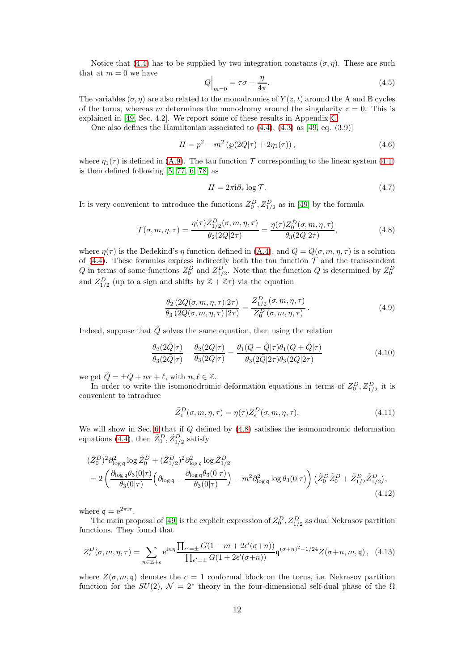Notice that [\(4.4\)](#page-10-2) has to be supplied by two integration constants  $(\sigma, \eta)$ . These are such that at  $m = 0$  we have

<span id="page-11-3"></span>
$$
Q\Big|_{m=0} = \tau \sigma + \frac{\eta}{4\pi}.\tag{4.5}
$$

The variables  $(\sigma, \eta)$  are also related to the monodromies of  $Y(z, t)$  around the A and B cycles of the torus, whereas m determines the monodromy around the singularity  $z = 0$ . This is explained in [\[49,](#page-57-5) Sec. 4.2]. We report some of these results in Appendix [C.](#page-45-0)

One also defines the Hamiltonian associated to [\(4.4\)](#page-10-2), [\(4.3\)](#page-10-4) as [\[49,](#page-57-5) eq. (3.9)]

<span id="page-11-6"></span>
$$
H = p^2 - m^2 \left( \wp(2Q|\tau) + 2\eta_1(\tau) \right), \tag{4.6}
$$

where  $\eta_1(\tau)$  is defined in [\(A.9\)](#page-41-2). The tau function  $\tau$  corresponding to the linear system [\(4.1\)](#page-10-1) is then defined following [\[5,](#page-55-4) [77,](#page-58-13) [6,](#page-55-5) [78\]](#page-58-14) as

<span id="page-11-4"></span>
$$
H = 2\pi i \partial_{\tau} \log \mathcal{T}.
$$
\n(4.7)

It is very convenient to introduce the functions  $Z_0^D$ ,  $Z_{1/2}^D$  as in [\[49\]](#page-57-5) by the formula

<span id="page-11-0"></span>
$$
\mathcal{T}(\sigma, m, \eta, \tau) = \frac{\eta(\tau)Z_{1/2}^D(\sigma, m, \eta, \tau)}{\theta_2(2Q|2\tau)} = \frac{\eta(\tau)Z_0^D(\sigma, m, \eta, \tau)}{\theta_3(2Q|2\tau)},
$$
\n(4.8)

where  $\eta(\tau)$  is the Dedekind's  $\eta$  function defined in [\(A.4\)](#page-41-3), and  $Q = Q(\sigma, m, \eta, \tau)$  is a solution of [\(4.4\)](#page-10-2). These formulas express indirectly both the tau function  $\mathcal T$  and the transcendent Q in terms of some functions  $Z_0^D$  and  $Z_{1/2}^D$ . Note that the function Q is determined by  $Z_0^D$ and  $Z_{1/2}^D$  (up to a sign and shifts by  $\mathbb{Z} + \mathbb{Z}\tau$ ) via the equation

<span id="page-11-5"></span>
$$
\frac{\theta_2(2Q(\sigma, m, \eta, \tau)|2\tau)}{\theta_3(2Q(\sigma, m, \eta, \tau)|2\tau)} = \frac{Z_{1/2}^D(\sigma, m, \eta, \tau)}{Z_0^D(\sigma, m, \eta, \tau)}.
$$
\n(4.9)

Indeed, suppose that  $\tilde{Q}$  solves the same equation, then using the relation

$$
\frac{\theta_2(2\tilde{Q}|\tau)}{\theta_3(2\tilde{Q}|\tau)} - \frac{\theta_2(2Q|\tau)}{\theta_3(2Q|\tau)} = \frac{\theta_1(Q-\tilde{Q}|\tau)\theta_1(Q+\tilde{Q}|\tau)}{\theta_3(2\tilde{Q}|2\tau)\theta_3(2Q|2\tau)}\tag{4.10}
$$

we get  $\tilde{Q} = \pm Q + n\tau + \ell$ , with  $n, \ell \in \mathbb{Z}$ .

In order to write the isomonodromic deformation equations in terms of  $Z_0^D, Z_{1/2}^D$  it is convenient to introduce

<span id="page-11-7"></span><span id="page-11-2"></span>
$$
\tilde{Z}_{\epsilon}^{D}(\sigma, m, \eta, \tau) = \eta(\tau) Z_{\epsilon}^{D}(\sigma, m, \eta, \tau).
$$
\n(4.11)

We will show in Sec. [6](#page-25-0) that if  $Q$  defined by  $(4.8)$  satisfies the isomonodromic deformation equations [\(4.4\)](#page-10-2), then  $\tilde{Z}_0^D$ ,  $\tilde{Z}_{1/2}^D$  satisfy

$$
\begin{split} & (\tilde{Z}_{0}^{D})^{2} \partial_{\log q}^{2} \log \tilde{Z}_{0}^{D} + (\tilde{Z}_{1/2}^{D})^{2} \partial_{\log q}^{2} \log \tilde{Z}_{1/2}^{D} \\ &= 2 \left( \frac{\partial_{\log q} \theta_{3}(0|\tau)}{\theta_{3}(0|\tau)} \left( \partial_{\log q} - \frac{\partial_{\log q} \theta_{3}(0|\tau)}{\theta_{3}(0|\tau)} \right) - m^{2} \partial_{\log q}^{2} \log \theta_{3}(0|\tau) \right) \left( \tilde{Z}_{0}^{D} \tilde{Z}_{0}^{D} + \tilde{Z}_{1/2}^{D} \tilde{Z}_{1/2}^{D} \right), \end{split} \tag{4.12}
$$

where  $q = e^{2\pi i \tau}$ .

The main proposal of [\[49\]](#page-57-5) is the explicit expression of  $Z_0^D$ ,  $Z_{1/2}^D$  as dual Nekrasov partition functions. They found that

<span id="page-11-1"></span>
$$
Z_{\epsilon}^{D}(\sigma, m, \eta, \tau) = \sum_{n \in \mathbb{Z} + \epsilon} e^{in\eta} \frac{\prod_{\epsilon' = \pm} G(1 - m + 2\epsilon'(\sigma + n))}{\prod_{\epsilon' = \pm} G(1 + 2\epsilon'(\sigma + n))} \mathfrak{q}^{(\sigma + n)^2 - 1/24} Z(\sigma + n, m, \mathfrak{q}), \tag{4.13}
$$

where  $Z(\sigma, m, \mathfrak{q})$  denotes the  $c = 1$  conformal block on the torus, i.e. Nekrasov partition function for the  $SU(2)$ ,  $\mathcal{N} = 2^*$  theory in the four-dimensional self-dual phase of the  $\Omega$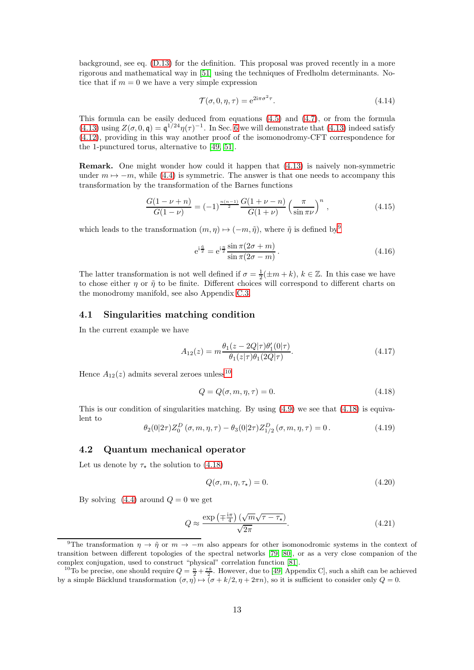background, see eq. [\(D.13\)](#page-52-0) for the definition. This proposal was proved recently in a more rigorous and mathematical way in [\[51\]](#page-57-7) using the techniques of Fredholm determinants. Notice that if  $m = 0$  we have a very simple expression

<span id="page-12-8"></span>
$$
\mathcal{T}(\sigma, 0, \eta, \tau) = e^{2i\pi\sigma^2 \tau}.
$$
\n(4.14)

This formula can be easily deduced from equations  $(4.5)$  and  $(4.7)$ , or from the formula [\(4.13\)](#page-11-1) using  $Z(\sigma, 0, \mathfrak{q}) = \mathfrak{q}^{1/24} \eta(\tau)^{-1}$ . In Sec. [6](#page-25-0) we will demonstrate that [\(4.13\)](#page-11-1) indeed satisfy [\(4.12\)](#page-11-2), providing in this way another proof of the isomonodromy-CFT correspondence for the 1-punctured torus, alternative to [\[49,](#page-57-5) [51\]](#page-57-7).

Remark. One might wonder how could it happen that [\(4.13\)](#page-11-1) is naively non-symmetric under  $m \mapsto -m$ , while [\(4.4\)](#page-10-2) is symmetric. The answer is that one needs to accompany this transformation by the transformation of the Barnes functions

$$
\frac{G(1-\nu+n)}{G(1-\nu)} = (-1)^{\frac{n(n-1)}{2}} \frac{G(1+\nu-n)}{G(1+\nu)} \left(\frac{\pi}{\sin \pi \nu}\right)^n ,\qquad (4.15)
$$

which leads to the transformation  $(m, \eta) \mapsto (-m, \tilde{\eta})$ , where  $\tilde{\eta}$  is defined by<sup>[9](#page-12-3)</sup>

<span id="page-12-7"></span>
$$
e^{i\frac{\tilde{\eta}}{2}} = e^{i\frac{\eta}{2}} \frac{\sin \pi (2\sigma + m)}{\sin \pi (2\sigma - m)}.
$$
\n(4.16)

The latter transformation is not well defined if  $\sigma = \frac{1}{2}(\pm m + k)$ ,  $k \in \mathbb{Z}$ . In this case we have to chose either  $\eta$  or  $\tilde{\eta}$  to be finite. Different choices will correspond to different charts on the monodromy manifold, see also Appendix [C.3.](#page-49-0)

### <span id="page-12-0"></span>4.1 Singularities matching condition

In the current example we have

<span id="page-12-9"></span>
$$
A_{12}(z) = m \frac{\theta_1(z - 2Q|\tau)\theta_1'(0|\tau)}{\theta_1(z|\tau)\theta_1(2Q|\tau)}.
$$
\n(4.17)

Hence  $A_{12}(z)$  admits several zeroes unless<sup>[10](#page-12-4)</sup>

<span id="page-12-5"></span>
$$
Q = Q(\sigma, m, \eta, \tau) = 0.
$$
\n
$$
(4.18)
$$

This is our condition of singularities matching. By using  $(4.9)$  we see that  $(4.18)$  is equivalent to

<span id="page-12-2"></span>
$$
\theta_2(0|2\tau)Z_0^D(\sigma, m, \eta, \tau) - \theta_3(0|2\tau)Z_{1/2}^D(\sigma, m, \eta, \tau) = 0.
$$
\n(4.19)

#### <span id="page-12-1"></span>4.2 Quantum mechanical operator

Let us denote by  $\tau_{\star}$  the solution to [\(4.18\)](#page-12-5)

$$
Q(\sigma, m, \eta, \tau_{\star}) = 0. \tag{4.20}
$$

By solving  $(4.4)$  around  $Q = 0$  we get

<span id="page-12-6"></span>
$$
Q \approx \frac{\exp\left(\mp \frac{i\pi}{4}\right) \left(\sqrt{m}\sqrt{\tau - \tau_\star}\right)}{\sqrt{2\pi}}.\tag{4.21}
$$

<span id="page-12-3"></span><sup>&</sup>lt;sup>9</sup>The transformation  $\eta \to \tilde{\eta}$  or  $m \to -m$  also appears for other isomonodromic systems in the context of transition between different topologies of the spectral networks [\[79,](#page-58-15) [80\]](#page-58-16), or as a very close companion of the complex conjugation, used to construct "physical" correlation function [\[81\]](#page-58-17).

<span id="page-12-4"></span><sup>&</sup>lt;sup>10</sup>To be precise, one should require  $Q = \frac{n}{2} + \frac{\tau k}{2}$ . However, due to [\[49,](#page-57-5) Appendix C], such a shift can be achieved by a simple Bäcklund transformation  $(\sigma, \eta) \mapsto (\sigma + k/2, \eta + 2\pi n)$ , so it is sufficient to consider only  $Q = 0$ .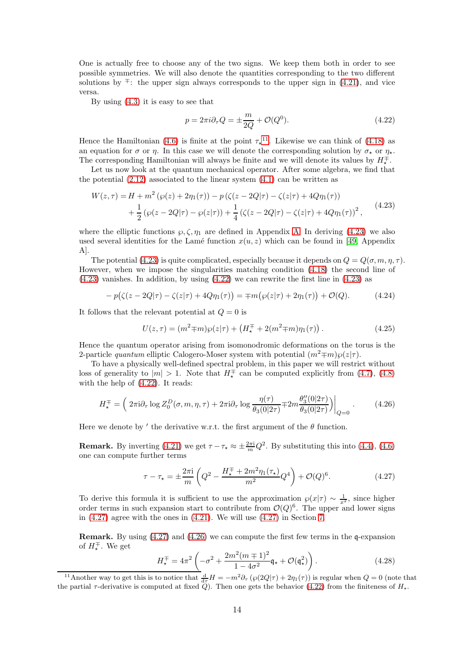One is actually free to choose any of the two signs. We keep them both in order to see possible symmetries. We will also denote the quantities corresponding to the two different solutions by  $\overline{+}$ : the upper sign always corresponds to the upper sign in [\(4.21\)](#page-12-6), and vice versa.

By using [\(4.3\)](#page-10-4) it is easy to see that

<span id="page-13-2"></span>
$$
p = 2\pi i \partial_{\tau} Q = \pm \frac{m}{2Q} + \mathcal{O}(Q^0). \tag{4.22}
$$

Hence the Hamiltonian [\(4.6\)](#page-11-6) is finite at the point  $\tau_{\star}^{11}$  $\tau_{\star}^{11}$  $\tau_{\star}^{11}$ . Likewise we can think of [\(4.18\)](#page-12-5) as an equation for  $\sigma$  or  $\eta$ . In this case we will denote the corresponding solution by  $\sigma_{\star}$  or  $\eta_{\star}$ . The corresponding Hamiltonian will always be finite and we will denote its values by  $H^{\pm}_{\star}$ .

Let us now look at the quantum mechanical operator. After some algebra, we find that the potential  $(2.12)$  associated to the linear system  $(4.1)$  can be written as

<span id="page-13-1"></span>
$$
W(z,\tau) = H + m^2 (\wp(z) + 2\eta_1(\tau)) - p (\zeta(z - 2Q|\tau) - \zeta(z|\tau) + 4Q\eta_1(\tau))
$$
  
+ 
$$
\frac{1}{2} (\wp(z - 2Q|\tau) - \wp(z|\tau)) + \frac{1}{4} (\zeta(z - 2Q|\tau) - \zeta(z|\tau) + 4Q\eta_1(\tau))^2,
$$
(4.23)

where the elliptic functions  $\wp$ ,  $\zeta$ ,  $\eta_1$  are defined in Appendix [A.](#page-41-0) In deriving [\(4.23\)](#page-13-1) we also used several identities for the Lamé function  $x(u, z)$  which can be found in [\[49,](#page-57-5) Appendix A].

The potential [\(4.23\)](#page-13-1) is quite complicated, especially because it depends on  $Q = Q(\sigma, m, \eta, \tau)$ . However, when we impose the singularities matching condition [\(4.18\)](#page-12-5) the second line of  $(4.23)$  vanishes. In addition, by using  $(4.22)$  we can rewrite the first line in  $(4.23)$  as

$$
-p(\zeta(z-2Q|\tau) - \zeta(z|\tau) + 4Q\eta_1(\tau)) = \mp m(\wp(z|\tau) + 2\eta_1(\tau)) + \mathcal{O}(Q). \tag{4.24}
$$

It follows that the relevant potential at  $Q = 0$  is

$$
U(z,\tau) = (m^2 \mp m)\wp(z|\tau) + \left(H_\star^\mp + 2(m^2 \mp m)\eta_1(\tau)\right). \tag{4.25}
$$

Hence the quantum operator arising from isomonodromic deformations on the torus is the 2-particle quantum elliptic Calogero-Moser system with potential  $(m^2 \mp m) \wp(z|\tau)$ .

To have a physically well-defined spectral problem, in this paper we will restrict without loss of generality to  $|m| > 1$ . Note that  $H^{\mp}_{\star}$  can be computed explicitly from [\(4.7\)](#page-11-4), [\(4.8\)](#page-11-0) with the help of [\(4.22\)](#page-13-2). It reads:

<span id="page-13-4"></span>
$$
H_{\star}^{\mp} = \left(2\pi i \partial_{\tau} \log Z_0^D(\sigma, m, \eta, \tau) + 2\pi i \partial_{\tau} \log \frac{\eta(\tau)}{\theta_3(0|2\tau)} \mp 2m \frac{\theta_3''(0|2\tau)}{\theta_3(0|2\tau)}\right)\Big|_{Q=0}.
$$
 (4.26)

Here we denote by ' the derivative w.r.t. the first argument of the  $\theta$  function.

**Remark.** By inverting [\(4.21\)](#page-12-6) we get  $\tau - \tau_{\star} \approx \pm \frac{2\pi i}{m} Q^2$ . By substituting this into [\(4.4\)](#page-10-2), [\(4.6\)](#page-11-6) one can compute further terms

<span id="page-13-3"></span>
$$
\tau - \tau_{\star} = \pm \frac{2\pi i}{m} \left( Q^2 - \frac{H_{\star}^{\mp} + 2m^2 \eta_1(\tau_{\star})}{m^2} Q^4 \right) + \mathcal{O}(Q)^6. \tag{4.27}
$$

To derive this formula it is sufficient to use the approximation  $\wp(x|\tau) \sim \frac{1}{x^2}$ , since higher order terms in such expansion start to contribute from  $\mathcal{O}(Q)^6$ . The upper and lower signs in  $(4.27)$  agree with the ones in  $(4.21)$ . We will use  $(4.27)$  in Section [7.](#page-29-0)

**Remark.** By using  $(4.27)$  and  $(4.26)$  we can compute the first few terms in the q-expansion of  $H^{\mp}_{\star}$ . We get

$$
H_{\star}^{\mp} = 4\pi^2 \left( -\sigma^2 + \frac{2m^2(m \mp 1)^2}{1 - 4\sigma^2} \mathfrak{q}_{\star} + \mathcal{O}(\mathfrak{q}_{\star}^2) \right). \tag{4.28}
$$

<span id="page-13-0"></span><sup>&</sup>lt;sup>11</sup>Another way to get this is to notice that  $\frac{d}{d\tau}H = -m^2\partial_\tau\left(\wp(2Q|\tau) + 2\eta_1(\tau)\right)$  is regular when  $Q = 0$  (note that the partial  $\tau$ -derivative is computed at fixed Q). Then one gets the behavior [\(4.22\)](#page-13-2) from the finiteness of  $H_{\star}$ .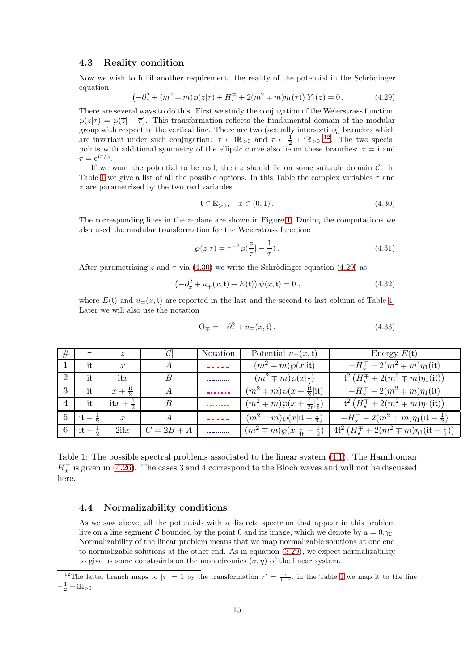### <span id="page-14-0"></span>4.3 Reality condition

Now we wish to fulfil another requirement: the reality of the potential in the Schrödinger equation

<span id="page-14-6"></span>
$$
\left(-\partial_z^2 + (m^2 \mp m)\wp(z|\tau) + H_\star^\mp + 2(m^2 \mp m)\eta_1(\tau)\right)\widetilde{Y}_1(z) = 0\,. \tag{4.29}
$$

There are several ways to do this. First we study the conjugation of the Weierstrass function:  $\wp(z|\tau) = \wp(\overline{z} - \overline{\tau})$ . This transformation reflects the fundamental domain of the modular group with respect to the vertical line. There are two (actually intersecting) branches which are invariant under such conjugation:  $\tau \in i\mathbb{R}_{>0}$  and  $\tau \in \frac{1}{2} + i\mathbb{R}_{>0}$  <sup>[12](#page-14-4)</sup>. The two special points with additional symmetry of the elliptic curve also lie on these branches:  $\tau = i$  and  $\tau = e^{i\pi/3}.$ 

If we want the potential to be real, then  $z$  should lie on some suitable domain  $\mathcal{C}$ . In Table [1](#page-14-3) we give a list of all the possible options. In this Table the complex variables  $\tau$  and z are parametrised by the two real variables

<span id="page-14-5"></span>
$$
\mathfrak{t} \in \mathbb{R}_{>0}, \quad x \in (0,1). \tag{4.30}
$$

The corresponding lines in the z-plane are shown in Figure [1.](#page-15-0) During the computations we also used the modular transformation for the Weierstrass function:

$$
\wp(z|\tau) = \tau^{-2} \wp(\frac{z}{\tau} | -\frac{1}{\tau}).
$$
\n(4.31)

After parametrising z and  $\tau$  via [\(4.30\)](#page-14-5) we write the Schrödinger equation [\(4.29\)](#page-14-6) as

$$
\left(-\partial_x^2 + u_{\mp}(x, \mathfrak{t}) + E(\mathfrak{t})\right)\psi(x, \mathfrak{t}) = 0 ,\qquad (4.32)
$$

where  $E(t)$  and  $u_{\mp}(x, t)$  are reported in the last and the second to last column of Table [1.](#page-14-3) Later we will also use the notation

<span id="page-14-2"></span>
$$
O_{\mp} = -\partial_x^2 + u_{\mp}(x, t). \tag{4.33}
$$

| #              |                       | $\boldsymbol{z}$    | $[\mathcal{C}% ]^{k}=\mathbb{E}_{m}^{k}(\mathcal{C})^{\ast }(\mathcal{C})$ | Notation    | Potential $u_{\pm}(x, \mathfrak{t})$            | Energy $E(\mathfrak{t})$                                                     |
|----------------|-----------------------|---------------------|----------------------------------------------------------------------------|-------------|-------------------------------------------------|------------------------------------------------------------------------------|
|                | it                    | $\boldsymbol{x}$    | A                                                                          | .           | $(m^2 \mp m)\wp(x it)$                          | $-H^{\mp}_{\tau} - 2(m^2 \mp m)\eta_1$ (it)                                  |
| $\overline{2}$ | it                    | $_{\rm itx}$        | B                                                                          | ----------- | $(m^2 \mp m) \wp(x \frac{1}{4})$                | $\mathfrak{t}^2(H^{\mp}_* + 2(m^2 \mp m)\eta_1(\textup{it}))$                |
| 3              | it                    | $x + \frac{11}{2}$  | А                                                                          |             | $(m^2 \mp m)\wp(x + \frac{it}{2} \text{it})$    | $-H_{\star}^{\mp} - 2(m^2 \mp m)\eta_1(i\mathfrak{t})$                       |
|                | it                    | $itx + \frac{1}{2}$ | B                                                                          |             | $(m^2 \mp m)\wp(x + \frac{1}{24} \frac{1}{4})$  | $\mathfrak{t}^2(H^{\mp}_\star + 2(m^2 \mp m)\eta_1(\mathrm{i}\mathfrak{t}))$ |
| 5              | $it -$                | $\boldsymbol{x}$    | А                                                                          |             | $(m^2 \mp m)\wp(x \text{it} - \frac{1}{2})$     | $-H_{\star}^{\mp} - 2(m^2 \mp m)\eta_1(\text{it} - \frac{1}{2})$             |
|                | 6   it $-\frac{1}{2}$ | $2$ it $x$          | $C = 2B + A$                                                               |             | $(m^2 \mp m) \wp(x \frac{1}{44} - \frac{1}{2})$ | $4t^2(H_{\star}^{\mp}+2(m^2 \mp m)\eta_1(\textup{it}-\frac{1}{2}))$          |

<span id="page-14-3"></span>Table 1: The possible spectral problems associated to the linear system [\(4.1\)](#page-10-1). The Hamiltonian  $H^{\mp}_{\star}$  is given in [\(4.26\)](#page-13-4). The cases 3 and 4 correspond to the Bloch waves and will not be discussed here.

#### <span id="page-14-1"></span>4.4 Normalizability conditions

As we saw above, all the potentials with a discrete spectrum that appear in this problem live on a line segment C bounded by the point 0 and its image, which we denote by  $a = 0.\gamma_c$ . Normalizability of the linear problem means that we map normalizable solutions at one end to normalizable solutions at the other end. As in equation [\(3.29\)](#page-9-3), we expect normalizability to give us some constraints on the monodromies  $(\sigma, \eta)$  of the linear system.

<span id="page-14-4"></span><sup>&</sup>lt;sup>12</sup>The latter branch maps to  $|\tau| = 1$  $|\tau| = 1$  by the transformation  $\tau' = \frac{\tau}{1-\tau}$ , in the Table 1 we map it to the line  $-\frac{1}{2}+i\mathbb{R}_{>0}$ .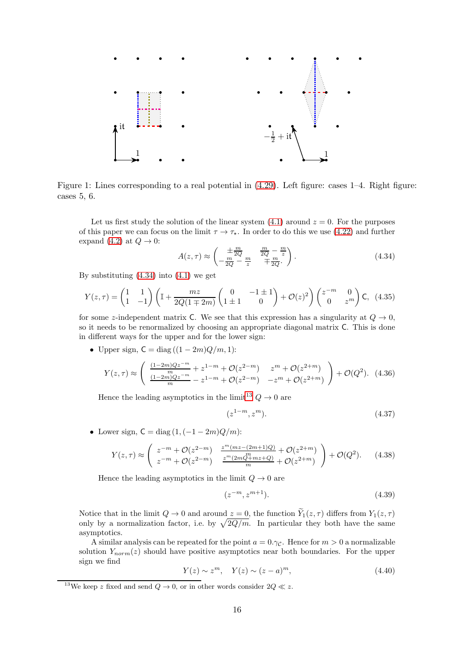

Figure 1: Lines corresponding to a real potential in [\(4.29\)](#page-14-6). Left figure: cases 1–4. Right figure: cases 5, 6.

<span id="page-15-0"></span>Let us first study the solution of the linear system  $(4.1)$  around  $z = 0$ . For the purposes of this paper we can focus on the limit  $\tau \to \tau_{\star}$ . In order to do this we use [\(4.22\)](#page-13-2) and further expand [\(4.2\)](#page-10-3) at  $Q \rightarrow 0$ :

<span id="page-15-1"></span>
$$
A(z,\tau) \approx \begin{pmatrix} \pm \frac{m}{2Q} & \frac{m}{2Q} - \frac{m}{z} \\ -\frac{m}{2Q} - \frac{m}{z} & \mp \frac{m}{2Q} \end{pmatrix} . \tag{4.34}
$$

By substituting  $(4.34)$  into  $(4.1)$  we get

$$
Y(z,\tau) = \begin{pmatrix} 1 & 1 \\ 1 & -1 \end{pmatrix} \left( \mathbb{I} + \frac{mz}{2Q(1 \mp 2m)} \begin{pmatrix} 0 & -1 \pm 1 \\ 1 \pm 1 & 0 \end{pmatrix} + \mathcal{O}(z)^2 \right) \begin{pmatrix} z^{-m} & 0 \\ 0 & z^m \end{pmatrix} \mathsf{C}, \tag{4.35}
$$

for some z-independent matrix C. We see that this expression has a singularity at  $Q \to 0$ , so it needs to be renormalized by choosing an appropriate diagonal matrix C. This is done in different ways for the upper and for the lower sign:

• Upper sign,  $C = diag((1 - 2m)Q/m, 1)$ :

$$
Y(z,\tau) \approx \left( \begin{array}{cc} \frac{(1-2m)Qz^{-m}}{m} + z^{1-m} + \mathcal{O}(z^{2-m}) & z^m + \mathcal{O}(z^{2+m}) \\ \frac{(1-2m)Qz^{-m}}{m} - z^{1-m} + \mathcal{O}(z^{2-m}) & -z^m + \mathcal{O}(z^{2+m}) \end{array} \right) + \mathcal{O}(Q^2). \tag{4.36}
$$

Hence the leading asymptotics in the limit<sup>[13](#page-15-2)</sup>  $Q \rightarrow 0$  are

$$
(z^{1-m}, z^m). \t\t(4.37)
$$

• Lower sign,  $C = diag(1, (-1 - 2m)Q/m)$ :

$$
Y(z,\tau) \approx \begin{pmatrix} z^{-m} + \mathcal{O}(z^{2-m}) & \frac{z^m(mz - (2m+1)Q)}{m} + \mathcal{O}(z^{2+m}) \\ z^{-m} + \mathcal{O}(z^{2-m}) & \frac{z^m(2mQ + mz + Q)}{m} + \mathcal{O}(z^{2+m}) \end{pmatrix} + \mathcal{O}(Q^2). \tag{4.38}
$$

Hence the leading asymptotics in the limit  $Q \to 0$  are

$$
(z^{-m}, z^{m+1}). \t\t(4.39)
$$

Notice that in the limit  $Q \to 0$  and around  $z = 0$ , the function  $\tilde{Y}_1(z, \tau)$  differs from  $Y_1(z, \tau)$ only by a normalization factor, i.e. by  $\sqrt{2Q/m}$ . In particular they both have the same asymptotics.

A similar analysis can be repeated for the point  $a = 0.\gamma_c$ . Hence for  $m > 0$  a normalizable solution  $Y_{norm}(z)$  should have positive asymptotics near both boundaries. For the upper sign we find

$$
Y(z) \sim z^m, \quad Y(z) \sim (z - a)^m,
$$
\n
$$
(4.40)
$$

<span id="page-15-2"></span><sup>&</sup>lt;sup>13</sup>We keep z fixed and send  $Q \to 0$ , or in other words consider  $2Q \ll z$ .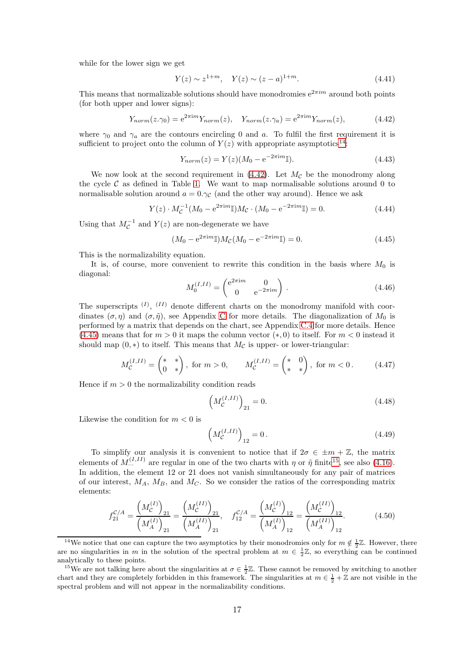while for the lower sign we get

$$
Y(z) \sim z^{1+m}, \quad Y(z) \sim (z-a)^{1+m}.
$$
 (4.41)

This means that normalizable solutions should have monodromies  $e^{2\pi im}$  around both points (for both upper and lower signs):

<span id="page-16-1"></span>
$$
Y_{norm}(z.\gamma_0) = e^{2\pi im} Y_{norm}(z), \quad Y_{norm}(z.\gamma_a) = e^{2\pi im} Y_{norm}(z), \tag{4.42}
$$

where  $\gamma_0$  and  $\gamma_a$  are the contours encircling 0 and a. To fulfil the first requirement it is sufficient to project onto the column of  $Y(z)$  with appropriate asymptotics<sup>[14](#page-16-0)</sup>:

$$
Y_{norm}(z) = Y(z)(M_0 - e^{-2\pi im}I). \tag{4.43}
$$

We now look at the second requirement in  $(4.42)$ . Let  $M_{\mathcal{C}}$  be the monodromy along the cycle  $\mathcal C$  as defined in Table [1.](#page-14-3) We want to map normalisable solutions around 0 to normalisable solution around  $a = 0.\gamma_c$  (and the other way around). Hence we ask

$$
Y(z) \cdot M_C^{-1} (M_0 - e^{2\pi im} \mathbb{I}) M_C \cdot (M_0 - e^{-2\pi im} \mathbb{I}) = 0.
$$
 (4.44)

Using that  $M_C^{-1}$  and  $Y(z)$  are non-degenerate we have

<span id="page-16-2"></span>
$$
(M_0 - e^{2\pi im} \mathbb{I}) M_{\mathcal{C}} (M_0 - e^{-2\pi im} \mathbb{I}) = 0.
$$
 (4.45)

This is the normalizability equation.

It is, of course, more convenient to rewrite this condition in the basis where  $M_0$  is diagonal:

$$
M_0^{(I,II)} = \begin{pmatrix} e^{2\pi im} & 0\\ 0 & e^{-2\pi im} \end{pmatrix} . \tag{4.46}
$$

The superscripts  $^{(I)}$ ,  $^{(II)}$  denote different charts on the monodromy manifold with coordinates  $(\sigma, \eta)$  and  $(\sigma, \tilde{\eta})$ , see Appendix [C](#page-45-0) for more details. The diagonalization of  $M_0$  is performed by a matrix that depends on the chart, see Appendix [C.4](#page-50-0) for more details. Hence [\(4.45\)](#page-16-2) means that for  $m > 0$  it maps the column vector  $(*, 0)$  to itself. For  $m < 0$  instead it should map  $(0,*)$  to itself. This means that  $M_{\mathcal{C}}$  is upper- or lower-triangular:

$$
M_C^{(I,II)} = \begin{pmatrix} * & * \\ 0 & * \end{pmatrix}, \text{ for } m > 0, \qquad M_C^{(I,II)} = \begin{pmatrix} * & 0 \\ * & * \end{pmatrix}, \text{ for } m < 0. \tag{4.47}
$$

Hence if  $m > 0$  the normalizability condition reads

$$
\left(M_{\mathcal{C}}^{(I,II)}\right)_{21} = 0.\t\t(4.48)
$$

Likewise the condition for  $m < 0$  is

$$
\left(M_{\mathcal{C}}^{(I,II)}\right)_{12} = 0.\t\t(4.49)
$$

To simplify our analysis it is convenient to notice that if  $2\sigma \in \pm m + \mathbb{Z}$ , the matrix elements of  $M_{\cdots}^{(I,II)}$  are regular in one of the two charts with  $\eta$  or  $\tilde{\eta}$  finite<sup>[15](#page-16-3)</sup>, see also [\(4.16\)](#page-12-7). In addition, the element 12 or 21 does not vanish simultaneously for any pair of matrices of our interest,  $M_A$ ,  $M_B$ , and  $M_C$ . So we consider the ratios of the corresponding matrix elements:

$$
f_{21}^{\mathcal{C}/A} = \frac{\left(M_{\mathcal{C}}^{(I)}\right)_{21}}{\left(M_A^{(I)}\right)_{21}} = \frac{\left(M_{\mathcal{C}}^{(II)}\right)_{21}}{\left(M_A^{(II)}\right)_{21}}, \quad f_{12}^{\mathcal{C}/A} = \frac{\left(M_{\mathcal{C}}^{(I)}\right)_{12}}{\left(M_A^{(I)}\right)_{12}} = \frac{\left(M_{\mathcal{C}}^{(II)}\right)_{12}}{\left(M_A^{(II)}\right)_{12}}.
$$
(4.50)

<span id="page-16-0"></span><sup>&</sup>lt;sup>14</sup>We notice that one can capture the two asymptotics by their monodromies only for  $m \notin \frac{1}{2}\mathbb{Z}$ . However, there are no singularities in m in the solution of the spectral problem at  $m \in \frac{1}{2}\mathbb{Z}$ , so everything can be continued analytically to these points.

<span id="page-16-3"></span><sup>&</sup>lt;sup>15</sup>We are not talking here about the singularities at  $\sigma \in \frac{1}{2}\mathbb{Z}$ . These cannot be removed by switching to another chart and they are completely forbidden in this framework. The singularities at  $m \in \frac{1}{2} + \mathbb{Z}$  are not visible in the spectral problem and will not appear in the normalizability conditions.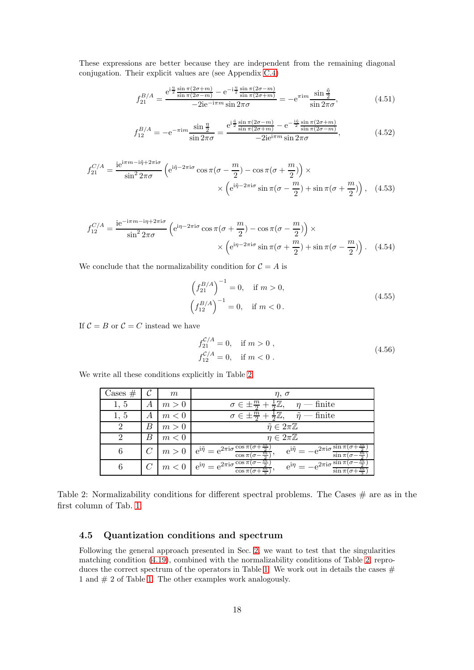These expressions are better because they are independent from the remaining diagonal conjugation. Their explicit values are (see Appendix [C.4\)](#page-50-0)

$$
f_{21}^{B/A} = \frac{e^{i\frac{\eta}{2}\frac{\sin\pi(2\sigma+m)}{\sin\pi(2\sigma-m)} - e^{-i\frac{\eta}{2}\frac{\sin\pi(2\sigma-m)}{\sin\pi(2\sigma+m)}}}{-2ie^{-i\pi m}\sin 2\pi\sigma} = -e^{\pi im}\frac{\sin\frac{\tilde{\eta}}{2}}{\sin 2\pi\sigma},
$$
(4.51)

$$
f_{12}^{B/A} = -e^{-\pi im} \frac{\sin \frac{\eta}{2}}{\sin 2\pi \sigma} = \frac{e^{i\frac{\tilde{\eta}}{2} \frac{\sin \pi (2\sigma - m)}{\sin \pi (2\sigma + m)} - e^{-\frac{i\tilde{\eta}}{2} \frac{\sin \pi (2\sigma + m)}{\sin \pi (2\sigma - m)}}}{-2ie^{i\pi m} \sin 2\pi \sigma},
$$
(4.52)

$$
f_{21}^{C/A} = \frac{ie^{i\pi m - i\tilde{\eta} + 2\pi i\sigma}}{\sin^2 2\pi\sigma} \left( e^{i\tilde{\eta} - 2\pi i\sigma} \cos \pi (\sigma - \frac{m}{2}) - \cos \pi (\sigma + \frac{m}{2}) \right) \times \times \left( e^{i\tilde{\eta} - 2\pi i\sigma} \sin \pi (\sigma - \frac{m}{2}) + \sin \pi (\sigma + \frac{m}{2}) \right), \quad (4.53)
$$

$$
f_{12}^{C/A} = \frac{ie^{-i\pi m - i\eta + 2\pi i\sigma}}{\sin^2 2\pi\sigma} \left( e^{i\eta - 2\pi i\sigma} \cos \pi (\sigma + \frac{m}{2}) - \cos \pi (\sigma - \frac{m}{2}) \right) \times \times \left( e^{i\eta - 2\pi i\sigma} \sin \pi (\sigma + \frac{m}{2}) + \sin \pi (\sigma - \frac{m}{2}) \right). \tag{4.54}
$$

We conclude that the normalizability condition for  $\mathcal{C} = A$  is

$$
\left(f_{21}^{B/A}\right)^{-1} = 0, \quad \text{if } m > 0,
$$
\n
$$
\left(f_{12}^{B/A}\right)^{-1} = 0, \quad \text{if } m < 0.
$$
\n(4.55)

If  $C = B$  or  $C = C$  instead we have

$$
f_{21}^{\mathcal{C}/A} = 0, \quad \text{if } m > 0 ,f_{12}^{\mathcal{C}/A} = 0, \quad \text{if } m < 0 .
$$
 (4.56)

We write all these conditions explicitly in Table [2.](#page-17-1)

| $\text{Cases} \#$ |   | m     | $\eta, \sigma$                                                                                                                                                                                                                                |
|-------------------|---|-------|-----------------------------------------------------------------------------------------------------------------------------------------------------------------------------------------------------------------------------------------------|
| 1, 5              | А | m > 0 | $\sigma \in \pm \frac{m}{2} + \frac{1}{2}\mathbb{Z},$<br>$\eta$ — finite                                                                                                                                                                      |
| 1, 5              | А | m<0   | $\sigma \in \pm \frac{m}{2} + \frac{1}{2}\mathbb{Z},$<br>$\tilde{\eta}$ — finite                                                                                                                                                              |
|                   | B | m > 0 | $\tilde{\eta} \in 2\pi\mathbb{Z}$                                                                                                                                                                                                             |
| റ                 | B | m < 0 | $\eta \in 2\pi\mathbb{Z}$                                                                                                                                                                                                                     |
| 6                 |   | m > 0 | $e^{i\tilde{\eta}} = e^{2\pi i \sigma} \frac{\cos \pi (\sigma + \frac{m}{2})}{\sigma}$<br>$e^{i\tilde{\eta}} = -e^{2\pi i \sigma} \frac{\sin \pi (\sigma - \tau)}{2\pi i \tau}$<br>$\sin \pi (\sigma$<br>$\cos \pi(\sigma -$<br>$\frac{m}{2}$ |
|                   |   |       | $m < 0$   $e^{i\eta} = e^{2\pi i \sigma} \frac{\cos \pi (\sigma - \frac{m}{2})}{2}$<br>$e^{i\eta} = -e^{2\pi i \sigma} \frac{\sin \pi (\sigma - \frac{m}{2})}{m}$<br>$\cos \pi (\sigma + \frac{m}{2})$<br>$\sin \pi($                         |

Table 2: Normalizability conditions for different spectral problems. The Cases  $#$  are as in the first column of Tab. [1.](#page-14-3)

### <span id="page-17-1"></span><span id="page-17-0"></span>4.5 Quantization conditions and spectrum

Following the general approach presented in Sec. [2,](#page-4-0) we want to test that the singularities matching condition [\(4.19\)](#page-12-2), combined with the normalizability conditions of Table [2,](#page-17-1) repro-duces the correct spectrum of the operators in Table [1.](#page-14-3) We work out in details the cases  $#$ 1 and # 2 of Table [1.](#page-14-3) The other examples work analogously.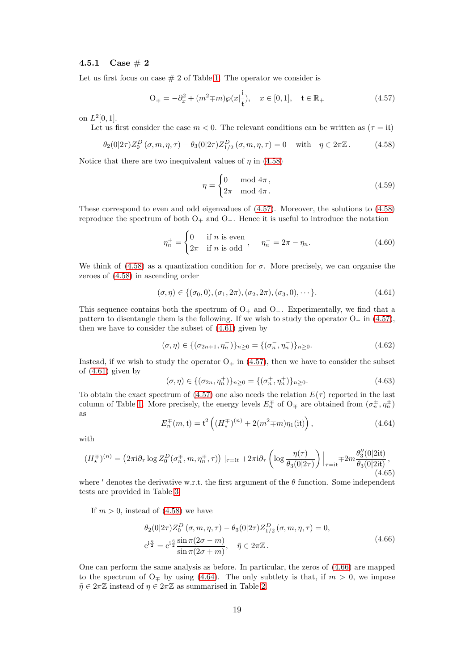#### <span id="page-18-0"></span>4.5.1 Case  $\# 2$

Let us first focus on case  $\# 2$  of Table [1.](#page-14-3) The operator we consider is

<span id="page-18-2"></span>
$$
O_{\mp} = -\partial_x^2 + (m^2 \mp m) \wp(x | \frac{i}{t}), \quad x \in [0, 1], \quad t \in \mathbb{R}_+ \tag{4.57}
$$

on  $L^2[0,1]$ .

Let us first consider the case  $m < 0$ . The relevant conditions can be written as  $(\tau = it)$ 

<span id="page-18-1"></span>
$$
\theta_2(0|2\tau)Z_0^D(\sigma, m, \eta, \tau) - \theta_3(0|2\tau)Z_{1/2}^D(\sigma, m, \eta, \tau) = 0 \quad \text{with} \quad \eta \in 2\pi\mathbb{Z}. \tag{4.58}
$$

Notice that there are two inequivalent values of  $\eta$  in [\(4.58\)](#page-18-1)

<span id="page-18-6"></span>
$$
\eta = \begin{cases} 0 & \text{mod } 4\pi, \\ 2\pi & \text{mod } 4\pi. \end{cases}
$$
 (4.59)

These correspond to even and odd eigenvalues of [\(4.57\)](#page-18-2). Moreover, the solutions to [\(4.58\)](#page-18-1) reproduce the spectrum of both  $O_+$  and  $O_-\$ . Hence it is useful to introduce the notation

$$
\eta_n^+ = \begin{cases} 0 & \text{if } n \text{ is even} \\ 2\pi & \text{if } n \text{ is odd} \end{cases}, \quad \eta_n^- = 2\pi - \eta_n. \tag{4.60}
$$

We think of  $(4.58)$  as a quantization condition for  $\sigma$ . More precisely, we can organise the zeroes of [\(4.58\)](#page-18-1) in ascending order

<span id="page-18-3"></span>
$$
(\sigma, \eta) \in \{(\sigma_0, 0), (\sigma_1, 2\pi), (\sigma_2, 2\pi), (\sigma_3, 0), \cdots\}.
$$
 (4.61)

This sequence contains both the spectrum of  $O_+$  and  $O_-\$ . Experimentally, we find that a pattern to disentangle them is the following. If we wish to study the operator  $O_{-}$  in [\(4.57\)](#page-18-2), then we have to consider the subset of [\(4.61\)](#page-18-3) given by

$$
(\sigma, \eta) \in \{ (\sigma_{2n+1}, \eta_n^{-}) \}_{n \ge 0} = \{ (\sigma_n^{-}, \eta_n^{-}) \}_{n \ge 0}.
$$
 (4.62)

Instead, if we wish to study the operator  $O_+$  in [\(4.57\)](#page-18-2), then we have to consider the subset of [\(4.61\)](#page-18-3) given by

$$
(\sigma, \eta) \in \{ (\sigma_{2n}, \eta_n^+) \}_{n \ge 0} = \{ (\sigma_n^+, \eta_n^+) \}_{n \ge 0}.
$$
 (4.63)

To obtain the exact spectrum of [\(4.57\)](#page-18-2) one also needs the relation  $E(\tau)$  reported in the last column of Table [1.](#page-14-3) More precisely, the energy levels  $E_n^{\pm}$  of  $O_{\mp}$  are obtained from  $(\sigma_n^{\pm}, \eta_n^{\pm})$ as

<span id="page-18-5"></span>
$$
E_n^{\pm}(m, \mathfrak{t}) = \mathfrak{t}^2 \left( (H_\star^{\mp})^{(n)} + 2(m^2 \mp m) \eta_1(\text{it}) \right), \tag{4.64}
$$

with

$$
(H_{\star}^{\mp})^{(n)} = \left(2\pi i \partial_{\tau} \log Z_{0}^{D}(\sigma_{n}^{\mp}, m, \eta_{n}^{\mp}, \tau)\right) \mid_{\tau = it} + 2\pi i \partial_{\tau} \left( \log \frac{\eta(\tau)}{\theta_{3}(0|2\tau)} \right) \bigg|_{\tau = it} + 2m \frac{\theta_{3}^{\prime\prime}(0|2it)}{\theta_{3}(0|2it)},
$$
\n(4.65)

where  $'$  denotes the derivative w.r.t. the first argument of the  $\theta$  function. Some independent tests are provided in Table [3.](#page-19-1)

If  $m > 0$ , instead of  $(4.58)$  we have

<span id="page-18-4"></span>
$$
\theta_2(0|2\tau)Z_0^D(\sigma, m, \eta, \tau) - \theta_3(0|2\tau)Z_{1/2}^D(\sigma, m, \eta, \tau) = 0,
$$
  
\n
$$
e^{i\frac{\eta}{2}} = e^{i\frac{\tilde{\eta}}{2}} \frac{\sin \pi (2\sigma - m)}{\sin \pi (2\sigma + m)}, \quad \tilde{\eta} \in 2\pi \mathbb{Z}.
$$
\n(4.66)

One can perform the same analysis as before. In particular, the zeros of [\(4.66\)](#page-18-4) are mapped to the spectrum of  $O<sub>‡</sub>$  by using [\(4.64\)](#page-18-5). The only subtlety is that, if  $m > 0$ , we impose  $\tilde{\eta} \in 2\pi \mathbb{Z}$  instead of  $\eta \in 2\pi \mathbb{Z}$  as summarised in Table [2.](#page-17-1)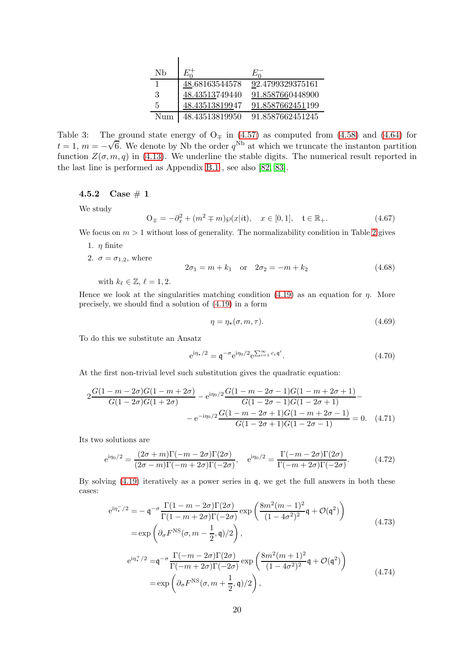| Nb  | $E_0^+$        | $E_{\Omega}$     |
|-----|----------------|------------------|
| 1   | 48.68163544578 | 92.4799329375161 |
| 3   | 48.43513749440 | 91.8587660448900 |
| 5   | 48.43513819947 | 91.8587662451199 |
| Num | 48.43513819950 | 91.8587662451245 |

 $\mathbf{I}$ 

<span id="page-19-1"></span>Table 3: The ground state energy of  $O<sub>‡</sub>$  in [\(4.57\)](#page-18-2) as computed from [\(4.58\)](#page-18-1) and [\(4.64\)](#page-18-5) for  $t = 1$ ,  $m = -\sqrt{6}$ . We denote by Nb the order  $q^{\text{Nb}}$  at which we truncate the instanton partition function  $Z(\sigma, m, q)$  in [\(4.13\)](#page-11-1). We underline the stable digits. The numerical result reported in the last line is performed as Appendix [B.1](#page-42-1) , see also [\[82,](#page-58-18) [83\]](#page-58-19).

<span id="page-19-0"></span>4.5.2 Case  $# 1$ 

We study

<span id="page-19-2"></span>
$$
O_{\mp} = -\partial_x^2 + (m^2 \mp m)\wp(x|i\mathbf{t}), \quad x \in [0, 1], \quad \mathbf{t} \in \mathbb{R}_+.
$$
 (4.67)

We focus on  $m > 1$  without loss of generality. The normalizability condition in Table [2](#page-17-1) gives

- 1.  $\eta$  finite
- 2.  $\sigma = \sigma_{1,2}$ , where

<span id="page-19-3"></span>
$$
2\sigma_1 = m + k_1 \quad \text{or} \quad 2\sigma_2 = -m + k_2 \tag{4.68}
$$

with  $k_{\ell} \in \mathbb{Z}, \ell = 1, 2$ .

Hence we look at the singularities matching condition [\(4.19\)](#page-12-2) as an equation for  $\eta$ . More precisely, we should find a solution of [\(4.19\)](#page-12-2) in a form

$$
\eta = \eta_\star(\sigma, m, \tau). \tag{4.69}
$$

To do this we substitute an Ansatz

$$
e^{i\eta_{\star}/2} = \mathfrak{q}^{-\sigma} e^{i\eta_0/2} e^{\sum_{i=1}^{\infty} c_i \mathfrak{q}^i}.
$$
 (4.70)

At the first non-trivial level such substitution gives the quadratic equation:

$$
2\frac{G(1-m-2\sigma)G(1-m+2\sigma)}{G(1-2\sigma)G(1+2\sigma)} - e^{i\eta_0/2}\frac{G(1-m-2\sigma-1)G(1-m+2\sigma+1)}{G(1-2\sigma-1)G(1-2\sigma+1)} -
$$

$$
-e^{-i\eta_0/2}\frac{G(1-m-2\sigma+1)G(1-m+2\sigma-1)}{G(1-2\sigma+1)G(1-2\sigma-1)} = 0. \quad (4.71)
$$

Its two solutions are

<span id="page-19-5"></span>
$$
e^{i\eta_0/2} = \frac{(2\sigma + m)\Gamma(-m - 2\sigma)\Gamma(2\sigma)}{(2\sigma - m)\Gamma(-m + 2\sigma)\Gamma(-2\sigma)}, \quad e^{i\eta_0/2} = \frac{\Gamma(-m - 2\sigma)\Gamma(2\sigma)}{\Gamma(-m + 2\sigma)\Gamma(-2\sigma)}.
$$
(4.72)

By solving  $(4.19)$  iteratively as a power series in q, we get the full answers in both these cases:

<span id="page-19-6"></span>
$$
e^{i\eta_{\star}^{-}/2} = -\mathfrak{q}^{-\sigma} \frac{\Gamma(1-m-2\sigma)\Gamma(2\sigma)}{\Gamma(1-m+2\sigma)\Gamma(-2\sigma)} \exp\left(\frac{8m^{2}(m-1)^{2}}{(1-4\sigma^{2})^{2}}\mathfrak{q} + \mathcal{O}(\mathfrak{q}^{2})\right)
$$
  
= 
$$
\exp\left(\partial_{\sigma}F^{\text{NS}}(\sigma, m-\frac{1}{2}, \mathfrak{q})/2\right),
$$
 (4.73)

<span id="page-19-4"></span>
$$
e^{i\eta_{\star}^{+}/2} = q^{-\sigma} \frac{\Gamma(-m - 2\sigma)\Gamma(2\sigma)}{\Gamma(-m + 2\sigma)\Gamma(-2\sigma)} \exp\left(\frac{8m^{2}(m+1)^{2}}{(1 - 4\sigma^{2})^{2}}q + \mathcal{O}(q^{2})\right)
$$
  
= 
$$
\exp\left(\partial_{\sigma}F^{\text{NS}}(\sigma, m + \frac{1}{2}, \mathfrak{q})/2\right),
$$
 (4.74)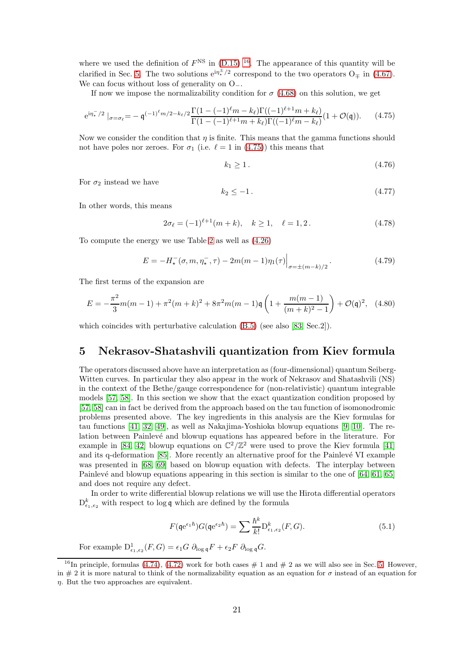where we used the definition of  $F<sup>NS</sup>$  in  $(D.15)$  <sup>[16](#page-20-1)</sup>. The appearance of this quantity will be clarified in Sec. [5.](#page-20-0) The two solutions  $e^{i\eta^{\pm}_\ast/2}$  correspond to the two operators  $O_{\mp}$  in [\(4.67\)](#page-19-2). We can focus without loss of generality on O−.

If now we impose the normalizability condition for  $\sigma$  [\(4.68\)](#page-19-3) on this solution, we get

<span id="page-20-2"></span>
$$
e^{i\eta_{\star}^{-}/2} \left|_{\sigma=\sigma_{\ell}} = -\mathfrak{q}^{(-1)^{\ell}m/2 - k_{\ell}/2} \frac{\Gamma(1 - (-1)^{\ell}m - k_{\ell})\Gamma((-1)^{\ell+1}m + k_{\ell})}{\Gamma(1 - (-1)^{\ell+1}m + k_{\ell})\Gamma((-1)^{\ell}m - k_{\ell})} (1 + \mathcal{O}(\mathfrak{q})). \tag{4.75}
$$

Now we consider the condition that  $\eta$  is finite. This means that the gamma functions should not have poles nor zeroes. For  $\sigma_1$  (i.e.  $\ell = 1$  in [\(4.75\)](#page-20-2)) this means that

$$
k_1 \ge 1. \tag{4.76}
$$

For  $\sigma_2$  instead we have

$$
k_2 \le -1. \tag{4.77}
$$

In other words, this means

$$
2\sigma_{\ell} = (-1)^{\ell+1}(m+k), \quad k \ge 1, \quad \ell = 1, 2. \tag{4.78}
$$

To compute the energy we use Table [2](#page-17-1) as well as [\(4.26\)](#page-13-4)

$$
E = -H_{\star}^{-}(\sigma, m, \eta_{\star}^{-}, \tau) - 2m(m - 1)\eta_{1}(\tau)\Big|_{\sigma = \pm (m - k)/2}.
$$
 (4.79)

The first terms of the expansion are

<span id="page-20-4"></span>
$$
E = -\frac{\pi^2}{3}m(m-1) + \pi^2(m+k)^2 + 8\pi^2m(m-1)\mathfrak{q}\left(1 + \frac{m(m-1)}{(m+k)^2 - 1}\right) + \mathcal{O}(\mathfrak{q})^2, \tag{4.80}
$$

which coincides with perturbative calculation  $(B.5)$  (see also [\[83,](#page-58-19) Sec.2]).

### <span id="page-20-0"></span>5 Nekrasov-Shatashvili quantization from Kiev formula

The operators discussed above have an interpretation as (four-dimensional) quantum Seiberg-Witten curves. In particular they also appear in the work of Nekrasov and Shatashvili (NS) in the context of the Bethe/gauge correspondence for (non-relativistic) quantum integrable models [\[57,](#page-57-10) [58\]](#page-57-11). In this section we show that the exact quantization condition proposed by [\[57,](#page-57-10) [58\]](#page-57-11) can in fact be derived from the approach based on the tau function of isomonodromic problems presented above. The key ingredients in this analysis are the Kiev formulas for tau functions [\[41,](#page-56-12) [32,](#page-56-11) [49\]](#page-57-5), as well as Nakajima-Yoshioka blowup equations [\[9,](#page-55-8) [10\]](#page-55-9). The relation between Painlevé and blowup equations has appeared before in the literature. For example in [\[84,](#page-58-20) [42\]](#page-56-13) blowup equations on  $\mathbb{C}^2/\mathbb{Z}^2$  were used to prove the Kiev formula [\[41\]](#page-56-12) and its q-deformation [\[85\]](#page-58-21). More recently an alternative proof for the Painlevé VI example was presented in [\[68,](#page-58-4) [69\]](#page-58-5) based on blowup equation with defects. The interplay between Painlevé and blowup equations appearing in this section is similar to the one of  $[64, 61, 65]$  $[64, 61, 65]$  $[64, 61, 65]$ and does not require any defect.

In order to write differential blowup relations we will use the Hirota differential operators  $D_{\epsilon_1,\epsilon_2}^k$  with respect to log q which are defined by the formula

<span id="page-20-3"></span>
$$
F(\mathfrak{qe}^{\epsilon_1 \hbar})G(\mathfrak{qe}^{\epsilon_2 \hbar}) = \sum \frac{\hbar^k}{k!} \mathcal{D}^k_{\epsilon_1, \epsilon_2}(F, G). \tag{5.1}
$$

For example  $D^1_{\epsilon_1,\epsilon_2}(F,G) = \epsilon_1 G \partial_{\log q} F + \epsilon_2 F \partial_{\log q} G.$ 

<span id="page-20-1"></span><sup>&</sup>lt;sup>16</sup>In principle, formulas [\(4.74\)](#page-19-4), [\(4.72\)](#page-19-5) work for both cases  $# 1$  and  $# 2$  as we will also see in Sec. [5.](#page-20-0) However, in  $\#$  2 it is more natural to think of the normalizability equation as an equation for  $\sigma$  instead of an equation for  $\eta$ . But the two approaches are equivalent.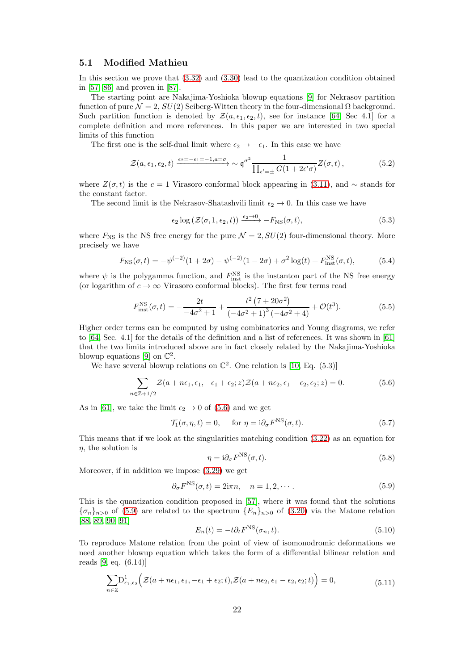### <span id="page-21-0"></span>5.1 Modified Mathieu

In this section we prove that [\(3.32\)](#page-9-5) and [\(3.30\)](#page-9-4) lead to the quantization condition obtained in [\[57,](#page-57-10) [86\]](#page-58-22) and proven in [\[87\]](#page-59-0).

The starting point are Nakajima-Yoshioka blowup equations [\[9\]](#page-55-8) for Nekrasov partition function of pure  $\mathcal{N} = 2$ ,  $SU(2)$  Seiberg-Witten theory in the four-dimensional  $\Omega$  background. Such partition function is denoted by  $\mathcal{Z}(a, \epsilon_1, \epsilon_2, t)$ , see for instance [\[64,](#page-58-0) Sec 4.1] for a complete definition and more references. In this paper we are interested in two special limits of this function

The first one is the self-dual limit where  $\epsilon_2 \rightarrow -\epsilon_1$ . In this case we have

$$
\mathcal{Z}(a,\epsilon_1,\epsilon_2,t) \xrightarrow{\epsilon_2=-\epsilon_1=-1, a=\sigma} \sim \mathfrak{q}^{\sigma^2} \frac{1}{\prod_{\epsilon'=\pm} G(1+2\epsilon'\sigma)} Z(\sigma,t),\tag{5.2}
$$

where  $Z(\sigma, t)$  is the c = 1 Virasoro conformal block appearing in [\(3.11\)](#page-7-6), and  $\sim$  stands for the constant factor.

The second limit is the Nekrasov-Shatashvili limit  $\epsilon_2 \rightarrow 0$ . In this case we have

$$
\epsilon_2 \log \left( \mathcal{Z}(\sigma, 1, \epsilon_2, t) \right) \xrightarrow{\epsilon_2 \to 0} -F_{\text{NS}}(\sigma, t), \tag{5.3}
$$

where  $F_{\text{NS}}$  is the NS free energy for the pure  $\mathcal{N} = 2$ ,  $SU(2)$  four-dimensional theory. More precisely we have

$$
F_{\rm NS}(\sigma, t) = -\psi^{(-2)}(1 + 2\sigma) - \psi^{(-2)}(1 - 2\sigma) + \sigma^2 \log(t) + F_{\rm inst}^{\rm NS}(\sigma, t),\tag{5.4}
$$

where  $\psi$  is the polygamma function, and  $F_{\text{inst}}^{\text{NS}}$  is the instanton part of the NS free energy (or logarithm of  $c \to \infty$  Virasoro conformal blocks). The first few terms read

$$
F_{\text{inst}}^{\text{NS}}(\sigma, t) = -\frac{2t}{-4\sigma^2 + 1} + \frac{t^2 (7 + 20\sigma^2)}{(-4\sigma^2 + 1)^3 (-4\sigma^2 + 4)} + \mathcal{O}(t^3). \tag{5.5}
$$

Higher order terms can be computed by using combinatorics and Young diagrams, we refer to [\[64,](#page-58-0) Sec. 4.1] for the details of the definition and a list of references. It was shown in [\[61\]](#page-57-17) that the two limits introduced above are in fact closely related by the Nakajima-Yoshioka blowup equations [\[9\]](#page-55-8) on  $\mathbb{C}^2$ .

We have several blowup relations on  $\mathbb{C}^2$ . One relation is [\[10,](#page-55-9) Eq. (5.3)]

$$
\sum_{n\in\mathbb{Z}+1/2}\mathcal{Z}(a+n\epsilon_1,\epsilon_1,-\epsilon_1+\epsilon_2;z)\mathcal{Z}(a+n\epsilon_2,\epsilon_1-\epsilon_2,\epsilon_2;z)=0.
$$
 (5.6)

As in [\[61\]](#page-57-17), we take the limit  $\epsilon_2 \rightarrow 0$  of [\(5.6\)](#page-21-1) and we get

$$
\mathcal{T}_1(\sigma, \eta, t) = 0, \quad \text{ for } \eta = \mathrm{i} \partial_\sigma F^{\mathrm{NS}}(\sigma, t). \tag{5.7}
$$

This means that if we look at the singularities matching condition [\(3.22\)](#page-9-2) as an equation for  $\eta$ , the solution is

<span id="page-21-1"></span>
$$
\eta = \mathrm{i}\partial_{\sigma} F^{\mathrm{NS}}(\sigma, t). \tag{5.8}
$$

Moreover, if in addition we impose [\(3.29\)](#page-9-3) we get

<span id="page-21-2"></span>
$$
\partial_{\sigma} F^{\text{NS}}(\sigma, t) = 2i\pi n, \quad n = 1, 2, \cdots.
$$
 (5.9)

This is the quantization condition proposed in [\[57\]](#page-57-10), where it was found that the solutions  ${\{\sigma_n\}}_{n>0}$  of [\(5.9\)](#page-21-2) are related to the spectrum  ${E_n}\}_{n>0}$  of [\(3.20\)](#page-8-6) via the Matone relation [\[88,](#page-59-1) [89,](#page-59-2) [90,](#page-59-3) [91\]](#page-59-4)

<span id="page-21-3"></span>
$$
E_n(t) = -t \partial_t F^{\text{NS}}(\sigma_n, t). \tag{5.10}
$$

To reproduce Matone relation from the point of view of isomonodromic deformations we need another blowup equation which takes the form of a differential bilinear relation and reads [\[9,](#page-55-8) eq. (6.14)]

$$
\sum_{n\in\mathbb{Z}} D^1_{\epsilon_1,\epsilon_2} \Big(\mathcal{Z}(a+n\epsilon_1,\epsilon_1,-\epsilon_1+\epsilon_2;t),\mathcal{Z}(a+n\epsilon_2,\epsilon_1-\epsilon_2,\epsilon_2;t)\Big)=0,
$$
\n(5.11)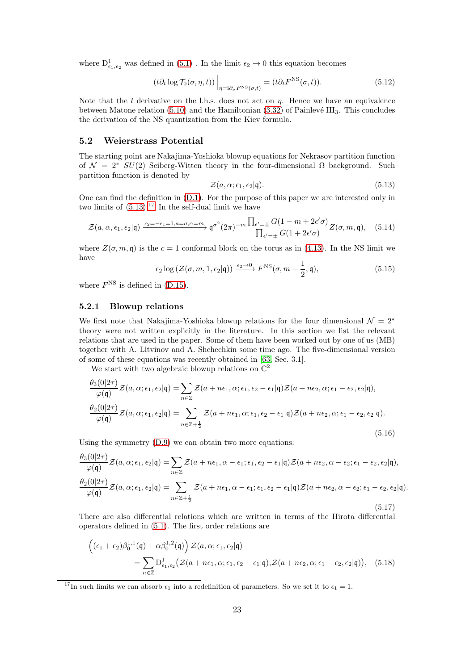where  $\mathrm{D}^1_{\epsilon_1,\epsilon_2}$  was defined in [\(5.1\)](#page-20-3) . In the limit  $\epsilon_2\to 0$  this equation becomes

$$
(t\partial_t \log \mathcal{T}_0(\sigma, \eta, t))\Big|_{\eta = i\partial_\sigma F^{\text{NS}}(\sigma, t)} = (t\partial_t F^{\text{NS}}(\sigma, t)).
$$
\n(5.12)

Note that the t derivative on the l.h.s. does not act on  $\eta$ . Hence we have an equivalence between Matone relation  $(5.10)$  and the Hamiltonian  $(3.32)$  of Painlevé III<sub>3</sub>. This concludes the derivation of the NS quantization from the Kiev formula.

### <span id="page-22-0"></span>5.2 Weierstrass Potential

The starting point are Nakajima-Yoshioka blowup equations for Nekrasov partition function of  $\mathcal{N} = 2^* SU(2)$  Seiberg-Witten theory in the four-dimensional  $\Omega$  background. Such partition function is denoted by

<span id="page-22-2"></span>
$$
\mathcal{Z}(a,\alpha;\epsilon_1,\epsilon_2|\mathfrak{q}).\tag{5.13}
$$

One can find the definition in [\(D.1\)](#page-51-1). For the purpose of this paper we are interested only in two limits of  $(5.13).^{17}$  $(5.13).^{17}$  $(5.13).^{17}$  In the self-dual limit we have

$$
\mathcal{Z}(a,\alpha,\epsilon_1,\epsilon_2|\mathfrak{q}) \xrightarrow{\epsilon_2=-\epsilon_1=1, a=\sigma,\alpha=m} \mathfrak{q}^{\sigma^2} (2\pi)^{-m} \frac{\prod_{\epsilon'=\pm} G(1-m+2\epsilon'\sigma)}{\prod_{\epsilon'=\pm} G(1+2\epsilon'\sigma)} Z(\sigma,m,\mathfrak{q}), \quad (5.14)
$$

where  $Z(\sigma, m, \mathfrak{q})$  is the  $c = 1$  conformal block on the torus as in [\(4.13\)](#page-11-1). In the NS limit we have

$$
\epsilon_2 \log \left( \mathcal{Z}(\sigma, m, 1, \epsilon_2 | \mathbf{q}) \right) \xrightarrow{\epsilon_2 \to 0} F^{\text{NS}}(\sigma, m - \frac{1}{2}, \mathbf{q}), \tag{5.15}
$$

where  $F<sup>NS</sup>$  is defined in [\(D.15\)](#page-52-1).

#### <span id="page-22-1"></span>5.2.1 Blowup relations

We first note that Nakajima-Yoshioka blowup relations for the four dimensional  $\mathcal{N} = 2^*$ theory were not written explicitly in the literature. In this section we list the relevant relations that are used in the paper. Some of them have been worked out by one of us (MB) together with A. Litvinov and A. Shchechkin some time ago. The five-dimensional version of some of these equations was recently obtained in [\[63,](#page-57-19) Sec. 3.1].

We start with two algebraic blowup relations on  $\mathbb{C}^2$ 

<span id="page-22-4"></span>
$$
\frac{\theta_3(0|2\tau)}{\varphi(\mathfrak{q})} \mathcal{Z}(a,\alpha;\epsilon_1,\epsilon_2|\mathfrak{q}) = \sum_{n\in\mathbb{Z}} \mathcal{Z}(a+n\epsilon_1,\alpha;\epsilon_1,\epsilon_2-\epsilon_1|\mathfrak{q}) \mathcal{Z}(a+n\epsilon_2,\alpha;\epsilon_1-\epsilon_2,\epsilon_2|\mathfrak{q}),
$$
  

$$
\frac{\theta_2(0|2\tau)}{\varphi(\mathfrak{q})} \mathcal{Z}(a,\alpha;\epsilon_1,\epsilon_2|\mathfrak{q}) = \sum_{n\in\mathbb{Z}+\frac{1}{2}} \mathcal{Z}(a+n\epsilon_1,\alpha;\epsilon_1,\epsilon_2-\epsilon_1|\mathfrak{q}) \mathcal{Z}(a+n\epsilon_2,\alpha;\epsilon_1-\epsilon_2,\epsilon_2|\mathfrak{q}).
$$
  
(5.16)

Using the symmetry [\(D.9\)](#page-52-2) we can obtain two more equations:

<span id="page-22-5"></span>
$$
\frac{\theta_3(0|2\tau)}{\varphi(\mathfrak{q})}\mathcal{Z}(a,\alpha;\epsilon_1,\epsilon_2|\mathfrak{q}) = \sum_{n\in\mathbb{Z}} \mathcal{Z}(a+n\epsilon_1,\alpha-\epsilon_1;\epsilon_1,\epsilon_2-\epsilon_1|\mathfrak{q})\mathcal{Z}(a+n\epsilon_2,\alpha-\epsilon_2;\epsilon_1-\epsilon_2,\epsilon_2|\mathfrak{q}),
$$
  

$$
\frac{\theta_2(0|2\tau)}{\varphi(\mathfrak{q})}\mathcal{Z}(a,\alpha;\epsilon_1,\epsilon_2|\mathfrak{q}) = \sum_{n\in\mathbb{Z}+\frac{1}{2}} \mathcal{Z}(a+n\epsilon_1,\alpha-\epsilon_1;\epsilon_1,\epsilon_2-\epsilon_1|\mathfrak{q})\mathcal{Z}(a+n\epsilon_2,\alpha-\epsilon_2;\epsilon_1-\epsilon_2,\epsilon_2|\mathfrak{q}).
$$
  
(5.17)

There are also differential relations which are written in terms of the Hirota differential operators defined in [\(5.1\)](#page-20-3). The first order relations are

<span id="page-22-6"></span>
$$
\begin{aligned}\n\left( (\epsilon_1 + \epsilon_2) \beta_0^{1,1}(\mathfrak{q}) + \alpha \beta_0^{1,2}(\mathfrak{q}) \right) \mathcal{Z}(a, \alpha; \epsilon_1, \epsilon_2 | \mathfrak{q}) \\
&= \sum_{n \in \mathbb{Z}} D_{\epsilon_1, \epsilon_2}^1 \big( \mathcal{Z}(a + n\epsilon_1, \alpha; \epsilon_1, \epsilon_2 - \epsilon_1 | \mathfrak{q}), \mathcal{Z}(a + n\epsilon_2, \alpha; \epsilon_1 - \epsilon_2, \epsilon_2 | \mathfrak{q}) \big), \quad (5.18)\n\end{aligned}
$$

<span id="page-22-3"></span><sup>17</sup>In such limits we can absorb  $\epsilon_1$  into a redefinition of parameters. So we set it to  $\epsilon_1 = 1$ .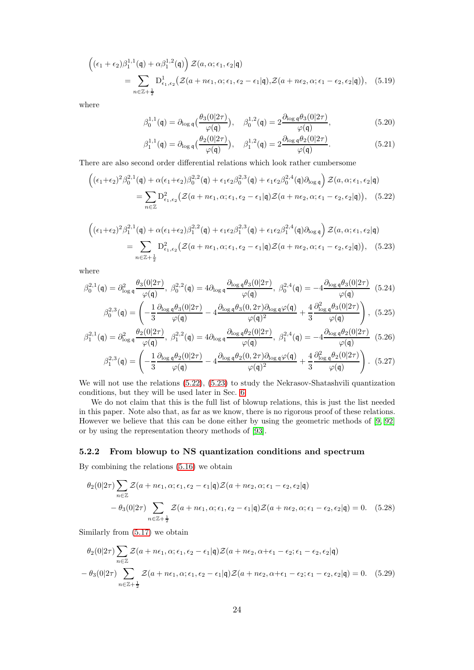$$
\begin{aligned}\n\left((\epsilon_1 + \epsilon_2)\beta_1^{1,1}(\mathfrak{q}) + \alpha\beta_1^{1,2}(\mathfrak{q})\right) \mathcal{Z}(a,\alpha;\epsilon_1,\epsilon_2|\mathfrak{q}) \\
&= \sum_{n \in \mathbb{Z}+\frac{1}{2}} D^1_{\epsilon_1,\epsilon_2} \big(\mathcal{Z}(a+n\epsilon_1,\alpha;\epsilon_1,\epsilon_2-\epsilon_1|\mathfrak{q}),\mathcal{Z}(a+n\epsilon_2,\alpha;\epsilon_1-\epsilon_2,\epsilon_2|\mathfrak{q})\big),\n\end{aligned} (5.19)
$$

where

<span id="page-23-3"></span>
$$
\beta_0^{1,1}(\mathfrak{q}) = \partial_{\log \mathfrak{q}} \left( \frac{\theta_3(0|2\tau)}{\varphi(\mathfrak{q})} \right), \quad \beta_0^{1,2}(\mathfrak{q}) = 2 \frac{\partial_{\log \mathfrak{q}} \theta_3(0|2\tau)}{\varphi(\mathfrak{q})},\tag{5.20}
$$

<span id="page-23-2"></span><span id="page-23-1"></span>
$$
\beta_1^{1,1}(\mathfrak{q}) = \partial_{\log \mathfrak{q}} \big( \frac{\theta_2(0|2\tau)}{\varphi(\mathfrak{q})} \big), \quad \beta_1^{1,2}(\mathfrak{q}) = 2 \frac{\partial_{\log \mathfrak{q}} \theta_2(0|2\tau)}{\varphi(\mathfrak{q})}.
$$
 (5.21)

There are also second order differential relations which look rather cumbersome

$$
\begin{split} \left( (\epsilon_1 + \epsilon_2)^2 \beta_0^{2,1}(\mathfrak{q}) + \alpha (\epsilon_1 + \epsilon_2) \beta_0^{2,2}(\mathfrak{q}) + \epsilon_1 \epsilon_2 \beta_0^{2,3}(\mathfrak{q}) + \epsilon_1 \epsilon_2 \beta_0^{2,4}(\mathfrak{q}) \partial_{\log \mathfrak{q}} \right) \mathcal{Z}(a, \alpha; \epsilon_1, \epsilon_2 | \mathfrak{q}) \\ &= \sum_{n \in \mathbb{Z}} D_{\epsilon_1, \epsilon_2}^2 \left( \mathcal{Z}(a + n\epsilon_1, \alpha; \epsilon_1, \epsilon_2 - \epsilon_1 | \mathfrak{q}) \mathcal{Z}(a + n\epsilon_2, \alpha; \epsilon_1 - \epsilon_2, \epsilon_2 | \mathfrak{q}) \right), \end{split} \tag{5.22}
$$

$$
\begin{split} \left( (\epsilon_1 + \epsilon_2)^2 \beta_1^{2,1}(\mathfrak{q}) + \alpha (\epsilon_1 + \epsilon_2) \beta_1^{2,2}(\mathfrak{q}) + \epsilon_1 \epsilon_2 \beta_1^{2,3}(\mathfrak{q}) + \epsilon_1 \epsilon_2 \beta_1^{2,4}(\mathfrak{q}) \partial_{\log \mathfrak{q}} \right) \mathcal{Z}(a, \alpha; \epsilon_1, \epsilon_2 | \mathfrak{q}) \\ &= \sum_{n \in \mathbb{Z} + \frac{1}{2}} D_{\epsilon_1, \epsilon_2}^2 \left( \mathcal{Z}(a + n\epsilon_1, \alpha; \epsilon_1, \epsilon_2 - \epsilon_1 | \mathfrak{q}) \mathcal{Z}(a + n\epsilon_2, \alpha; \epsilon_1 - \epsilon_2, \epsilon_2 | \mathfrak{q}) \right), \end{split} \tag{5.23}
$$

where

$$
\beta_0^{2,1}(\mathfrak{q}) = \partial_{\log \mathfrak{q}}^2 \frac{\theta_3(0|2\tau)}{\varphi(\mathfrak{q})}, \ \beta_0^{2,2}(\mathfrak{q}) = 4 \partial_{\log \mathfrak{q}} \frac{\partial_{\log \mathfrak{q}} \theta_3(0|2\tau)}{\varphi(\mathfrak{q})}, \ \beta_0^{2,4}(\mathfrak{q}) = -4 \frac{\partial_{\log \mathfrak{q}} \theta_3(0|2\tau)}{\varphi(\mathfrak{q})} \tag{5.24}
$$

$$
\beta_0^{2,3}(\mathbf{q}) = \left(-\frac{1}{3}\frac{\partial_{\log \mathbf{q}}\theta_3(0|2\tau)}{\varphi(\mathbf{q})} - 4\frac{\partial_{\log \mathbf{q}}\theta_3(0,2\tau)\partial_{\log \mathbf{q}}\varphi(\mathbf{q})}{\varphi(\mathbf{q})^2} + \frac{4}{3}\frac{\partial_{\log \mathbf{q}}^2\theta_3(0|2\tau)}{\varphi(\mathbf{q})}\right), (5.25)
$$

$$
\beta_1^{2,1}(\mathfrak{q}) = \partial_{\log \mathfrak{q}}^2 \frac{\theta_2(0|2\tau)}{\varphi(\mathfrak{q})}, \ \beta_1^{2,2}(\mathfrak{q}) = 4 \partial_{\log \mathfrak{q}} \frac{\theta_2(0|2\tau)}{\varphi(\mathfrak{q})}, \ \beta_1^{2,4}(\mathfrak{q}) = -4 \frac{\partial_{\log \mathfrak{q}} \theta_2(0|2\tau)}{\varphi(\mathfrak{q})} \tag{5.26}
$$
\n
$$
\beta_1^{2,3}(\mathfrak{q}) = \left(-\frac{1}{3} \frac{\partial_{\log \mathfrak{q}} \theta_2(0|2\tau)}{\varphi(\mathfrak{q})} - 4 \frac{\partial_{\log \mathfrak{q}} \theta_2(0,2\tau) \partial_{\log \mathfrak{q}} \varphi(\mathfrak{q})}{\varphi(\mathfrak{q})^2} + \frac{4}{3} \frac{\partial_{\log \mathfrak{q}}^2 \theta_2(0|2\tau)}{\varphi(\mathfrak{q})}\right). \tag{5.27}
$$

We will not use the relations  $(5.22)$ ,  $(5.23)$  to study the Nekrasov-Shatashvili quantization conditions, but they will be used later in Sec. [6.](#page-25-0)

We do not claim that this is the full list of blowup relations, this is just the list needed in this paper. Note also that, as far as we know, there is no rigorous proof of these relations. However we believe that this can be done either by using the geometric methods of [\[9,](#page-55-8) [92\]](#page-59-5) or by using the representation theory methods of [\[93\]](#page-59-6).

### <span id="page-23-0"></span>5.2.2 From blowup to NS quantization conditions and spectrum

By combining the relations [\(5.16\)](#page-22-4) we obtain

$$
\theta_2(0|2\tau) \sum_{n \in \mathbb{Z}} \mathcal{Z}(a + n\epsilon_1, \alpha; \epsilon_1, \epsilon_2 - \epsilon_1 | \mathbf{q}) \mathcal{Z}(a + n\epsilon_2, \alpha; \epsilon_1 - \epsilon_2, \epsilon_2 | \mathbf{q})
$$
  
- 
$$
\theta_3(0|2\tau) \sum_{n \in \mathbb{Z}+\frac{1}{2}} \mathcal{Z}(a + n\epsilon_1, \alpha; \epsilon_1, \epsilon_2 - \epsilon_1 | \mathbf{q}) \mathcal{Z}(a + n\epsilon_2, \alpha; \epsilon_1 - \epsilon_2, \epsilon_2 | \mathbf{q}) = 0.
$$
 (5.28)

Similarly from [\(5.17\)](#page-22-5) we obtain

$$
\theta_2(0|2\tau) \sum_{n \in \mathbb{Z}} \mathcal{Z}(a + n\epsilon_1, \alpha; \epsilon_1, \epsilon_2 - \epsilon_1 | \mathbf{q}) \mathcal{Z}(a + n\epsilon_2, \alpha + \epsilon_1 - \epsilon_2; \epsilon_1 - \epsilon_2, \epsilon_2 | \mathbf{q})
$$

$$
- \theta_3(0|2\tau) \sum_{n \in \mathbb{Z} + \frac{1}{2}} \mathcal{Z}(a + n\epsilon_1, \alpha; \epsilon_1, \epsilon_2 - \epsilon_1 | \mathbf{q}) \mathcal{Z}(a + n\epsilon_2, \alpha + \epsilon_1 - \epsilon_2; \epsilon_1 - \epsilon_2, \epsilon_2 | \mathbf{q}) = 0. \quad (5.29)
$$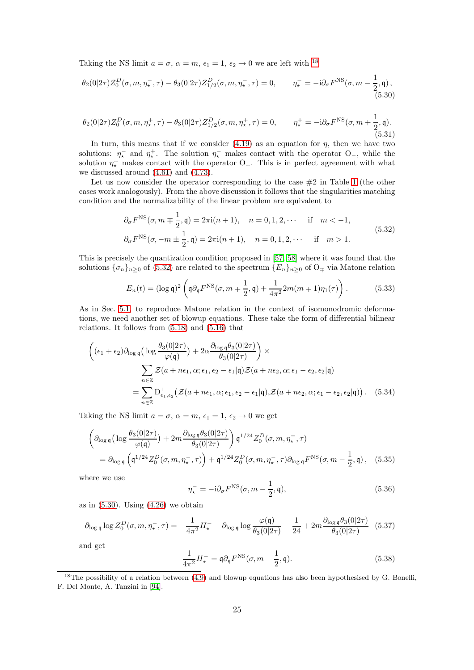Taking the NS limit  $a = \sigma$ ,  $\alpha = m$ ,  $\epsilon_1 = 1$ ,  $\epsilon_2 \rightarrow 0$  we are left with <sup>[18](#page-24-0)</sup>

<span id="page-24-2"></span>
$$
\theta_2(0|2\tau)Z_0^D(\sigma, m, \eta_\star^-, \tau) - \theta_3(0|2\tau)Z_{1/2}^D(\sigma, m, \eta_\star^-, \tau) = 0, \qquad \eta_\star^- = -i\partial_\sigma F^{\text{NS}}(\sigma, m - \frac{1}{2}, \mathfrak{q}),
$$
\n(5.30)

$$
\theta_2(0|2\tau)Z_0^D(\sigma, m, \eta_\star^+, \tau) - \theta_3(0|2\tau)Z_{1/2}^D(\sigma, m, \eta_\star^+, \tau) = 0, \qquad \eta_\star^+ = -i\partial_\sigma F^{\text{NS}}(\sigma, m + \frac{1}{2}, \mathfrak{q}).
$$
\n(5.31)

In turn, this means that if we consider  $(4.19)$  as an equation for  $\eta$ , then we have two solutions:  $\eta_{\star}^-$  and  $\eta_{\star}^+$ . The solution  $\eta_{\star}^-$  makes contact with the operator O<sub>-</sub>, while the solution  $\eta^+$  makes contact with the operator  $O_+$ . This is in perfect agreement with what we discussed around [\(4.61\)](#page-18-3) and [\(4.73\)](#page-19-6).

Let us now consider the operator corresponding to the case  $#2$  in Table [1](#page-14-3) (the other cases work analogously). From the above discussion it follows that the singularities matching condition and the normalizability of the linear problem are equivalent to

<span id="page-24-1"></span>
$$
\partial_{\sigma} F^{\text{NS}}(\sigma, m \mp \frac{1}{2}, \mathfrak{q}) = 2\pi i (n+1), \quad n = 0, 1, 2, \cdots \quad \text{if} \quad m < -1,
$$
  

$$
\partial_{\sigma} F^{\text{NS}}(\sigma, -m \pm \frac{1}{2}, \mathfrak{q}) = 2\pi i (n+1), \quad n = 0, 1, 2, \cdots \quad \text{if} \quad m > 1.
$$
 (5.32)

This is precisely the quantization condition proposed in [\[57,](#page-57-10) [58\]](#page-57-11) where it was found that the solutions  $\{\sigma_n\}_{n\geq 0}$  of  $(5.32)$  are related to the spectrum  $\{E_n\}_{n\geq 0}$  of  $O_{\mp}$  via Matone relation

<span id="page-24-3"></span>
$$
E_n(t) = (\log \mathfrak{q})^2 \left( \mathfrak{q} \partial_{\mathfrak{q}} F^{\rm NS}(\sigma, m \mp \frac{1}{2}, \mathfrak{q}) + \frac{1}{4\pi^2} 2m(m \mp 1)\eta_1(\tau) \right).
$$
 (5.33)

As in Sec. [5.1,](#page-21-0) to reproduce Matone relation in the context of isomonodromic deformations, we need another set of blowup equations. These take the form of differential bilinear relations. It follows from  $(5.18)$  and  $(5.16)$  that

$$
\begin{aligned}\n\left( (\epsilon_1 + \epsilon_2) \partial_{\log \mathfrak{q}} \left( \log \frac{\theta_3(0|2\tau)}{\varphi(\mathfrak{q})} \right) + 2\alpha \frac{\partial_{\log \mathfrak{q}} \theta_3(0|2\tau)}{\theta_3(0|2\tau)} \right) \times \\
&\sum_{n \in \mathbb{Z}} \mathcal{Z}(a + n\epsilon_1, \alpha; \epsilon_1, \epsilon_2 - \epsilon_1 | \mathfrak{q}) \mathcal{Z}(a + n\epsilon_2, \alpha; \epsilon_1 - \epsilon_2, \epsilon_2 | \mathfrak{q}) \\
&= \sum_{n \in \mathbb{Z}} D^1_{\epsilon_1, \epsilon_2} \left( \mathcal{Z}(a + n\epsilon_1, \alpha; \epsilon_1, \epsilon_2 - \epsilon_1 | \mathfrak{q}) \mathcal{Z}(a + n\epsilon_2, \alpha; \epsilon_1 - \epsilon_2, \epsilon_2 | \mathfrak{q}) \right). \n\end{aligned} \tag{5.34}
$$

Taking the NS limit  $a = \sigma$ ,  $\alpha = m$ ,  $\epsilon_1 = 1$ ,  $\epsilon_2 \rightarrow 0$  we get

$$
\begin{aligned}\n\left(\partial_{\log\mathfrak{q}}\left(\log\frac{\theta_{3}(0|2\tau)}{\varphi(\mathfrak{q})}\right)+2m\frac{\partial_{\log\mathfrak{q}}\theta_{3}(0|2\tau)}{\theta_{3}(0|2\tau)}\right)\mathfrak{q}^{1/24}Z_{0}^{D}(\sigma,m,\eta_{\star}^{-},\tau) \\
= \partial_{\log\mathfrak{q}}\left(\mathfrak{q}^{1/24}Z_{0}^{D}(\sigma,m,\eta_{\star}^{-},\tau)\right)+\mathfrak{q}^{1/24}Z_{0}^{D}(\sigma,m,\eta_{\star}^{-},\tau)\partial_{\log\mathfrak{q}}F^{\text{NS}}(\sigma,m-\frac{1}{2},\mathfrak{q})\,,\n\end{aligned} \tag{5.35}
$$

where we use

$$
\eta_{\star}^{-} = -\mathrm{i}\partial_{\sigma} F^{\mathrm{NS}}(\sigma, m - \frac{1}{2}, \mathfrak{q}),\tag{5.36}
$$

as in  $(5.30)$ . Using  $(4.26)$  we obtain

$$
\partial_{\log \mathfrak{q}} \log Z_0^D(\sigma, m, \eta_\star^-, \tau) = -\frac{1}{4\pi^2} H_\star^- - \partial_{\log \mathfrak{q}} \log \frac{\varphi(\mathfrak{q})}{\theta_3(0|2\tau)} - \frac{1}{24} + 2m \frac{\partial_{\log \mathfrak{q}} \theta_3(0|2\tau)}{\theta_3(0|2\tau)} \tag{5.37}
$$

and get

$$
\frac{1}{4\pi^2}H_{\star}^- = \mathfrak{q}\partial_{\mathfrak{q}}F^{\rm NS}(\sigma, m - \frac{1}{2}, \mathfrak{q}).\tag{5.38}
$$

<span id="page-24-0"></span> $18$ The possibility of a relation between [\(4.9\)](#page-11-5) and blowup equations has also been hypothesised by G. Bonelli, F. Del Monte, A. Tanzini in [\[94\]](#page-59-7).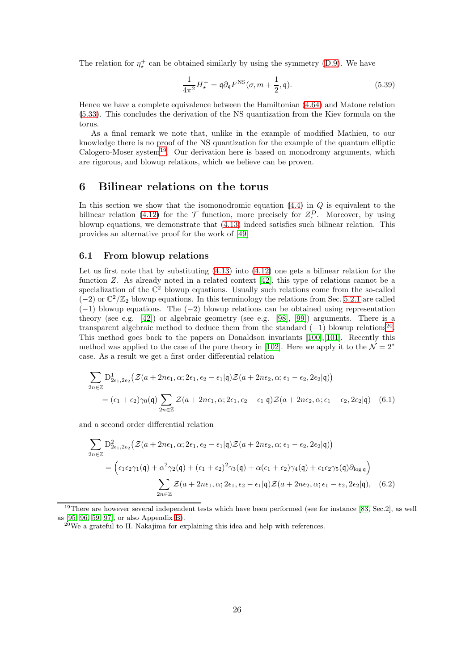The relation for  $\eta^+_{\star}$  can be obtained similarly by using the symmetry [\(D.9\)](#page-52-2). We have

$$
\frac{1}{4\pi^2}H^+_\star = \mathfrak{q}\partial_\mathfrak{q} F^{\rm NS}(\sigma, m + \frac{1}{2}, \mathfrak{q}).\tag{5.39}
$$

Hence we have a complete equivalence between the Hamiltonian [\(4.64\)](#page-18-5) and Matone relation [\(5.33\)](#page-24-3). This concludes the derivation of the NS quantization from the Kiev formula on the torus.

As a final remark we note that, unlike in the example of modified Mathieu, to our knowledge there is no proof of the NS quantization for the example of the quantum elliptic Calogero-Moser system[19](#page-25-3). Our derivation here is based on monodromy arguments, which are rigorous, and blowup relations, which we believe can be proven.

### <span id="page-25-0"></span>6 Bilinear relations on the torus

In this section we show that the isomonodromic equation  $(4.4)$  in  $Q$  is equivalent to the bilinear relation [\(4.12\)](#page-11-2) for the  $\mathcal T$  function, more precisely for  $Z_{\epsilon}^D$ . Moreover, by using blowup equations, we demonstrate that [\(4.13\)](#page-11-1) indeed satisfies such bilinear relation. This provides an alternative proof for the work of [\[49\]](#page-57-5)

#### <span id="page-25-1"></span>6.1 From blowup relations

Let us first note that by substituting  $(4.13)$  into  $(4.12)$  one gets a bilinear relation for the function  $Z$ . As already noted in a related context  $[42]$ , this type of relations cannot be a specialization of the  $\mathbb{C}^2$  blowup equations. Usually such relations come from the so-called (-2) or  $\mathbb{C}^2/\mathbb{Z}_2$  blowup equations. In this terminology the relations from Sec. [5.2.1](#page-22-1) are called (−1) blowup equations. The (−2) blowup relations can be obtained using representation theory (see e.g. [\[42\]](#page-56-13)) or algebraic geometry (see e.g. [\[98\]](#page-59-8), [\[99\]](#page-59-9)) arguments. There is a transparent algebraic method to deduce them from the standard  $(-1)$  blowup relations<sup>[20](#page-25-4)</sup>. This method goes back to the papers on Donaldson invariants [\[100\]](#page-59-10),[\[101\]](#page-59-11). Recently this method was applied to the case of the pure theory in [\[102\]](#page-59-12). Here we apply it to the  $\mathcal{N} = 2^*$ case. As a result we get a first order differential relation

<span id="page-25-2"></span>
$$
\sum_{2n\in\mathbb{Z}} D^1_{2\epsilon_1,2\epsilon_2} \left( \mathcal{Z}(a+2n\epsilon_1,\alpha;2\epsilon_1,\epsilon_2-\epsilon_1|\mathbf{q}) \mathcal{Z}(a+2n\epsilon_2,\alpha;\epsilon_1-\epsilon_2,2\epsilon_2|\mathbf{q}) \right)
$$
  
=  $(\epsilon_1+\epsilon_2)\gamma_0(\mathbf{q}) \sum_{2n\in\mathbb{Z}} \mathcal{Z}(a+2n\epsilon_1,\alpha;2\epsilon_1,\epsilon_2-\epsilon_1|\mathbf{q}) \mathcal{Z}(a+2n\epsilon_2,\alpha;\epsilon_1-\epsilon_2,2\epsilon_2|\mathbf{q})$  (6.1)

and a second order differential relation

<span id="page-25-5"></span>
$$
\sum_{2n\in\mathbb{Z}} D_{2\epsilon_1,2\epsilon_2}^2 \left( \mathcal{Z}(a+2n\epsilon_1,\alpha;2\epsilon_1,\epsilon_2-\epsilon_1|\mathbf{q})\mathcal{Z}(a+2n\epsilon_2,\alpha;\epsilon_1-\epsilon_2,2\epsilon_2|\mathbf{q}) \right)
$$
  
= 
$$
\left( \epsilon_1 \epsilon_2 \gamma_1(\mathbf{q}) + \alpha^2 \gamma_2(\mathbf{q}) + (\epsilon_1+\epsilon_2)^2 \gamma_3(\mathbf{q}) + \alpha(\epsilon_1+\epsilon_2)\gamma_4(\mathbf{q}) + \epsilon_1 \epsilon_2 \gamma_5(\mathbf{q})\partial_{\log \mathbf{q}} \right)
$$

$$
\sum_{2n\in\mathbb{Z}} \mathcal{Z}(a+2n\epsilon_1,\alpha;2\epsilon_1,\epsilon_2-\epsilon_1|\mathbf{q})\mathcal{Z}(a+2n\epsilon_2,\alpha;\epsilon_1-\epsilon_2,2\epsilon_2|\mathbf{q}), \quad (6.2)
$$

 $19$ There are however several independent tests which have been performed (see for instance [\[83,](#page-58-19) Sec.2], as well as [\[95,](#page-59-13) [96,](#page-59-14) [59,](#page-57-12) [97\]](#page-59-15), or also Appendix [B\)](#page-42-0).

<span id="page-25-4"></span><span id="page-25-3"></span> $20$ We a grateful to H. Nakajima for explaining this idea and help with references.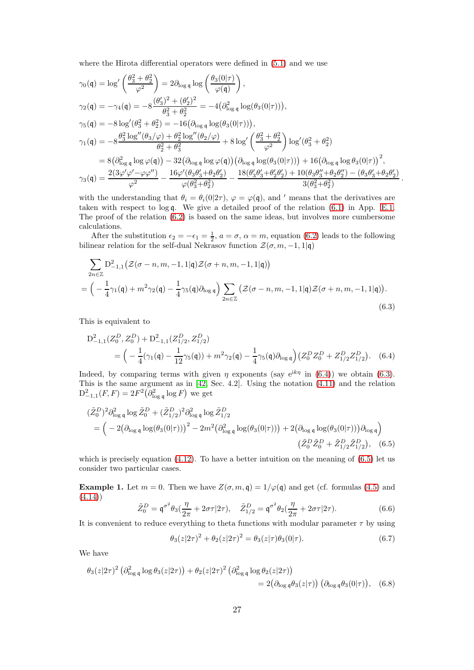where the Hirota differential operators were defined in [\(5.1\)](#page-20-3) and we use

$$
\gamma_0(\mathfrak{q}) = \log' \left( \frac{\theta_3^2 + \theta_2^2}{\varphi^2} \right) = 2 \partial_{\log \mathfrak{q}} \log \left( \frac{\theta_3(0|\tau)}{\varphi(\mathfrak{q})} \right),
$$
  
\n
$$
\gamma_2(\mathfrak{q}) = -\gamma_4(\mathfrak{q}) = -8 \frac{(\theta_3')^2 + (\theta_2')^2}{\theta_3^2 + \theta_2^2} = -4 (\partial_{\log \mathfrak{q}}^2 \log(\theta_3(0|\tau))),
$$
  
\n
$$
\gamma_5(\mathfrak{q}) = -8 \log'(\theta_3^2 + \theta_2^2) = -16 (\partial_{\log \mathfrak{q}} \log(\theta_3(0|\tau))),
$$
  
\n
$$
\gamma_1(\mathfrak{q}) = -8 \frac{\theta_3^2 \log''(\theta_3/\varphi) + \theta_2^2 \log''(\theta_2/\varphi)}{\theta_2^2 + \theta_3^2} + 8 \log' \left( \frac{\theta_3^2 + \theta_2^2}{\varphi^2} \right) \log'(\theta_3^2 + \theta_2^2)
$$
  
\n
$$
= 8 (\partial_{\log \mathfrak{q}}^2 \log \varphi(\mathfrak{q})) - 32 (\partial_{\log \mathfrak{q}} \log \varphi(\mathfrak{q})) (\partial_{\log \mathfrak{q}} \log(\theta_3(0|\tau))) + 16 (\partial_{\log \mathfrak{q}} \log \theta_3(0|\tau))^2,
$$
  
\n
$$
\gamma_3(\mathfrak{q}) = \frac{2(3\varphi'\varphi' - \varphi\varphi'')}{\varphi^2} - \frac{16\varphi'(\theta_3\theta_3' + \theta_2\theta_2')}{\varphi(\theta_3^2 + \theta_2^2)} - \frac{18(\theta_3'\theta_3' + \theta_2'\theta_2') + 10(\theta_3\theta_3'' + \theta_2\theta_2'') - (\theta_3\theta_3' + \theta_2\theta_2')}{3(\theta_3^2 + \theta_2^2)}
$$

<span id="page-26-2"></span><span id="page-26-1"></span>.

with the understanding that  $\theta_i = \theta_i(0|2\tau)$ ,  $\varphi = \varphi(\mathfrak{q})$ , and ' means that the derivatives are taken with respect to log q. We give a detailed proof of the relation [\(6.1\)](#page-25-2) in App. [E.1.](#page-53-1) The proof of the relation [\(6.2\)](#page-25-5) is based on the same ideas, but involves more cumbersome calculations.

After the substitution  $\epsilon_2 = -\epsilon_1 = \frac{1}{2}$ ,  $a = \sigma$ ,  $\alpha = m$ , equation [\(6.2\)](#page-25-5) leads to the following bilinear relation for the self-dual Nekrasov function  $\mathcal{Z}(\sigma, m, -1, 1|\mathfrak{q})$ 

$$
\sum_{2n\in\mathbb{Z}} D_{-1,1}^2 \left( \mathcal{Z}(\sigma - n, m, -1, 1 | \mathbf{q}) \mathcal{Z}(\sigma + n, m, -1, 1 | \mathbf{q}) \right)
$$
  
=  $\left( -\frac{1}{4}\gamma_1(\mathbf{q}) + m^2\gamma_2(\mathbf{q}) - \frac{1}{4}\gamma_5(\mathbf{q})\partial_{\log \mathbf{q}} \right) \sum_{2n\in\mathbb{Z}} \left( \mathcal{Z}(\sigma - n, m, -1, 1 | \mathbf{q}) \mathcal{Z}(\sigma + n, m, -1, 1 | \mathbf{q}) \right).$  (6.3)

This is equivalent to

$$
D_{-1,1}^{2}(Z_{0}^{D}, Z_{0}^{D}) + D_{-1,1}^{2}(Z_{1/2}^{D}, Z_{1/2}^{D})
$$
  
=  $\left(-\frac{1}{4}(\gamma_{1}(\mathbf{q}) - \frac{1}{12}\gamma_{5}(\mathbf{q})) + m^{2}\gamma_{2}(\mathbf{q}) - \frac{1}{4}\gamma_{5}(\mathbf{q})\partial_{\log \mathbf{q}}\right)(Z_{0}^{D}Z_{0}^{D} + Z_{1/2}^{D}Z_{1/2}^{D}).$  (6.4)

Indeed, by comparing terms with given  $\eta$  exponents (say e<sup>ik $\eta$ </sup> in [\(6.4\)](#page-26-1)) we obtain [\(6.3\)](#page-26-2). This is the same argument as in [\[42,](#page-56-13) Sec. 4.2]. Using the notation [\(4.11\)](#page-11-7) and the relation  $D_{-1,1}^2(F,F) = 2F^2(\partial_{\log q}^2 \log F)$  we get

$$
(\tilde{Z}_{0}^{D})^{2} \partial_{\log q}^{2} \log \tilde{Z}_{0}^{D} + (\tilde{Z}_{1/2}^{D})^{2} \partial_{\log q}^{2} \log \tilde{Z}_{1/2}^{D}
$$
  
=  $\left( -2(\partial_{\log q} \log(\theta_{3}(0|\tau)))^{2} - 2m^{2}(\partial_{\log q}^{2} \log(\theta_{3}(0|\tau))) + 2(\partial_{\log q} \log(\theta_{3}(0|\tau)))\partial_{\log q} \right)$   
 $(\tilde{Z}_{0}^{D}\tilde{Z}_{0}^{D} + \tilde{Z}_{1/2}^{D}\tilde{Z}_{1/2}^{D}),$  (6.5)

which is precisely equation  $(4.12)$ . To have a better intuition on the meaning of  $(6.5)$  let us consider two particular cases.

**Example 1.** Let  $m = 0$ . Then we have  $Z(\sigma, m, \mathfrak{q}) = 1/\varphi(\mathfrak{q})$  and get (cf. formulas [\(4.5\)](#page-11-3) and  $(4.14)$ 

$$
\tilde{Z}_0^D = \mathfrak{q}^{\sigma^2} \theta_3 (\frac{\eta}{2\pi} + 2\sigma \tau | 2\tau), \quad \tilde{Z}_{1/2}^D = \mathfrak{q}^{\sigma^2} \theta_2 (\frac{\eta}{2\pi} + 2\sigma \tau | 2\tau). \tag{6.6}
$$

It is convenient to reduce everything to theta functions with modular parameter  $\tau$  by using

<span id="page-26-4"></span><span id="page-26-3"></span><span id="page-26-0"></span>
$$
\theta_3(z|2\tau)^2 + \theta_2(z|2\tau)^2 = \theta_3(z|\tau)\theta_3(0|\tau). \tag{6.7}
$$

We have

$$
\theta_3(z|2\tau)^2 \left(\partial_{\log q}^2 \log \theta_3(z|2\tau)\right) + \theta_2(z|2\tau)^2 \left(\partial_{\log q}^2 \log \theta_2(z|2\tau)\right)
$$
  
=  $2\left(\partial_{\log q} \theta_3(z|\tau)\right) \left(\partial_{\log q} \theta_3(0|\tau)\right),$  (6.8)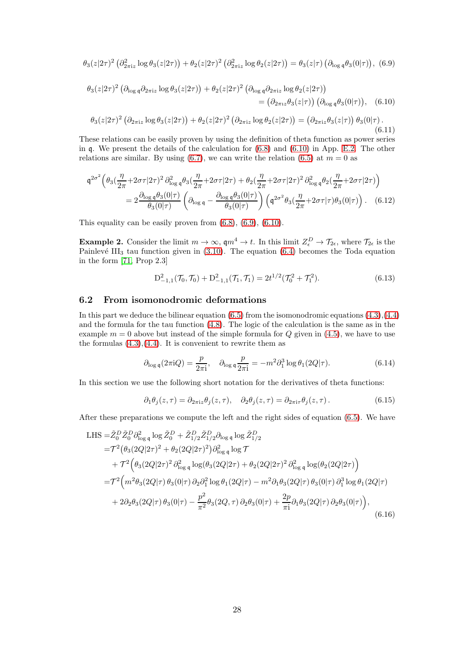<span id="page-27-2"></span>
$$
\theta_3(z|2\tau)^2 \left(\partial_{2\pi i z}^2 \log \theta_3(z|2\tau)\right) + \theta_2(z|2\tau)^2 \left(\partial_{2\pi i z}^2 \log \theta_2(z|2\tau)\right) = \theta_3(z|\tau) \left(\partial_{\log q} \theta_3(0|\tau)\right), (6.9)
$$

$$
\theta_3(z|2\tau)^2 \left(\partial_{\log q}\partial_{2\pi iz} \log \theta_3(z|2\tau)\right) + \theta_2(z|2\tau)^2 \left(\partial_{\log q}\partial_{2\pi iz} \log \theta_2(z|2\tau)\right)
$$
  
\n
$$
= \left(\partial_{2\pi iz}\theta_3(z|\tau)\right) \left(\partial_{\log q}\theta_3(0|\tau)\right), \quad (6.10)
$$
  
\n
$$
\theta_3(z|2\tau)^2 \left(\partial_{2\pi iz} \log \theta_3(z|2\tau)\right) + \theta_2(z|2\tau)^2 \left(\partial_{2\pi iz} \log \theta_2(z|2\tau)\right) = \left(\partial_{2\pi iz}\theta_3(z|\tau)\right) \theta_3(0|\tau).
$$
  
\n(6.11)

<span id="page-27-3"></span>These relations can be easily proven by using the definition of theta function as power series in q. We present the details of the calculation for [\(6.8\)](#page-26-0) and [\(6.10\)](#page-27-1) in App. [E.2.](#page-54-0) The other relations are similar. By using [\(6.7\)](#page-26-4), we can write the relation [\(6.5\)](#page-26-3) at  $m = 0$  as

$$
q^{2\sigma^2} \left(\theta_3 \left(\frac{\eta}{2\pi} + 2\sigma\tau |2\tau\right)^2 \partial_{\log q}^2 \theta_3 \left(\frac{\eta}{2\pi} + 2\sigma\tau |2\tau\right) + \theta_2 \left(\frac{\eta}{2\pi} + 2\sigma\tau |2\tau\right)^2 \partial_{\log q}^2 \theta_2 \left(\frac{\eta}{2\pi} + 2\sigma\tau |2\tau\right)\right)
$$
  
= 
$$
2 \frac{\partial_{\log q} \theta_3(0|\tau)}{\theta_3(0|\tau)} \left(\partial_{\log q} - \frac{\partial_{\log q} \theta_3(0|\tau)}{\theta_3(0|\tau)}\right) \left(q^{2\sigma^2} \theta_3 \left(\frac{\eta}{2\pi} + 2\sigma\tau | \tau\right) \theta_3(0|\tau)\right).
$$
 (6.12)

This equality can be easily proven from  $(6.8)$ ,  $(6.9)$ ,  $(6.10)$ .

**Example 2.** Consider the limit  $m \to \infty$ ,  $\mathfrak{q}m^4 \to t$ . In this limit  $Z_{\epsilon}^D \to \mathcal{T}_{2\epsilon}$ , where  $\mathcal{T}_{2\epsilon}$  is the Painlevé III<sub>3</sub> tau function given in  $(3.10)$ . The equation  $(6.4)$  becomes the Toda equation in the form [\[71,](#page-58-7) Prop 2.3]

<span id="page-27-1"></span>
$$
D_{-1,1}^2(\mathcal{T}_0, \mathcal{T}_0) + D_{-1,1}^2(\mathcal{T}_1, \mathcal{T}_1) = 2t^{1/2}(\mathcal{T}_0^2 + \mathcal{T}_1^2). \tag{6.13}
$$

### <span id="page-27-0"></span>6.2 From isomonodromic deformations

In this part we deduce the bilinear equation  $(6.5)$  from the isomonodromic equations  $(4.3)$ , $(4.4)$ and the formula for the tau function [\(4.8\)](#page-11-0). The logic of the calculation is the same as in the example  $m = 0$  above but instead of the simple formula for  $Q$  given in [\(4.5\)](#page-11-3), we have to use the formulas  $(4.3)$ , $(4.4)$ . It is convenient to rewrite them as

$$
\partial_{\log \mathfrak{q}}(2\pi i Q) = \frac{p}{2\pi i}, \quad \partial_{\log \mathfrak{q}} \frac{p}{2\pi i} = -m^2 \partial_1^3 \log \theta_1(2Q|\tau). \tag{6.14}
$$

In this section we use the following short notation for the derivatives of theta functions:

$$
\partial_1 \theta_j(z,\tau) = \partial_{2\pi i z} \theta_j(z,\tau), \quad \partial_2 \theta_j(z,\tau) = \partial_{2\pi i \tau} \theta_j(z,\tau). \tag{6.15}
$$

After these preparations we compute the left and the right sides of equation [\(6.5\)](#page-26-3). We have

<span id="page-27-4"></span>LHS = 
$$
\tilde{Z}_0^D \tilde{Z}_0^D \partial_{\log q}^2 \log \tilde{Z}_0^D + \tilde{Z}_{1/2}^D \tilde{Z}_{1/2}^D \partial_{\log q} \log \tilde{Z}_{1/2}^D
$$
  
\n=  $\mathcal{T}^2 (\theta_3 (2Q|2\tau)^2 + \theta_2 (2Q|2\tau)^2) \partial_{\log q}^2 \log \mathcal{T}$   
\n+  $\mathcal{T}^2 (\theta_3 (2Q|2\tau)^2 \partial_{\log q}^2 \log (\theta_3 (2Q|2\tau) + \theta_2 (2Q|2\tau)^2 \partial_{\log q}^2 \log (\theta_2 (2Q|2\tau))$   
\n=  $\mathcal{T}^2 (m^2 \theta_3 (2Q|\tau) \theta_3 (0|\tau) \partial_2 \partial_1^2 \log \theta_1 (2Q|\tau) - m^2 \partial_1 \theta_3 (2Q|\tau) \theta_3 (0|\tau) \partial_1^3 \log \theta_1 (2Q|\tau)$   
\n+  $2\partial_2 \theta_3 (2Q|\tau) \theta_3 (0|\tau) - \frac{p^2}{\pi^2} \theta_3 (2Q, \tau) \partial_2 \theta_3 (0|\tau) + \frac{2p}{\pi^2} \partial_1 \theta_3 (2Q|\tau) \partial_2 \theta_3 (0|\tau) ,$  (6.16)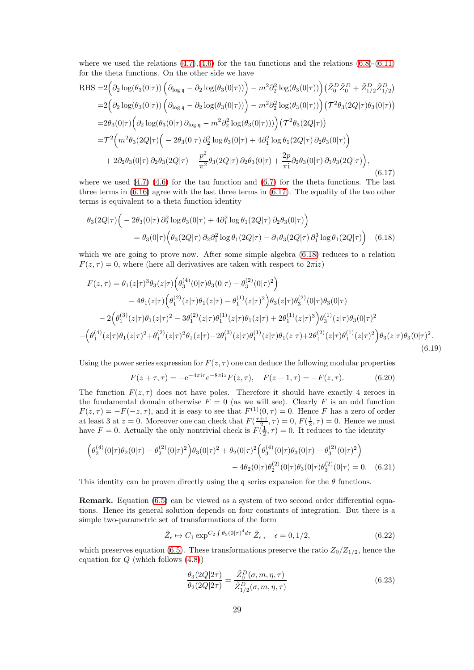where we used the relations  $(4.7),(4.6)$  $(4.7),(4.6)$  for the tau functions and the relations  $(6.8)-(6.11)$  $(6.8)-(6.11)$ for the theta functions. On the other side we have

<span id="page-28-0"></span>RHS =2
$$
\left(\partial_2 \log(\theta_3(0|\tau)) \left(\partial_{\log q} - \partial_2 \log(\theta_3(0|\tau))\right) - m^2 \partial_2^2 \log(\theta_3(0|\tau))\right) \left(\tilde{Z}_0^D \tilde{Z}_0^D + \tilde{Z}_{1/2}^D \tilde{Z}_{1/2}^D\right)
$$
  
\n=2 $\left(\partial_2 \log(\theta_3(0|\tau)) \left(\partial_{\log q} - \partial_2 \log(\theta_3(0|\tau))\right) - m^2 \partial_2^2 \log(\theta_3(0|\tau))\right) \left(\mathcal{T}^2 \theta_3(2Q|\tau) \theta_3(0|\tau)\right)$   
\n=2 $\theta_3(0|\tau) \left(\partial_2 \log(\theta_3(0|\tau)) \partial_{\log q} - m^2 \partial_2^2 \log(\theta_3(0|\tau)))\right) \left(\mathcal{T}^2 \theta_3(2Q|\tau)\right)$   
\n= $\mathcal{T}^2 \left(m^2 \theta_3(2Q|\tau) \left(-2\theta_3(0|\tau) \partial_2^2 \log \theta_3(0|\tau) + 4\partial_1^2 \log \theta_1(2Q|\tau) \partial_2 \theta_3(0|\tau)\right)\right)$   
\n+2 $\partial_2 \theta_3(0|\tau) \partial_2 \theta_3(2Q|\tau) - \frac{p^2}{\pi^2} \theta_3(2Q|\tau) \partial_2 \theta_3(0|\tau) + \frac{2p}{\pi^2} \partial_2 \theta_3(0|\tau) \partial_1 \theta_3(2Q|\tau)\right)$ , (6.17)

where we used  $(4.7)$   $(4.6)$  for the tau function and  $(6.7)$  for the theta functions. The last three terms in  $(6.16)$  agree with the last three terms in  $(6.17)$ . The equality of the two other terms is equivalent to a theta function identity

$$
\theta_3(2Q|\tau)\Big(-2\theta_3(0|\tau)\partial_2^2\log\theta_3(0|\tau)+4\partial_1^2\log\theta_1(2Q|\tau)\partial_2\theta_3(0|\tau)\Big)
$$
  
=  $\theta_3(0|\tau)\Big(\theta_3(2Q|\tau)\partial_2\partial_1^2\log\theta_1(2Q|\tau)-\partial_1\theta_3(2Q|\tau)\partial_1^3\log\theta_1(2Q|\tau)\Big) \quad (6.18)$ 

which we are going to prove now. After some simple algebra  $(6.18)$  reduces to a relation  $F(z, \tau) = 0$ , where (here all derivatives are taken with respect to  $2\pi i z$ )

$$
F(z,\tau) = \theta_1(z|\tau)^3 \theta_3(z|\tau) \Big( \theta_3^{(4)}(0|\tau) \theta_3(0|\tau) - \theta_3^{(2)}(0|\tau)^2 \Big) - 4\theta_1(z|\tau) \Big( \theta_1^{(2)}(z|\tau) \theta_1(z|\tau) - \theta_1^{(1)}(z|\tau)^2 \Big) \theta_3(z|\tau) \theta_3^{(2)}(0|\tau) \theta_3(0|\tau) - 2 \Big( \theta_1^{(3)}(z|\tau) \theta_1(z|\tau)^2 - 3\theta_1^{(2)}(z|\tau) \theta_1^{(1)}(z|\tau) \theta_1(z|\tau) + 2\theta_1^{(1)}(z|\tau)^3 \Big) \theta_3^{(1)}(z|\tau) \theta_3(0|\tau)^2 + \Big( \theta_1^{(4)}(z|\tau) \theta_1(z|\tau)^2 + \theta_1^{(2)}(z|\tau)^2 \theta_1(z|\tau) - 2\theta_1^{(3)}(z|\tau) \theta_1^{(1)}(z|\tau) \theta_1(z|\tau) + 2\theta_1^{(2)}(z|\tau) \theta_1^{(1)}(z|\tau)^2 \Big) \theta_3(z|\tau) \theta_3(0|\tau)^2.
$$
\n(6.19)

Using the power series expression for  $F(z, \tau)$  one can deduce the following modular properties

<span id="page-28-1"></span>
$$
F(z+\tau,\tau) = -e^{-4\pi i\tau}e^{-8\pi i z}F(z,\tau), \quad F(z+1,\tau) = -F(z,\tau). \tag{6.20}
$$

The function  $F(z, \tau)$  does not have poles. Therefore it should have exactly 4 zeroes in the fundamental domain otherwise  $F = 0$  (as we will see). Clearly F is an odd function  $F(z,\tau) = -F(-z,\tau)$ , and it is easy to see that  $F^{(1)}(0,\tau) = 0$ . Hence F has a zero of order at least 3 at  $z = 0$ . Moreover one can check that  $F(\frac{\tau+1}{2}, \tau) = 0$ ,  $F(\frac{1}{2}, \tau) = 0$ . Hence we must have  $F = 0$ . Actually the only nontrivial check is  $F(\frac{1}{2}, \tau) = 0$ . It reduces to the identity

$$
\left(\theta_2^{(4)}(0|\tau)\theta_2(0|\tau) - \theta_2^{(2)}(0|\tau)^2\right)\theta_3(0|\tau)^2 + \theta_2(0|\tau)^2 \left(\theta_3^{(4)}(0|\tau)\theta_3(0|\tau) - \theta_3^{(2)}(0|\tau)^2\right) - 4\theta_2(0|\tau)\theta_2^{(2)}(0|\tau)\theta_3(0|\tau)\theta_3^{(2)}(0|\tau) = 0. \quad (6.21)
$$

This identity can be proven directly using the q series expansion for the  $\theta$  functions.

Remark. Equation [\(6.5\)](#page-26-3) can be viewed as a system of two second order differential equations. Hence its general solution depends on four constants of integration. But there is a simple two-parametric set of transformations of the form

$$
\tilde{Z}_{\epsilon} \mapsto C_1 \exp^{C_2 \int \theta_3(0|\tau)^4 d\tau} \tilde{Z}_{\epsilon}, \quad \epsilon = 0, 1/2,
$$
\n(6.22)

which preserves equation [\(6.5\)](#page-26-3). These transformations preserve the ratio  $Z_0/Z_{1/2}$ , hence the equation for  $Q$  (which follows  $(4.8)$ )

<span id="page-28-2"></span>
$$
\frac{\theta_3(2Q|2\tau)}{\theta_2(2Q|2\tau)} = \frac{\tilde{Z}_0^D(\sigma, m, \eta, \tau)}{\tilde{Z}_{1/2}^D(\sigma, m, \eta, \tau)}
$$
(6.23)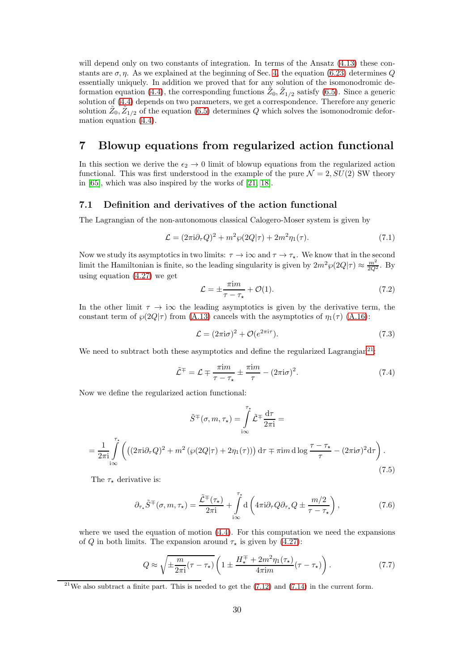will depend only on two constants of integration. In terms of the Ansatz  $(4.13)$  these constants are  $\sigma$ ,  $\eta$ . As we explained at the beginning of Sec. [4,](#page-10-0) the equation [\(6.23\)](#page-28-2) determines Q essentially uniquely. In addition we proved that for any solution of the isomonodromic de-formation equation [\(4.4\)](#page-10-2), the corresponding functions  $\tilde{Z}_0$ ,  $\tilde{Z}_{1/2}$  satisfy [\(6.5\)](#page-26-3). Since a generic solution of [\(4.4\)](#page-10-2) depends on two parameters, we get a correspondence. Therefore any generic solution  $\tilde{Z}_0$ ,  $\tilde{Z}_{1/2}$  of the equation [\(6.5\)](#page-26-3) determines Q which solves the isomonodromic deformation equation [\(4.4\)](#page-10-2).

# <span id="page-29-0"></span>7 Blowup equations from regularized action functional

In this section we derive the  $\epsilon_2 \rightarrow 0$  limit of blowup equations from the regularized action functional. This was first understood in the example of the pure  $\mathcal{N} = 2$ ,  $SU(2)$  SW theory in [\[65\]](#page-58-1), which was also inspired by the works of [\[21,](#page-56-0) [18\]](#page-55-17).

### <span id="page-29-1"></span>7.1 Definition and derivatives of the action functional

The Lagrangian of the non-autonomous classical Calogero-Moser system is given by

$$
\mathcal{L} = (2\pi i \partial_{\tau} Q)^{2} + m^{2} \wp(2Q|\tau) + 2m^{2} \eta_{1}(\tau).
$$
\n(7.1)

Now we study its asymptotics in two limits:  $\tau \to i\infty$  and  $\tau \to \tau_{\star}$ . We know that in the second limit the Hamiltonian is finite, so the leading singularity is given by  $2m^2\wp(2Q|\tau) \approx \frac{m^2}{2Q^2}$ . By using equation [\(4.27\)](#page-13-3) we get

$$
\mathcal{L} = \pm \frac{\pi \mathrm{i} m}{\tau - \tau_{\star}} + \mathcal{O}(1). \tag{7.2}
$$

In the other limit  $\tau \to i\infty$  the leading asymptotics is given by the derivative term, the constant term of  $\wp(2Q|\tau)$  from [\(A.13\)](#page-41-4) cancels with the asymptotics of  $\eta_1(\tau)$  [\(A.16\)](#page-42-2):

$$
\mathcal{L} = (2\pi i\sigma)^2 + \mathcal{O}(e^{2\pi i\tau}).\tag{7.3}
$$

We need to subtract both these asymptotics and define the regularized Lagrangian<sup>[21](#page-29-2)</sup>:

$$
\tilde{\mathcal{L}}^{\mp} = \mathcal{L} \mp \frac{\pi i m}{\tau - \tau_{\star}} \pm \frac{\pi i m}{\tau} - (2\pi i \sigma)^2.
$$
 (7.4)

Now we define the regularized action functional:

<span id="page-29-3"></span>
$$
\tilde{S}^{\mp}(\sigma, m, \tau_{\star}) = \int_{i\infty}^{\tau_{\star}} \tilde{\mathcal{L}}^{\mp} \frac{d\tau}{2\pi i} =
$$
  
= 
$$
\frac{1}{2\pi i} \int_{i\infty}^{\tau_{\star}} \left( \left( (2\pi i \partial_{\tau} Q)^{2} + m^{2} \left( \wp(2Q|\tau) + 2\eta_{1}(\tau) \right) \right) d\tau \mp \pi i m d \log \frac{\tau - \tau_{\star}}{\tau} - (2\pi i \sigma)^{2} d\tau \right).
$$
(7.5)

The  $\tau_{\star}$  derivative is:

$$
\partial_{\tau_{\star}} \tilde{S}^{\mp}(\sigma, m, \tau_{\star}) = \frac{\tilde{\mathcal{L}}^{\mp}(\tau_{\star})}{2\pi i} + \int_{i\infty}^{\tau_{\star}} d\left(4\pi i \partial_{\tau} Q \partial_{\tau_{\star}} Q \pm \frac{m/2}{\tau - \tau_{\star}}\right), \tag{7.6}
$$

where we used the equation of motion  $(4.4)$ . For this computation we need the expansions of Q in both limits. The expansion around  $\tau_{\star}$  is given by [\(4.27\)](#page-13-3):

$$
Q \approx \sqrt{\pm \frac{m}{2\pi i} (\tau - \tau_\star)} \left( 1 \pm \frac{H_\star^{\mp} + 2m^2 \eta_1(\tau_\star)}{4\pi i m} (\tau - \tau_\star) \right). \tag{7.7}
$$

<span id="page-29-2"></span><sup>&</sup>lt;sup>21</sup>We also subtract a finite part. This is needed to get the  $(7.12)$  and  $(7.14)$  in the current form.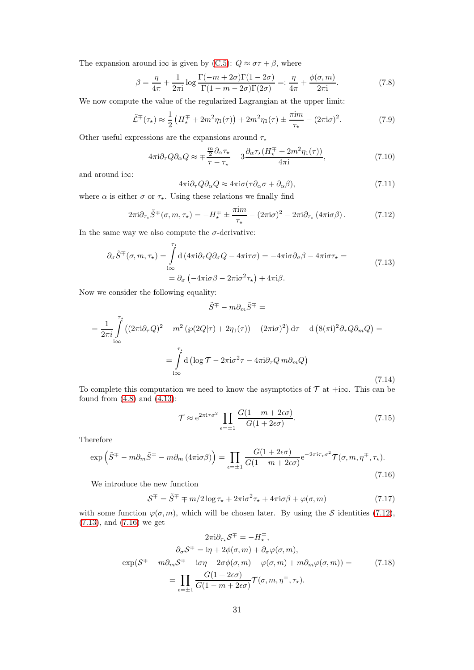The expansion around i $\infty$  is given by [\(C.5\)](#page-46-0):  $Q \approx \sigma \tau + \beta$ , where

$$
\beta = \frac{\eta}{4\pi} + \frac{1}{2\pi i} \log \frac{\Gamma(-m + 2\sigma)\Gamma(1 - 2\sigma)}{\Gamma(1 - m - 2\sigma)\Gamma(2\sigma)} =: \frac{\eta}{4\pi} + \frac{\phi(\sigma, m)}{2\pi i}.
$$
 (7.8)

We now compute the value of the regularized Lagrangian at the upper limit:

$$
\tilde{\mathcal{L}}^{\mp}(\tau_{\star}) \approx \frac{1}{2} \left( H_{\star}^{\mp} + 2m^2 \eta_1(\tau) \right) + 2m^2 \eta_1(\tau) \pm \frac{\pi i m}{\tau_{\star}} - (2\pi i \sigma)^2. \tag{7.9}
$$

Other useful expressions are the expansions around  $\tau_{\star}$ 

$$
4\pi i \partial_{\tau} Q \partial_{\alpha} Q \approx \mp \frac{\frac{m}{2} \partial_{\alpha} \tau_{\star}}{\tau - \tau_{\star}} - 3 \frac{\partial_{\alpha} \tau_{\star} (H_{\star}^{\mp} + 2m^2 \eta_1(\tau))}{4\pi i}, \tag{7.10}
$$

and around i∞:

$$
4\pi i \partial_{\tau} Q \partial_{\alpha} Q \approx 4\pi i \sigma (\tau \partial_{\alpha} \sigma + \partial_{\alpha} \beta), \tag{7.11}
$$

where  $\alpha$  is either  $\sigma$  or  $\tau_{\star}$ . Using these relations we finally find

<span id="page-30-0"></span>
$$
2\pi i \partial_{\tau_{\star}} \tilde{S}^{\mp}(\sigma, m, \tau_{\star}) = -H_{\star}^{\mp} \pm \frac{\pi i m}{\tau_{\star}} - (2\pi i \sigma)^2 - 2\pi i \partial_{\tau_{\star}} (4\pi i \sigma \beta). \tag{7.12}
$$

In the same way we also compute the  $\sigma$ -derivative:

<span id="page-30-2"></span>
$$
\partial_{\sigma}\tilde{S}^{\mp}(\sigma, m, \tau_{\star}) = \int_{i\infty}^{\tau_{\star}} d\left(4\pi i \partial_{\tau} Q \partial_{\sigma} Q - 4\pi i \tau \sigma\right) = -4\pi i \sigma \partial_{\sigma} \beta - 4\pi i \sigma \tau_{\star} =
$$
\n
$$
= \partial_{\sigma} \left(-4\pi i \sigma \beta - 2\pi i \sigma^{2} \tau_{\star}\right) + 4\pi i \beta.
$$
\n(7.13)

Now we consider the following equality:

<span id="page-30-1"></span>
$$
\tilde{S}^{\mp} - m\partial_m \tilde{S}^{\mp} =
$$
  
=  $\frac{1}{2\pi i} \int_{i\infty}^{\tau_{\star}} \left( (2\pi i \partial_{\tau} Q)^2 - m^2 \left( \wp(2Q|\tau) + 2\eta_1(\tau) \right) - (2\pi i \sigma)^2 \right) d\tau - d \left( 8(\pi i)^2 \partial_{\tau} Q \partial_m Q \right) =$   
=  $\int_{i\infty}^{\tau_{\star}} d \left( \log \mathcal{T} - 2\pi i \sigma^2 \tau - 4\pi i \partial_{\tau} Q m \partial_m Q \right)$  (7.14)

To complete this computation we need to know the asymptotics of  $\mathcal T$  at +i $\infty$ . This can be found from [\(4.8\)](#page-11-0) and [\(4.13\)](#page-11-1):

$$
\mathcal{T} \approx e^{2\pi i \tau \sigma^2} \prod_{\epsilon=\pm 1} \frac{G(1 - m + 2\epsilon\sigma)}{G(1 + 2\epsilon\sigma)}.
$$
\n(7.15)

Therefore

<span id="page-30-3"></span>
$$
\exp\left(\tilde{S}^{\mp} - m\partial_m \tilde{S}^{\mp} - m\partial_m \left(4\pi i\sigma\beta\right)\right) = \prod_{\epsilon=\pm 1} \frac{G(1+2\epsilon\sigma)}{G(1-m+2\epsilon\sigma)} e^{-2\pi i\tau_{\star}\sigma^2} \mathcal{T}(\sigma, m, \eta^{\mp}, \tau_{\star}).\tag{7.16}
$$

We introduce the new function

<span id="page-30-5"></span>
$$
S^{\mp} = \tilde{S}^{\mp} \mp m/2 \log \tau_{\star} + 2\pi i \sigma^2 \tau_{\star} + 4\pi i \sigma \beta + \varphi(\sigma, m) \tag{7.17}
$$

with some function  $\varphi(\sigma, m)$ , which will be chosen later. By using the S identities [\(7.12\)](#page-30-0), [\(7.13\)](#page-30-2), and [\(7.16\)](#page-30-3) we get

<span id="page-30-4"></span>
$$
2\pi i \partial_{\tau_{\star}} S^{\mp} = -H^{\mp}_{\star},
$$
  
\n
$$
\partial_{\sigma} S^{\mp} = i\eta + 2\phi(\sigma, m) + \partial_{\sigma}\varphi(\sigma, m),
$$
  
\n
$$
\exp(S^{\mp} - m\partial_{m} S^{\mp} - i\sigma\eta - 2\sigma\phi(\sigma, m) - \varphi(\sigma, m) + m\partial_{m}\varphi(\sigma, m)) =
$$
  
\n
$$
= \prod_{\epsilon = \pm 1} \frac{G(1 + 2\epsilon\sigma)}{G(1 - m + 2\epsilon\sigma)} \mathcal{T}(\sigma, m, \eta^{\mp}, \tau_{\star}).
$$
\n(7.18)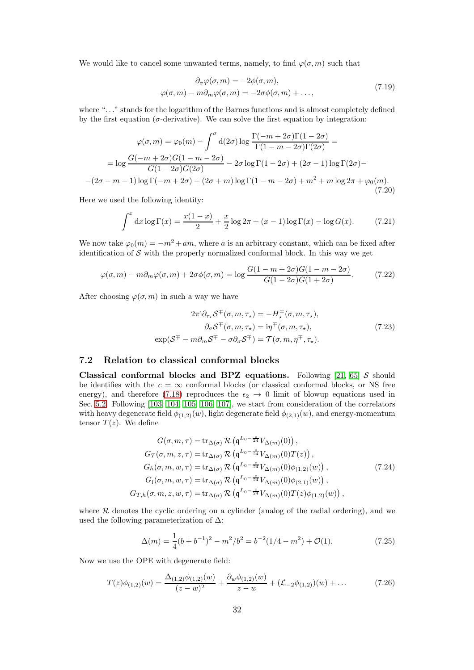We would like to cancel some unwanted terms, namely, to find  $\varphi(\sigma, m)$  such that

$$
\partial_{\sigma}\varphi(\sigma,m) = -2\phi(\sigma,m),
$$
  
 
$$
\varphi(\sigma,m) - m\partial_m\varphi(\sigma,m) = -2\sigma\phi(\sigma,m) + ...,
$$
 (7.19)

where ". . ." stands for the logarithm of the Barnes functions and is almost completely defined by the first equation ( $\sigma$ -derivative). We can solve the first equation by integration:

$$
\varphi(\sigma, m) = \varphi_0(m) - \int^{\sigma} d(2\sigma) \log \frac{\Gamma(-m + 2\sigma)\Gamma(1 - 2\sigma)}{\Gamma(1 - m - 2\sigma)\Gamma(2\sigma)} =
$$
  
=  $\log \frac{G(-m + 2\sigma)G(1 - m - 2\sigma)}{G(1 - 2\sigma)G(2\sigma)} - 2\sigma \log \Gamma(1 - 2\sigma) + (2\sigma - 1) \log \Gamma(2\sigma) -$   
-(2\sigma - m - 1)  $\log \Gamma(-m + 2\sigma) + (2\sigma + m) \log \Gamma(1 - m - 2\sigma) + m^2 + m \log 2\pi + \varphi_0(m).$  (7.20)

Here we used the following identity:

$$
\int^x dx \log \Gamma(x) = \frac{x(1-x)}{2} + \frac{x}{2} \log 2\pi + (x-1) \log \Gamma(x) - \log G(x). \tag{7.21}
$$

We now take  $\varphi_0(m) = -m^2 + am$ , where a is an arbitrary constant, which can be fixed after identification of  $S$  with the properly normalized conformal block. In this way we get

$$
\varphi(\sigma, m) - m\partial_m \varphi(\sigma, m) + 2\sigma \phi(\sigma, m) = \log \frac{G(1 - m + 2\sigma)G(1 - m - 2\sigma)}{G(1 - 2\sigma)G(1 + 2\sigma)}.
$$
(7.22)

<span id="page-31-2"></span>After choosing  $\varphi(\sigma, m)$  in such a way we have

$$
2\pi i \partial_{\tau_{\star}} S^{\mp}(\sigma, m, \tau_{\star}) = -H^{\mp}_{\star}(\sigma, m, \tau_{\star}),
$$

$$
\partial_{\sigma} S^{\mp}(\sigma, m, \tau_{\star}) = i\eta^{\mp}(\sigma, m, \tau_{\star}),
$$

$$
\exp(S^{\mp} - m\partial_m S^{\mp} - \sigma \partial_{\sigma} S^{\mp}) = \mathcal{T}(\sigma, m, \eta^{\mp}, \tau_{\star}).
$$
(7.23)

### <span id="page-31-0"></span>7.2 Relation to classical conformal blocks

Classical conformal blocks and BPZ equations. Following [\[21,](#page-56-0) [65\]](#page-58-1) S should be identifies with the  $c = \infty$  conformal blocks (or classical conformal blocks, or NS free energy), and therefore [\(7.18\)](#page-30-4) reproduces the  $\epsilon_2 \rightarrow 0$  limit of blowup equations used in Sec. [5.2.](#page-22-0) Following [\[103,](#page-59-16) [104,](#page-59-17) [105,](#page-59-18) [106,](#page-59-19) [107\]](#page-59-20), we start from consideration of the correlators with heavy degenerate field  $\phi_{(1,2)}(w)$ , light degenerate field  $\phi_{(2,1)}(w)$ , and energy-momentum tensor  $T(z)$ . We define

$$
G(\sigma, m, \tau) = \text{tr}_{\Delta(\sigma)} \mathcal{R} \left( \mathfrak{q}^{L_0 - \frac{c}{24}} V_{\Delta(m)}(0) \right),
$$
  
\n
$$
G_T(\sigma, m, z, \tau) = \text{tr}_{\Delta(\sigma)} \mathcal{R} \left( \mathfrak{q}^{L_0 - \frac{c}{24}} V_{\Delta(m)}(0) T(z) \right),
$$
  
\n
$$
G_h(\sigma, m, w, \tau) = \text{tr}_{\Delta(\sigma)} \mathcal{R} \left( \mathfrak{q}^{L_0 - \frac{c}{24}} V_{\Delta(m)}(0) \phi_{(1,2)}(w) \right),
$$
  
\n
$$
G_l(\sigma, m, w, \tau) = \text{tr}_{\Delta(\sigma)} \mathcal{R} \left( \mathfrak{q}^{L_0 - \frac{c}{24}} V_{\Delta(m)}(0) \phi_{(2,1)}(w) \right),
$$
  
\n
$$
G_{T,h}(\sigma, m, z, w, \tau) = \text{tr}_{\Delta(\sigma)} \mathcal{R} \left( \mathfrak{q}^{L_0 - \frac{c}{24}} V_{\Delta(m)}(0) T(z) \phi_{(1,2)}(w) \right),
$$
  
\n(7.24)

where  $R$  denotes the cyclic ordering on a cylinder (analog of the radial ordering), and we used the following parameterization of  $\Delta$ :

<span id="page-31-1"></span>
$$
\Delta(m) = \frac{1}{4}(b + b^{-1})^2 - m^2/b^2 = b^{-2}(1/4 - m^2) + \mathcal{O}(1). \tag{7.25}
$$

Now we use the OPE with degenerate field:

$$
T(z)\phi_{(1,2)}(w) = \frac{\Delta_{(1,2)}\phi_{(1,2)}(w)}{(z-w)^2} + \frac{\partial_w\phi_{(1,2)}(w)}{z-w} + (\mathcal{L}_{-2}\phi_{(1,2)})(w) + \dots
$$
 (7.26)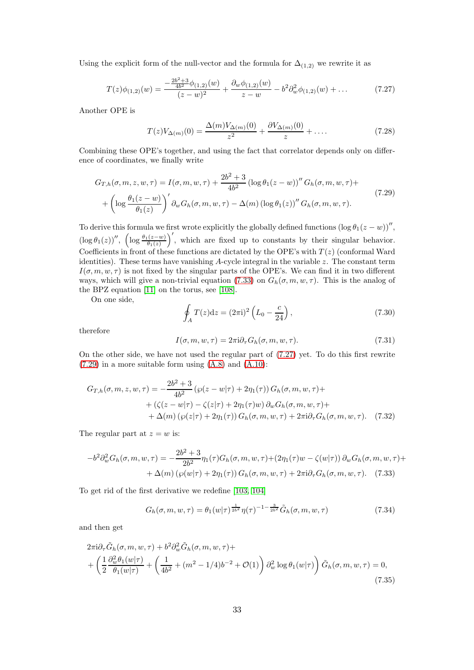Using the explicit form of the null-vector and the formula for  $\Delta_{(1,2)}$  we rewrite it as

<span id="page-32-1"></span>
$$
T(z)\phi_{(1,2)}(w) = \frac{-\frac{2b^2+3}{4b^2}\phi_{(1,2)}(w)}{(z-w)^2} + \frac{\partial_w\phi_{(1,2)}(w)}{z-w} - b^2\partial_w^2\phi_{(1,2)}(w) + \dots
$$
 (7.27)

Another OPE is

$$
T(z)V_{\Delta(m)}(0) = \frac{\Delta(m)V_{\Delta(m)}(0)}{z^2} + \frac{\partial V_{\Delta(m)}(0)}{z} + \dots
$$
 (7.28)

Combining these OPE's together, and using the fact that correlator depends only on difference of coordinates, we finally write

<span id="page-32-2"></span>
$$
G_{T,h}(\sigma, m, z, w, \tau) = I(\sigma, m, w, \tau) + \frac{2b^2 + 3}{4b^2} \left( \log \theta_1 (z - w) \right)^{\prime \prime} G_h(\sigma, m, w, \tau) +
$$

$$
+ \left( \log \frac{\theta_1 (z - w)}{\theta_1 (z)} \right)^{\prime} \partial_w G_h(\sigma, m, w, \tau) - \Delta(m) \left( \log \theta_1 (z) \right)^{\prime \prime} G_h(\sigma, m, w, \tau). \tag{7.29}
$$

To derive this formula we first wrote explicitly the globally defined functions  $(\log \theta_1(z - w))''$ ,  $(\log \theta_1(z))''$ ,  $(\log \frac{\theta_1(z-w)}{\theta_1(z)}$ ′ , which are fixed up to constants by their singular behavior. Coefficients in front of these functions are dictated by the OPE's with  $T(z)$  (conformal Ward identities). These terms have vanishing A-cycle integral in the variable z. The constant term  $I(\sigma, m, w, \tau)$  is not fixed by the singular parts of the OPE's. We can find it in two different ways, which will give a non-trivial equation [\(7.33\)](#page-32-0) on  $G_h(\sigma, m, w, \tau)$ . This is the analog of the BPZ equation [\[11\]](#page-55-10) on the torus, see [\[108\]](#page-59-21).

On one side,

$$
\oint_{A} T(z)dz = (2\pi i)^{2} \left( L_{0} - \frac{c}{24} \right),
$$
\n(7.30)

therefore

$$
I(\sigma, m, w, \tau) = 2\pi i \partial_{\tau} G_h(\sigma, m, w, \tau).
$$
\n(7.31)

On the other side, we have not used the regular part of [\(7.27\)](#page-32-1) yet. To do this first rewrite  $(7.29)$  in a more suitable form using  $(A.8)$  and  $(A.10)$ :

$$
G_{T,h}(\sigma, m, z, w, \tau) = -\frac{2b^2 + 3}{4b^2} \left( \wp(z - w|\tau) + 2\eta_1(\tau) \right) G_h(\sigma, m, w, \tau) ++ \left( \zeta(z - w|\tau) - \zeta(z|\tau) + 2\eta_1(\tau)w \right) \partial_w G_h(\sigma, m, w, \tau) ++ \Delta(m) \left( \wp(z|\tau) + 2\eta_1(\tau) \right) G_h(\sigma, m, w, \tau) + 2\pi i \partial_\tau G_h(\sigma, m, w, \tau). \tag{7.32}
$$

The regular part at  $z = w$  is:

$$
-b^2 \partial_w^2 G_h(\sigma, m, w, \tau) = -\frac{2b^2 + 3}{2b^2} \eta_1(\tau) G_h(\sigma, m, w, \tau) + (2\eta_1(\tau)w - \zeta(w|\tau)) \partial_w G_h(\sigma, m, w, \tau) + + \Delta(m) \left( \wp(w|\tau) + 2\eta_1(\tau) \right) G_h(\sigma, m, w, \tau) + 2\pi i \partial_\tau G_h(\sigma, m, w, \tau). \tag{7.33}
$$

To get rid of the first derivative we redefine [\[103,](#page-59-16) [104\]](#page-59-17)

<span id="page-32-0"></span>
$$
G_h(\sigma, m, w, \tau) = \theta_1(w|\tau)^{\frac{1}{2b^2}} \eta(\tau)^{-1-\frac{3}{2b^2}} \tilde{G}_h(\sigma, m, w, \tau)
$$
\n(7.34)

and then get

$$
2\pi i \partial_{\tau} \tilde{G}_h(\sigma, m, w, \tau) + b^2 \partial_w^2 \tilde{G}_h(\sigma, m, w, \tau) +
$$
  
+ 
$$
\left(\frac{1}{2} \frac{\partial_w^2 \theta_1(w|\tau)}{\theta_1(w|\tau)} + \left(\frac{1}{4b^2} + (m^2 - 1/4)b^{-2} + \mathcal{O}(1)\right) \partial_w^2 \log \theta_1(w|\tau)\right) \tilde{G}_h(\sigma, m, w, \tau) = 0,
$$
  
(7.35)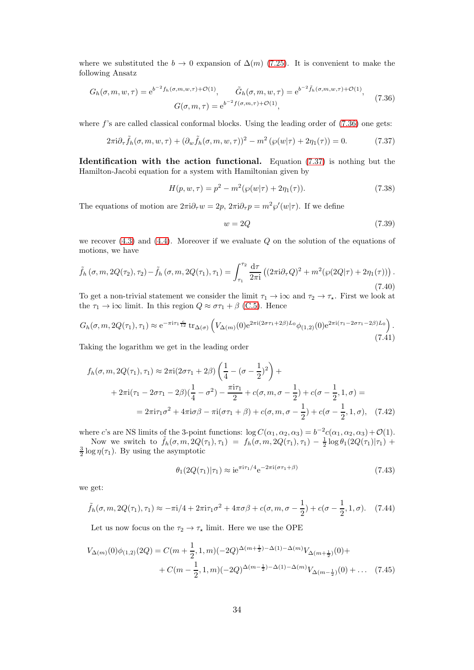where we substituted the  $b \to 0$  expansion of  $\Delta(m)$  [\(7.25\)](#page-31-1). It is convenient to make the following Ansatz

<span id="page-33-0"></span>
$$
G_h(\sigma, m, w, \tau) = e^{b^{-2}f_h(\sigma, m, w, \tau) + \mathcal{O}(1)}, \qquad \tilde{G}_h(\sigma, m, w, \tau) = e^{b^{-2}\tilde{f}_h(\sigma, m, w, \tau) + \mathcal{O}(1)},
$$
  

$$
G(\sigma, m, \tau) = e^{b^{-2}f(\sigma, m, \tau) + \mathcal{O}(1)},
$$
(7.36)

where  $f$ 's are called classical conformal blocks. Using the leading order of  $(7.36)$  one gets:

<span id="page-33-1"></span>
$$
2\pi i \partial_{\tau} \tilde{f}_h(\sigma, m, w, \tau) + (\partial_w \tilde{f}_h(\sigma, m, w, \tau))^2 - m^2 \left( \wp(w|\tau) + 2\eta_1(\tau) \right) = 0. \tag{7.37}
$$

Identification with the action functional. Equation [\(7.37\)](#page-33-1) is nothing but the Hamilton-Jacobi equation for a system with Hamiltonian given by

$$
H(p, w, \tau) = p^2 - m^2(\wp(w|\tau) + 2\eta_1(\tau)).
$$
\n(7.38)

The equations of motion are  $2\pi i \partial_\tau w = 2p$ ,  $2\pi i \partial_\tau p = m^2 \wp'(w|\tau)$ . If we define

$$
w = 2Q \tag{7.39}
$$

we recover  $(4.3)$  and  $(4.4)$ . Moreover if we evaluate  $Q$  on the solution of the equations of motions, we have

<span id="page-33-2"></span>
$$
\tilde{f}_h(\sigma, m, 2Q(\tau_2), \tau_2) - \tilde{f}_h(\sigma, m, 2Q(\tau_1), \tau_1) = \int_{\tau_1}^{\tau_2} \frac{d\tau}{2\pi i} \left( (2\pi i \partial_\tau Q)^2 + m^2 (\wp(2Q|\tau) + 2\eta_1(\tau)) \right). \tag{7.40}
$$

To get a non-trivial statement we consider the limit  $\tau_1 \to i\infty$  and  $\tau_2 \to \tau_*$ . First we look at the  $\tau_1 \rightarrow i\infty$  limit. In this region  $Q \approx \sigma \tau_1 + \beta$  [\(C.5\)](#page-46-0). Hence

$$
G_h(\sigma, m, 2Q(\tau_1), \tau_1) \approx e^{-\pi i \tau_1 \frac{c}{12}} \operatorname{tr}_{\Delta(\sigma)} \left( V_{\Delta(m)}(0) e^{2\pi i (2\sigma \tau_1 + 2\beta) L_0} \phi_{(1,2)}(0) e^{2\pi i (\tau_1 - 2\sigma \tau_1 - 2\beta) L_0} \right). \tag{7.41}
$$

Taking the logarithm we get in the leading order

$$
f_h(\sigma, m, 2Q(\tau_1), \tau_1) \approx 2\pi i (2\sigma \tau_1 + 2\beta) \left(\frac{1}{4} - (\sigma - \frac{1}{2})^2\right) +
$$
  
+  $2\pi i (\tau_1 - 2\sigma \tau_1 - 2\beta) (\frac{1}{4} - \sigma^2) - \frac{\pi i \tau_1}{2} + c(\sigma, m, \sigma - \frac{1}{2}) + c(\sigma - \frac{1}{2}, 1, \sigma) =$   
=  $2\pi i \tau_1 \sigma^2 + 4\pi i \sigma \beta - \pi i (\sigma \tau_1 + \beta) + c(\sigma, m, \sigma - \frac{1}{2}) + c(\sigma - \frac{1}{2}, 1, \sigma), \quad (7.42)$ 

where c's are NS limits of the 3-point functions:  $\log C(\alpha_1, \alpha_2, \alpha_3) = b^{-2}c(\alpha_1, \alpha_2, \alpha_3) + \mathcal{O}(1)$ .

Now we switch to  $\tilde{f}_h(\sigma, m, 2Q(\tau_1), \tau_1) = f_h(\sigma, m, 2Q(\tau_1), \tau_1) - \frac{1}{2} \log \theta_1(2Q(\tau_1)|\tau_1) +$  $\frac{3}{2} \log \eta(\tau_1)$ . By using the asymptotic

$$
\theta_1(2Q(\tau_1)|\tau_1) \approx i e^{\pi i \tau_1/4} e^{-2\pi i (\sigma \tau_1 + \beta)} \tag{7.43}
$$

we get:

<span id="page-33-3"></span>
$$
\tilde{f}_h(\sigma, m, 2Q(\tau_1), \tau_1) \approx -\pi i/4 + 2\pi i \tau_1 \sigma^2 + 4\pi \sigma \beta + c(\sigma, m, \sigma - \frac{1}{2}) + c(\sigma - \frac{1}{2}, 1, \sigma). \tag{7.44}
$$

Let us now focus on the  $\tau_2 \to \tau_*$  limit. Here we use the OPE

$$
V_{\Delta(m)}(0)\phi_{(1,2)}(2Q) = C(m+\frac{1}{2},1,m)(-2Q)^{\Delta(m+\frac{1}{2})-\Delta(1)-\Delta(m)}V_{\Delta(m+\frac{1}{2})}(0)+
$$
  
+  $C(m-\frac{1}{2},1,m)(-2Q)^{\Delta(m-\frac{1}{2})-\Delta(1)-\Delta(m)}V_{\Delta(m-\frac{1}{2})}(0)+\dots$  (7.45)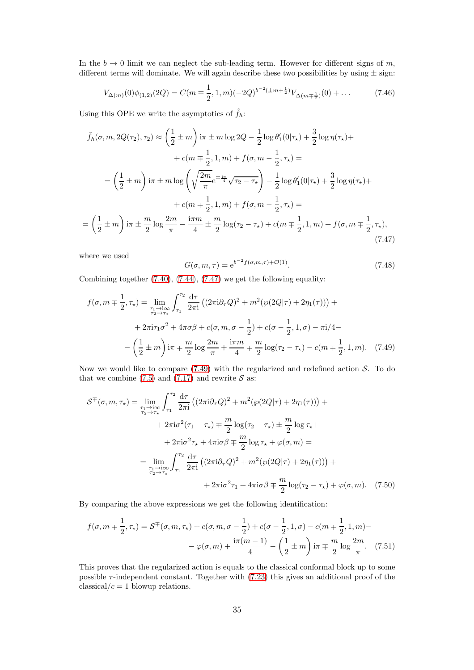In the  $b \to 0$  limit we can neglect the sub-leading term. However for different signs of m, different terms will dominate. We will again describe these two possibilities by using  $\pm$  sign:

$$
V_{\Delta(m)}(0)\phi_{(1,2)}(2Q) = C(m \mp \frac{1}{2}, 1, m)(-2Q)^{b^{-2}(\pm m + \frac{1}{2})}V_{\Delta(m \mp \frac{1}{2})}(0) + \dots
$$
 (7.46)

Using this OPE we write the asymptotics of  $\tilde{f}_h$ :

$$
\tilde{f}_h(\sigma, m, 2Q(\tau_2), \tau_2) \approx \left(\frac{1}{2} \pm m\right) i\pi \pm m \log 2Q - \frac{1}{2} \log \theta_1'(0|\tau_\star) + \frac{3}{2} \log \eta(\tau_\star) +
$$
  
+  $c(m \mp \frac{1}{2}, 1, m) + f(\sigma, m - \frac{1}{2}, \tau_\star) =$   
=  $\left(\frac{1}{2} \pm m\right) i\pi \pm m \log \left(\sqrt{\frac{2m}{\pi}} e^{\mp \frac{i\pi}{4}} \sqrt{\tau_2 - \tau_\star}\right) - \frac{1}{2} \log \theta_1'(0|\tau_\star) + \frac{3}{2} \log \eta(\tau_\star) +$   
+  $c(m \mp \frac{1}{2}, 1, m) + f(\sigma, m - \frac{1}{2}, \tau_\star) =$   
=  $\left(\frac{1}{2} \pm m\right) i\pi \pm \frac{m}{2} \log \frac{2m}{\pi} - \frac{i\pi m}{4} \pm \frac{m}{2} \log(\tau_2 - \tau_\star) + c(m \mp \frac{1}{2}, 1, m) + f(\sigma, m \mp \frac{1}{2}, \tau_\star),$  (7.47)

where we used

<span id="page-34-1"></span><span id="page-34-0"></span>
$$
G(\sigma, m, \tau) = e^{b^{-2} f(\sigma, m, \tau) + \mathcal{O}(1)}.
$$
\n(7.48)

Combining together [\(7.40\)](#page-33-2), [\(7.44\)](#page-33-3), [\(7.47\)](#page-34-0) we get the following equality:

$$
f(\sigma, m \mp \frac{1}{2}, \tau_{\star}) = \lim_{\substack{\tau_1 \to i\infty \\ \tau_2 \to \tau_{\star}}} \int_{\tau_1}^{\tau_2} \frac{d\tau}{2\pi i} \left( (2\pi i \partial_{\tau} Q)^2 + m^2 (\wp(2Q|\tau) + 2\eta_1(\tau)) \right) +
$$
  
+  $2\pi i \tau_1 \sigma^2 + 4\pi \sigma \beta + c(\sigma, m, \sigma - \frac{1}{2}) + c(\sigma - \frac{1}{2}, 1, \sigma) - \pi i/4 -$   
-  $\left( \frac{1}{2} \pm m \right) i\pi \mp \frac{m}{2} \log \frac{2m}{\pi} + \frac{i\pi m}{4} \mp \frac{m}{2} \log(\tau_2 - \tau_{\star}) - c(m \mp \frac{1}{2}, 1, m).$  (7.49)

Now we would like to compare  $(7.49)$  with the regularized and redefined action S. To do that we combine [\(7.5\)](#page-29-3) and [\(7.17\)](#page-30-5) and rewrite  $S$  as:

$$
\mathcal{S}^{\mp}(\sigma, m, \tau_{\star}) = \lim_{\substack{\tau_1 \to i\infty \\ \tau_2 \to \tau_{\star}}} \int_{\tau_1}^{\tau_2} \frac{d\tau}{2\pi i} \left( (2\pi i \partial_{\tau} Q)^2 + m^2 (\wp(2Q|\tau) + 2\eta_1(\tau)) \right) +
$$
  
+ 
$$
2\pi i \sigma^2 (\tau_1 - \tau_{\star}) \mp \frac{m}{2} \log(\tau_2 - \tau_{\star}) \pm \frac{m}{2} \log \tau_{\star} +
$$
  
+ 
$$
2\pi i \sigma^2 \tau_{\star} + 4\pi i \sigma \beta \mp \frac{m}{2} \log \tau_{\star} + \varphi(\sigma, m) =
$$
  
= 
$$
\lim_{\substack{\tau_1 \to i\infty \\ \tau_2 \to \tau_{\star}}} \int_{\tau_1}^{\tau_2} \frac{d\tau}{2\pi i} \left( (2\pi i \partial_{\tau} Q)^2 + m^2 (\wp(2Q|\tau) + 2\eta_1(\tau)) \right) +
$$
  
+ 
$$
2\pi i \sigma^2 \tau_1 + 4\pi i \sigma \beta \mp \frac{m}{2} \log(\tau_2 - \tau_{\star}) + \varphi(\sigma, m). \quad (7.50)
$$

By comparing the above expressions we get the following identification:

$$
f(\sigma, m \mp \frac{1}{2}, \tau_{\star}) = \mathcal{S}^{\mp}(\sigma, m, \tau_{\star}) + c(\sigma, m, \sigma - \frac{1}{2}) + c(\sigma - \frac{1}{2}, 1, \sigma) - c(m \mp \frac{1}{2}, 1, m) - - \varphi(\sigma, m) + \frac{i\pi(m - 1)}{4} - \left(\frac{1}{2} \pm m\right) i\pi \mp \frac{m}{2} \log \frac{2m}{\pi}.
$$
 (7.51)

This proves that the regularized action is equals to the classical conformal block up to some possible  $\tau$ -independent constant. Together with [\(7.23\)](#page-31-2) this gives an additional proof of the classical/ $c = 1$  blowup relations.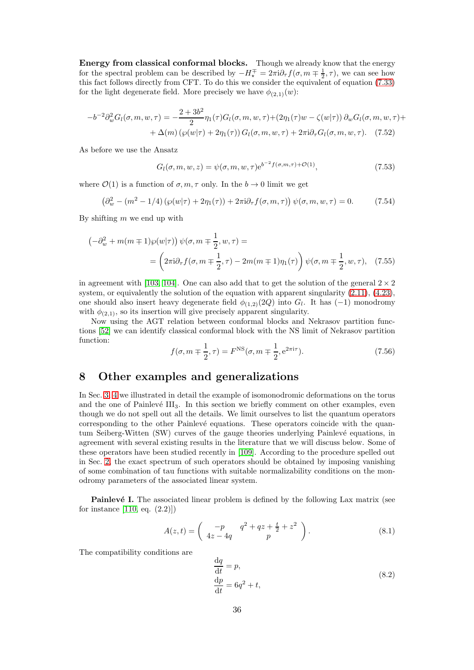Energy from classical conformal blocks. Though we already know that the energy for the spectral problem can be described by  $-H^{\mp}_{\star} = 2\pi i \partial_{\tau} f(\sigma, m \mp \frac{1}{2}, \tau)$ , we can see how this fact follows directly from CFT. To do this we consider the equivalent of equation [\(7.33\)](#page-32-0) for the light degenerate field. More precisely we have  $\phi_{(2,1)}(w)$ :

$$
-b^{-2}\partial_w^2 G_l(\sigma, m, w, \tau) = -\frac{2+3b^2}{2}\eta_1(\tau)G_l(\sigma, m, w, \tau) + (2\eta_1(\tau)w - \zeta(w|\tau))\partial_w G_l(\sigma, m, w, \tau) ++ \Delta(m)\left(\wp(w|\tau) + 2\eta_1(\tau)\right)G_l(\sigma, m, w, \tau) + 2\pi i\partial_\tau G_l(\sigma, m, w, \tau). \tag{7.52}
$$

As before we use the Ansatz

$$
G_l(\sigma, m, w, z) = \psi(\sigma, m, w, \tau) e^{b^{-2} f(\sigma, m, \tau) + \mathcal{O}(1)},
$$
\n(7.53)

where  $\mathcal{O}(1)$  is a function of  $\sigma, m, \tau$  only. In the  $b \to 0$  limit we get

$$
\left(\partial_w^2 - (m^2 - 1/4)\left(\wp(w|\tau) + 2\eta_1(\tau)\right) + 2\pi i \partial_\tau f(\sigma, m, \tau)\right) \psi(\sigma, m, w, \tau) = 0. \tag{7.54}
$$

By shifting  $m$  we end up with

$$
\begin{aligned}\n\left(-\partial_w^2 + m(m+1)\wp(w|\tau)\right) \psi(\sigma, m+ \frac{1}{2}, w, \tau) &= \\
&= \left(2\pi i \partial_\tau f(\sigma, m+ \frac{1}{2}, \tau) - 2m(m+1)\eta_1(\tau)\right) \psi(\sigma, m+ \frac{1}{2}, w, \tau),\n\end{aligned} \tag{7.55}
$$

in agreement with [\[103,](#page-59-16) [104\]](#page-59-17). One can also add that to get the solution of the general  $2 \times 2$ system, or equivalently the solution of the equation with apparent singularity  $(2.11)$ ,  $(4.23)$ , one should also insert heavy degenerate field  $\phi_{(1,2)}(2Q)$  into  $G_l$ . It has  $(-1)$  monodromy with  $\phi_{(2,1)}$ , so its insertion will give precisely apparent singularity.

Now using the AGT relation between conformal blocks and Nekrasov partition functions [\[52\]](#page-57-8) we can identify classical conformal block with the NS limit of Nekrasov partition function:

$$
f(\sigma, m \mp \frac{1}{2}, \tau) = F^{\text{NS}}(\sigma, m \mp \frac{1}{2}, e^{2\pi i \tau}).
$$
 (7.56)

## <span id="page-35-0"></span>8 Other examples and generalizations

In Sec. [3,](#page-6-0) [4](#page-10-0) we illustrated in detail the example of isomonodromic deformations on the torus and the one of Painlevé  $III<sub>3</sub>$ . In this section we briefly comment on other examples, even though we do not spell out all the details. We limit ourselves to list the quantum operators corresponding to the other Painlevé equations. These operators coincide with the quantum Seiberg-Witten (SW) curves of the gauge theories underlying Painlevé equations, in agreement with several existing results in the literature that we will discuss below. Some of these operators have been studied recently in [\[109\]](#page-59-22). According to the procedure spelled out in Sec. [2,](#page-4-0) the exact spectrum of such operators should be obtained by imposing vanishing of some combination of tau functions with suitable normalizability conditions on the monodromy parameters of the associated linear system.

**Painlevé I.** The associated linear problem is defined by the following Lax matrix (see for instance  $[110, eq. (2.2)]$ 

$$
A(z,t) = \begin{pmatrix} -p & q^2 + qz + \frac{t}{2} + z^2 \\ 4z - 4q & p \end{pmatrix}.
$$
 (8.1)

The compatibility conditions are

$$
\frac{dq}{dt} = p,
$$
  
\n
$$
\frac{dp}{dt} = 6q^2 + t,
$$
\n(8.2)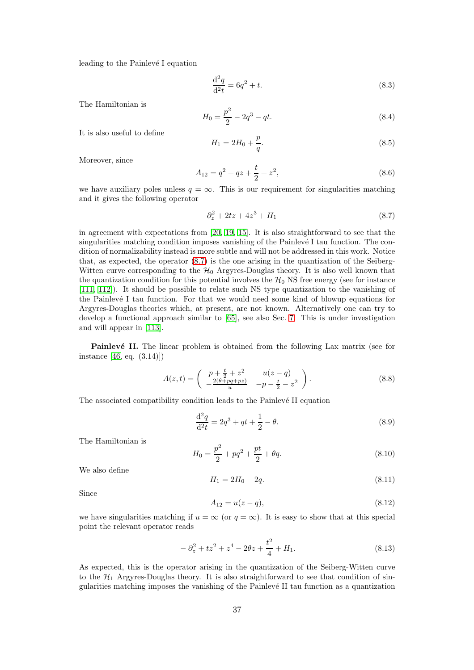leading to the Painlevé I equation

$$
\frac{\mathrm{d}^2 q}{\mathrm{d}^2 t} = 6q^2 + t.\tag{8.3}
$$

The Hamiltonian is

$$
H_0 = \frac{p^2}{2} - 2q^3 - qt.
$$
\n(8.4)

It is also useful to define

$$
H_1 = 2H_0 + \frac{p}{q}.\t\t(8.5)
$$

Moreover, since

$$
A_{12} = q^2 + qz + \frac{t}{2} + z^2,
$$
\n(8.6)

we have auxiliary poles unless  $q = \infty$ . This is our requirement for singularities matching and it gives the following operator

<span id="page-36-0"></span>
$$
-\partial_z^2 + 2tz + 4z^3 + H_1 \tag{8.7}
$$

in agreement with expectations from [\[20,](#page-55-19) [19,](#page-55-18) [15\]](#page-55-14). It is also straightforward to see that the singularities matching condition imposes vanishing of the Painlevé I tau function. The condition of normalizability instead is more subtle and will not be addressed in this work. Notice that, as expected, the operator [\(8.7\)](#page-36-0) is the one arising in the quantization of the Seiberg-Witten curve corresponding to the  $H_0$  Argyres-Douglas theory. It is also well known that the quantization condition for this potential involves the  $\mathcal{H}_0$  NS free energy (see for instance [\[111,](#page-60-1) [112\]](#page-60-2)). It should be possible to relate such NS type quantization to the vanishing of the Painlevé I tau function. For that we would need some kind of blowup equations for Argyres-Douglas theories which, at present, are not known. Alternatively one can try to develop a functional approach similar to [\[65\]](#page-58-1), see also Sec. [7.](#page-29-0) This is under investigation and will appear in [\[113\]](#page-60-3).

**Painlevé II.** The linear problem is obtained from the following Lax matrix (see for instance [\[46,](#page-57-2) eq. (3.14)])

$$
A(z,t) = \begin{pmatrix} p + \frac{t}{2} + z^2 & u(z-q) \\ -\frac{2(\theta + pq + pz)}{u} & -p - \frac{t}{2} - z^2 \end{pmatrix}.
$$
 (8.8)

The associated compatibility condition leads to the Painlevé II equation

$$
\frac{\mathrm{d}^2 q}{\mathrm{d}^2 t} = 2q^3 + qt + \frac{1}{2} - \theta.
$$
 (8.9)

The Hamiltonian is

$$
H_0 = \frac{p^2}{2} + pq^2 + \frac{pt}{2} + \theta q. \tag{8.10}
$$

We also define

$$
H_1 = 2H_0 - 2q.\t\t(8.11)
$$

Since

$$
A_{12} = u(z - q), \tag{8.12}
$$

we have singularities matching if  $u = \infty$  (or  $q = \infty$ ). It is easy to show that at this special point the relevant operator reads

<span id="page-36-1"></span>
$$
-\partial_z^2 + tz^2 + z^4 - 2\theta z + \frac{t^2}{4} + H_1.
$$
\n(8.13)

As expected, this is the operator arising in the quantization of the Seiberg-Witten curve to the  $H_1$  Argyres-Douglas theory. It is also straightforward to see that condition of singularities matching imposes the vanishing of the Painlevé II tau function as a quantization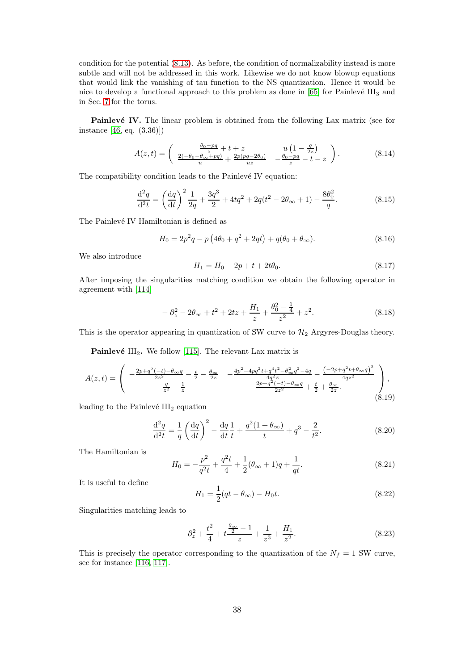condition for the potential [\(8.13\)](#page-36-1). As before, the condition of normalizability instead is more subtle and will not be addressed in this work. Likewise we do not know blowup equations that would link the vanishing of tau function to the NS quantization. Hence it would be nice to develop a functional approach to this problem as done in  $[65]$  for Painlevé III<sub>3</sub> and in Sec. [7](#page-29-0) for the torus.

**Painlevé IV.** The linear problem is obtained from the following Lax matrix (see for instance [\[46,](#page-57-2) eq. (3.36)])

$$
A(z,t) = \begin{pmatrix} \frac{\theta_0 - pq}{z} + t + z & u\left(1 - \frac{q}{2z}\right) \\ \frac{2(-\theta_0 - \theta_\infty + pq)}{u} + \frac{2p(pq - 2\theta_0)}{uz} & -\frac{\theta_0 - pq}{z} - t - z \end{pmatrix}.
$$
 (8.14)

The compatibility condition leads to the Painlevé IV equation:

$$
\frac{\mathrm{d}^2 q}{\mathrm{d}^2 t} = \left(\frac{\mathrm{d} q}{\mathrm{d} t}\right)^2 \frac{1}{2q} + \frac{3q^3}{2} + 4tq^2 + 2q(t^2 - 2\theta_\infty + 1) - \frac{8\theta_0^2}{q}.\tag{8.15}
$$

The Painlevé IV Hamiltonian is defined as

$$
H_0 = 2p^2q - p(4\theta_0 + q^2 + 2qt) + q(\theta_0 + \theta_\infty).
$$
 (8.16)

We also introduce

$$
H_1 = H_0 - 2p + t + 2t\theta_0.
$$
\n(8.17)

After imposing the singularities matching condition we obtain the following operator in agreement with [\[114\]](#page-60-4)

$$
-\partial_z^2 - 2\theta_{\infty} + t^2 + 2tz + \frac{H_1}{z} + \frac{\theta_0^2 - \frac{1}{4}}{z^2} + z^2.
$$
 (8.18)

This is the operator appearing in quantization of SW curve to  $\mathcal{H}_2$  Argyres-Douglas theory.

**Painlevé** III<sub>2</sub>. We follow [\[115\]](#page-60-5). The relevant Lax matrix is

$$
A(z,t) = \begin{pmatrix} -\frac{2p+q^2(-t)-\theta_{\infty}q}{2z^2} - \frac{t}{2} - \frac{\theta_{\infty}}{2z} & -\frac{4p^2-4pq^2t+q^4t^2-\theta_{\infty}^2q^2-4q}{4q^2z} - \frac{(-2p+q^2t+\theta_{\infty}q)^2}{4qz^2} \\ \frac{q}{z^2} - \frac{1}{z} & \frac{2p+q^2(-t)-\theta_{\infty}q}{2z^2} + \frac{t}{2} + \frac{\theta_{\infty}}{2z} \end{pmatrix},
$$
\n(8.19)

leading to the Painlevé  $III<sub>2</sub>$  equation

$$
\frac{\mathrm{d}^2 q}{\mathrm{d}^2 t} = \frac{1}{q} \left( \frac{\mathrm{d} q}{\mathrm{d} t} \right)^2 - \frac{\mathrm{d} q}{\mathrm{d} t} \frac{1}{t} + \frac{q^2 (1 + \theta_{\infty})}{t} + q^3 - \frac{2}{t^2}.
$$
 (8.20)

The Hamiltonian is

$$
H_0 = -\frac{p^2}{q^2t} + \frac{q^2t}{4} + \frac{1}{2}(\theta_\infty + 1)q + \frac{1}{qt}.\tag{8.21}
$$

It is useful to define

$$
H_1 = \frac{1}{2}(qt - \theta_\infty) - H_0 t.
$$
\n(8.22)

Singularities matching leads to

$$
-\partial_z^2 + \frac{t^2}{4} + t\frac{\frac{\theta_\infty}{2} - 1}{z} + \frac{1}{z^3} + \frac{H_1}{z^2}.
$$
 (8.23)

This is precisely the operator corresponding to the quantization of the  $N_f = 1$  SW curve, see for instance [\[116,](#page-60-6) [117\]](#page-60-7).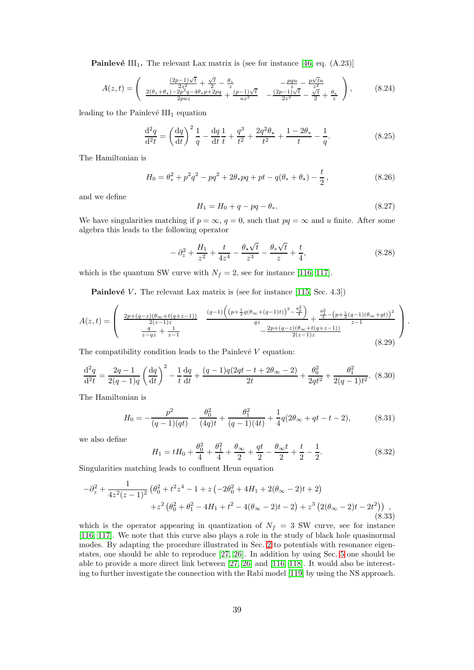**Painlevé** III<sub>1</sub>. The relevant Lax matrix is (see for instance [\[46,](#page-57-2) eq.  $(A.23)$ ]

$$
A(z,t) = \begin{pmatrix} \frac{(2p-1)\sqrt{t}}{2z^2} + \frac{\sqrt{t}}{2} - \frac{\theta_*}{z} & -\frac{pqu}{z} - \frac{p\sqrt{t}u}{z^2} \\ \frac{2(\theta_* + \theta_*) - 2p^2q - 4\theta_*p + 2pq}{2puz} + \frac{(p-1)\sqrt{t}}{uz^2} & -\frac{(2p-1)\sqrt{t}}{2z^2} - \frac{\sqrt{t}}{2} + \frac{\theta_*}{z} \end{pmatrix},
$$
(8.24)

leading to the Painlevé  $III_1$  equation

$$
\frac{\mathrm{d}^2 q}{\mathrm{d}^2 t} = \left(\frac{\mathrm{d} q}{\mathrm{d} t}\right)^2 \frac{1}{q} - \frac{\mathrm{d} q}{\mathrm{d} t} \frac{1}{t} + \frac{q^3}{t^2} + \frac{2q^2 \theta_\star}{t^2} + \frac{1 - 2\theta_\star}{t} - \frac{1}{q}.\tag{8.25}
$$

The Hamiltonian is

$$
H_0 = \theta_*^2 + p^2 q^2 - p q^2 + 2\theta_* p q + p t - q(\theta_* + \theta_*) - \frac{t}{2},
$$
\n(8.26)

and we define

$$
H_1 = H_0 + q - pq - \theta_*.\t\t(8.27)
$$

We have singularities matching if  $p = \infty$ ,  $q = 0$ , such that  $pq = \infty$  and u finite. After some algebra this leads to the following operator

$$
- \partial_z^2 + \frac{H_1}{z^2} + \frac{t}{4z^4} - \frac{\theta_\star \sqrt{t}}{z^3} - \frac{\theta_\star \sqrt{t}}{z} + \frac{t}{4},\tag{8.28}
$$

which is the quantum SW curve with  $N_f = 2$ , see for instance [\[116,](#page-60-6) [117\]](#page-60-7).

**Painlevé** V. The relevant Lax matrix is (see for instance [\[115,](#page-60-5) Sec. 4.3])

$$
A(z,t) = \begin{pmatrix} \frac{2p + (q-z)(\theta_{\infty} + t(q+z-1))}{2(z-1)z} & \frac{(q-1)\left(\left(p + \frac{1}{2}q(\theta_{\infty} + (q-1)t)\right)^2 - \frac{\theta_0^2}{4}\right)}{qz} + \frac{\frac{\theta_1^2}{4} - \left(p + \frac{1}{2}(q-1)(\theta_{\infty} + qt)\right)^2}{z-1} \\ \frac{q}{z-qz} + \frac{1}{z-1} & -\frac{2p + (q-z)(\theta_{\infty} + t(q+z-1))}{2(z-1)z} \end{pmatrix}.
$$
\n
$$
(8.29)
$$

The compatibility condition leads to the Painlevé  $V$  equation:

$$
\frac{\mathrm{d}^2 q}{\mathrm{d}^2 t} = \frac{2q - 1}{2(q - 1)q} \left(\frac{\mathrm{d}q}{\mathrm{d}t}\right)^2 - \frac{1}{t} \frac{\mathrm{d}q}{\mathrm{d}t} + \frac{(q - 1)q(2qt - t + 2\theta_\infty - 2)}{2t} + \frac{\theta_0^2}{2qt^2} + \frac{\theta_1^2}{2(q - 1)t^2}.\tag{8.30}
$$

The Hamiltonian is

$$
H_0 = -\frac{p^2}{(q-1)(qt)} - \frac{\theta_0^2}{(4q)t} + \frac{\theta_1^2}{(q-1)(4t)} + \frac{1}{4}q(2\theta_\infty + qt - t - 2),
$$
 (8.31)

we also define

$$
H_1 = tH_0 + \frac{\theta_0^2}{4} + \frac{\theta_1^2}{4} + \frac{\theta_\infty}{2} + \frac{qt}{2} - \frac{\theta_\infty t}{2} + \frac{t}{2} - \frac{1}{2}.
$$
 (8.32)

Singularities matching leads to confluent Heun equation

$$
-\partial_z^2 + \frac{1}{4z^2(z-1)^2} \left( \theta_0^2 + t^2 z^4 - 1 + z \left( -2\theta_0^2 + 4H_1 + 2(\theta_\infty - 2)t + 2 \right) + z^2 \left( \theta_0^2 + \theta_1^2 - 4H_1 + t^2 - 4(\theta_\infty - 2)t - 2 \right) + z^3 \left( 2(\theta_\infty - 2)t - 2t^2 \right) \right) ,
$$
\n(8.33)

which is the operator appearing in quantization of  $N_f = 3$  SW curve, see for instance [\[116,](#page-60-6) [117\]](#page-60-7). We note that this curve also plays a role in the study of black hole quasinormal modes. By adapting the procedure illustrated in Sec. [2](#page-4-0) to potentials with resonance eigenstates, one should be able to reproduce [\[27,](#page-56-6) [26\]](#page-56-5). In addition by using Sec. [5](#page-20-0) one should be able to provide a more direct link between [\[27,](#page-56-6) [26\]](#page-56-5) and [\[116,](#page-60-6) [118\]](#page-60-8). It would also be interesting to further investigate the connection with the Rabi model [\[119\]](#page-60-9) by using the NS approach.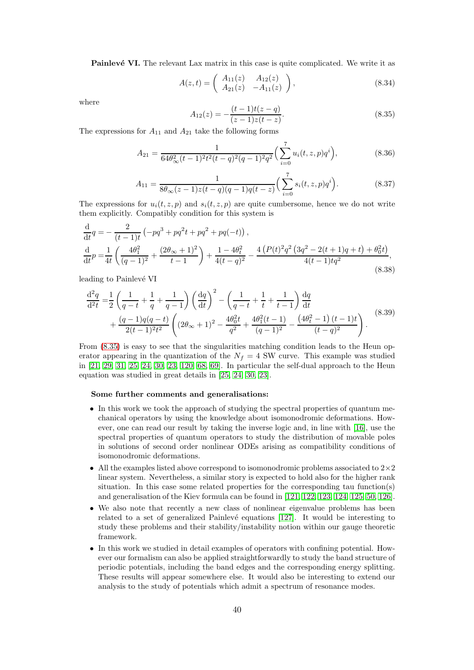**Painlevé VI.** The relevant Lax matrix in this case is quite complicated. We write it as

$$
A(z,t) = \begin{pmatrix} A_{11}(z) & A_{12}(z) \\ A_{21}(z) & -A_{11}(z) \end{pmatrix},
$$
\n(8.34)

where

<span id="page-39-0"></span>
$$
A_{12}(z) = -\frac{(t-1)t(z-q)}{(z-1)z(t-z)}.\t(8.35)
$$

The expressions for  $A_{11}$  and  $A_{21}$  take the following forms

$$
A_{21} = \frac{1}{64\theta_{\infty}^2(t-1)^2 t^2(t-q)^2(q-1)^2 q^2} \left(\sum_{i=0}^7 u_i(t,z,p) q^i\right),\tag{8.36}
$$

$$
A_{11} = \frac{1}{8\theta_{\infty}(z-1)z(t-q)(q-1)q(t-z)} \Big(\sum_{i=0}^{7} s_i(t,z,p)q^i\Big). \tag{8.37}
$$

The expressions for  $u_i(t, z, p)$  and  $s_i(t, z, p)$  are quite cumbersome, hence we do not write them explicitly. Compatibly condition for this system is

$$
\frac{\mathrm{d}}{\mathrm{d}t}q = -\frac{2}{(t-1)t} \left( -pq^3 + pq^2t + pq^2 + pq(-t) \right),\n\frac{\mathrm{d}}{\mathrm{d}t}p = \frac{1}{4t} \left( \frac{4\theta_1^2}{(q-1)^2} + \frac{(2\theta_{\infty}+1)^2}{t-1} \right) + \frac{1-4\theta_t^2}{4(t-q)^2} - \frac{4\left( P(t)^2q^2\left(3q^2 - 2(t+1)q + t\right) + \theta_0^2t\right)}{4(t-1)tq^2},\tag{8.38}
$$

leading to Painlevé VI

$$
\frac{d^2q}{d^2t} = \frac{1}{2} \left( \frac{1}{q-t} + \frac{1}{q} + \frac{1}{q-1} \right) \left( \frac{dq}{dt} \right)^2 - \left( \frac{1}{q-t} + \frac{1}{t} + \frac{1}{t-1} \right) \frac{dq}{dt}
$$
  
+ 
$$
\frac{(q-1)q(q-t)}{2(t-1)^2t^2} \left( (2\theta_{\infty}+1)^2 - \frac{4\theta_0^2 t}{q^2} + \frac{4\theta_1^2(t-1)}{(q-1)^2} - \frac{(4\theta_t^2-1)(t-1)t}{(t-q)^2} \right).
$$
(8.39)

From [\(8.35\)](#page-39-0) is easy to see that the singularities matching condition leads to the Heun operator appearing in the quantization of the  $N_f = 4$  SW curve. This example was studied in [\[21,](#page-56-0) [29,](#page-56-8) [31,](#page-56-10) [25,](#page-56-4) [24,](#page-56-3) [30,](#page-56-9) [23,](#page-56-2) [120,](#page-60-10) [68,](#page-58-4) [69\]](#page-58-5). In particular the self-dual approach to the Heun equation was studied in great details in [\[25,](#page-56-4) [24,](#page-56-3) [30,](#page-56-9) [23\]](#page-56-2).

#### Some further comments and generalisations:

- In this work we took the approach of studying the spectral properties of quantum mechanical operators by using the knowledge about isomonodromic deformations. However, one can read our result by taking the inverse logic and, in line with [\[16\]](#page-55-15), use the spectral properties of quantum operators to study the distribution of movable poles in solutions of second order nonlinear ODEs arising as compatibility conditions of isomonodromic deformations.
- All the examples listed above correspond to isomonodromic problems associated to  $2\times 2$ linear system. Nevertheless, a similar story is expected to hold also for the higher rank situation. In this case some related properties for the corresponding tau function(s) and generalisation of the Kiev formula can be found in [\[121,](#page-60-11) [122,](#page-60-12) [123,](#page-60-13) [124,](#page-60-14) [125,](#page-60-15) [50,](#page-57-6) [126\]](#page-60-16).
- We also note that recently a new class of nonlinear eigenvalue problems has been related to a set of generalized Painlevé equations [\[127\]](#page-60-17). It would be interesting to study these problems and their stability/instability notion within our gauge theoretic framework.
- In this work we studied in detail examples of operators with confining potential. However our formalism can also be applied straightforwardly to study the band structure of periodic potentials, including the band edges and the corresponding energy splitting. These results will appear somewhere else. It would also be interesting to extend our analysis to the study of potentials which admit a spectrum of resonance modes.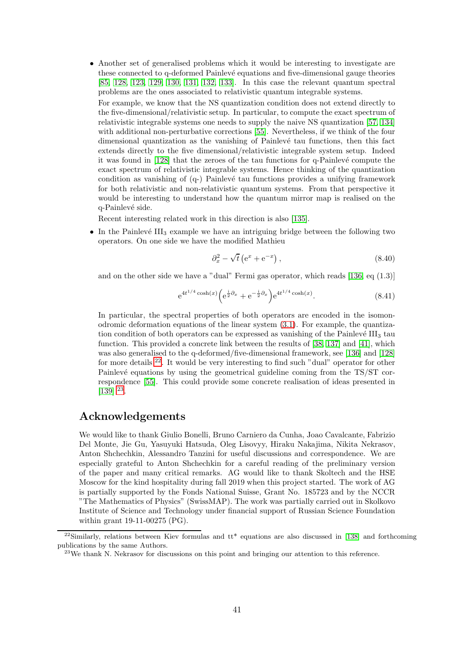- Another set of generalised problems which it would be interesting to investigate are these connected to q-deformed Painlevé equations and five-dimensional gauge theories [\[85,](#page-58-21) [128,](#page-60-18) [123,](#page-60-13) [129,](#page-60-19) [130,](#page-60-20) [131,](#page-60-21) [132,](#page-60-22) [133\]](#page-60-23). In this case the relevant quantum spectral problems are the ones associated to relativistic quantum integrable systems.
- For example, we know that the NS quantization condition does not extend directly to the five-dimensional/relativistic setup. In particular, to compute the exact spectrum of relativistic integrable systems one needs to supply the naive NS quantization [\[57,](#page-57-10) [134\]](#page-61-0) with additional non-perturbative corrections [\[55\]](#page-57-13). Nevertheless, if we think of the four dimensional quantization as the vanishing of Painlevé tau functions, then this fact extends directly to the five dimensional/relativistic integrable system setup. Indeed it was found in  $[128]$  that the zeroes of the tau functions for q-Painlevé compute the exact spectrum of relativistic integrable systems. Hence thinking of the quantization condition as vanishing of  $(q-)$  Painlevé tau functions provides a unifying framework for both relativistic and non-relativistic quantum systems. From that perspective it would be interesting to understand how the quantum mirror map is realised on the q-Painlevé side.

Recent interesting related work in this direction is also [\[135\]](#page-61-1).

• In the Painlevé III<sub>3</sub> example we have an intriguing bridge between the following two operators. On one side we have the modified Mathieu

$$
\partial_x^2 - \sqrt{t} \left( e^x + e^{-x} \right), \tag{8.40}
$$

and on the other side we have a "dual" Fermi gas operator, which reads  $[136, \text{eq } (1.3)]$ 

$$
e^{4t^{1/4}\cosh(x)}\left(e^{\frac{i}{2}\partial_x} + e^{-\frac{i}{2}\partial_x}\right)e^{4t^{1/4}\cosh(x)}.
$$
 (8.41)

In particular, the spectral properties of both operators are encoded in the isomonodromic deformation equations of the linear system [\(3.1\)](#page-6-2). For example, the quantization condition of both operators can be expressed as vanishing of the Painlevé  $III<sub>3</sub>$  tau function. This provided a concrete link between the results of [\[38,](#page-56-20) [137\]](#page-61-3) and [\[41\]](#page-56-12), which was also generalised to the q-deformed/five-dimensional framework, see [\[136\]](#page-61-2) and [\[128\]](#page-60-18) for more details [22](#page-40-0). It would be very interesting to find such "dual" operator for other Painlevé equations by using the geometrical guideline coming from the TS/ST correspondence [\[55\]](#page-57-13). This could provide some concrete realisation of ideas presented in  $[139]$   $^{23}$  $^{23}$  $^{23}$ .

# Acknowledgements

We would like to thank Giulio Bonelli, Bruno Carniero da Cunha, Joao Cavalcante, Fabrizio Del Monte, Jie Gu, Yasuyuki Hatsuda, Oleg Lisovyy, Hiraku Nakajima, Nikita Nekrasov, Anton Shchechkin, Alessandro Tanzini for useful discussions and correspondence. We are especially grateful to Anton Shchechkin for a careful reading of the preliminary version of the paper and many critical remarks. AG would like to thank Skoltech and the HSE Moscow for the kind hospitality during fall 2019 when this project started. The work of AG is partially supported by the Fonds National Suisse, Grant No. 185723 and by the NCCR "The Mathematics of Physics" (SwissMAP). The work was partially carried out in Skolkovo Institute of Science and Technology under financial support of Russian Science Foundation within grant 19-11-00275 (PG).

 $22$ Similarly, relations between Kiev formulas and  $tt^*$  equations are also discussed in [\[138\]](#page-61-5) and forthcoming publications by the same Authors.

<span id="page-40-1"></span><span id="page-40-0"></span> $^{23}$ We thank N. Nekrasov for discussions on this point and bringing our attention to this reference.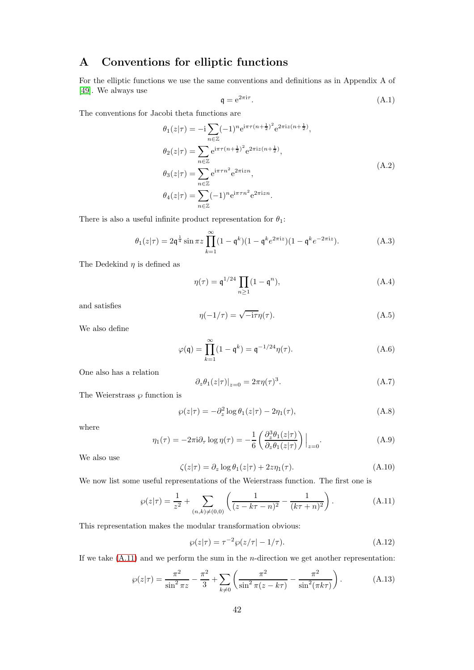# <span id="page-41-0"></span>A Conventions for elliptic functions

For the elliptic functions we use the same conventions and definitions as in Appendix A of [\[49\]](#page-57-5). We always use

$$
\mathfrak{q} = e^{2\pi i \tau}.\tag{A.1}
$$

The conventions for Jacobi theta functions are

$$
\theta_1(z|\tau) = -i \sum_{n \in \mathbb{Z}} (-1)^n e^{i\pi \tau (n + \frac{1}{2})^2} e^{2\pi i z (n + \frac{1}{2})},
$$
  
\n
$$
\theta_2(z|\tau) = \sum_{n \in \mathbb{Z}} e^{i\pi \tau (n + \frac{1}{2})^2} e^{2\pi i z (n + \frac{1}{2})},
$$
  
\n
$$
\theta_3(z|\tau) = \sum_{n \in \mathbb{Z}} e^{i\pi \tau n^2} e^{2\pi i z n},
$$
  
\n
$$
\theta_4(z|\tau) = \sum_{n \in \mathbb{Z}} (-1)^n e^{i\pi \tau n^2} e^{2\pi i z n}.
$$
\n(A.2)

There is also a useful infinite product representation for  $\theta_1$ :

<span id="page-41-7"></span>
$$
\theta_1(z|\tau) = 2\mathfrak{q}^{\frac{1}{4}}\sin \pi z \prod_{k=1}^{\infty} (1 - \mathfrak{q}^k)(1 - \mathfrak{q}^k e^{2\pi i z})(1 - \mathfrak{q}^k e^{-2\pi i z}). \tag{A.3}
$$

The Dedekind  $\eta$  is defined as

<span id="page-41-3"></span>
$$
\eta(\tau) = \mathfrak{q}^{1/24} \prod_{n \ge 1} (1 - \mathfrak{q}^n), \tag{A.4}
$$

and satisfies

$$
\eta(-1/\tau) = \sqrt{-i\tau}\eta(\tau). \tag{A.5}
$$

We also define

$$
\varphi(\mathfrak{q}) = \prod_{k=1}^{\infty} (1 - \mathfrak{q}^k) = \mathfrak{q}^{-1/24} \eta(\tau). \tag{A.6}
$$

One also has a relation

$$
\partial_z \theta_1(z|\tau)|_{z=0} = 2\pi \eta(\tau)^3. \tag{A.7}
$$

The Weierstrass  $\wp$  function is

<span id="page-41-1"></span>
$$
\wp(z|\tau) = -\partial_z^2 \log \theta_1(z|\tau) - 2\eta_1(\tau),\tag{A.8}
$$

where

<span id="page-41-2"></span>
$$
\eta_1(\tau) = -2\pi i \partial_\tau \log \eta(\tau) = -\frac{1}{6} \left( \frac{\partial_z^3 \theta_1(z|\tau)}{\partial_z \theta_1(z|\tau)} \right) \Big|_{z=0}.
$$
\n(A.9)

We also use

<span id="page-41-5"></span>
$$
\zeta(z|\tau) = \partial_z \log \theta_1(z|\tau) + 2z\eta_1(\tau). \tag{A.10}
$$

We now list some useful representations of the Weierstrass function. The first one is

<span id="page-41-6"></span>
$$
\wp(z|\tau) = \frac{1}{z^2} + \sum_{(n,k)\neq(0,0)} \left( \frac{1}{(z - k\tau - n)^2} - \frac{1}{(k\tau + n)^2} \right). \tag{A.11}
$$

This representation makes the modular transformation obvious:

$$
\wp(z|\tau) = \tau^{-2} \wp(z/\tau| - 1/\tau). \tag{A.12}
$$

If we take  $(A.11)$  and we perform the sum in the *n*-direction we get another representation:

<span id="page-41-4"></span>
$$
\wp(z|\tau) = \frac{\pi^2}{\sin^2 \pi z} - \frac{\pi^2}{3} + \sum_{k \neq 0} \left( \frac{\pi^2}{\sin^2 \pi (z - k\tau)} - \frac{\pi^2}{\sin^2(\pi k\tau)} \right). \tag{A.13}
$$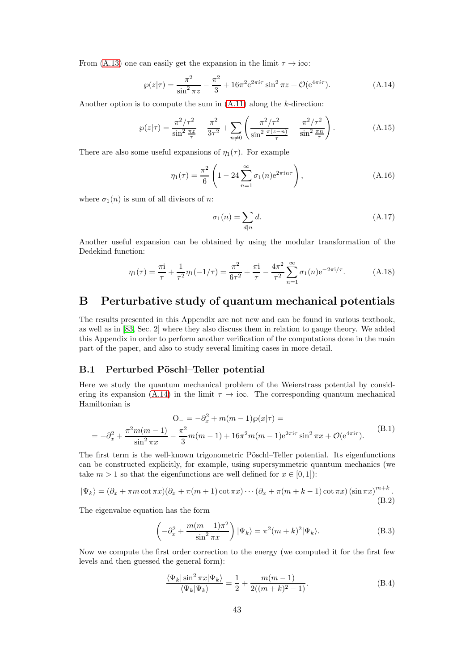From [\(A.13\)](#page-41-4) one can easily get the expansion in the limit  $\tau \to i\infty$ :

<span id="page-42-3"></span>
$$
\wp(z|\tau) = \frac{\pi^2}{\sin^2 \pi z} - \frac{\pi^2}{3} + 16\pi^2 e^{2\pi i \tau} \sin^2 \pi z + \mathcal{O}(e^{4\pi i \tau}).\tag{A.14}
$$

Another option is to compute the sum in  $(A.11)$  along the k-direction:

<span id="page-42-4"></span>
$$
\wp(z|\tau) = \frac{\pi^2/\tau^2}{\sin^2 \frac{\pi z}{\tau}} - \frac{\pi^2}{3\tau^2} + \sum_{n \neq 0} \left( \frac{\pi^2/\tau^2}{\sin^2 \frac{\pi(z-n)}{\tau}} - \frac{\pi^2/\tau^2}{\sin^2 \frac{\pi n}{\tau}} \right). \tag{A.15}
$$

There are also some useful expansions of  $\eta_1(\tau)$ . For example

<span id="page-42-2"></span>
$$
\eta_1(\tau) = \frac{\pi^2}{6} \left( 1 - 24 \sum_{n=1}^{\infty} \sigma_1(n) e^{2\pi i n \tau} \right),
$$
\n(A.16)

where  $\sigma_1(n)$  is sum of all divisors of n:

$$
\sigma_1(n) = \sum_{d|n} d. \tag{A.17}
$$

Another useful expansion can be obtained by using the modular transformation of the Dedekind function:

$$
\eta_1(\tau) = \frac{\pi i}{\tau} + \frac{1}{\tau^2} \eta_1(-1/\tau) = \frac{\pi^2}{6\tau^2} + \frac{\pi i}{\tau} - \frac{4\pi^2}{\tau^2} \sum_{n=1}^{\infty} \sigma_1(n) e^{-2\pi i/\tau}.
$$
 (A.18)

# <span id="page-42-0"></span>B Perturbative study of quantum mechanical potentials

The results presented in this Appendix are not new and can be found in various textbook, as well as in [\[83,](#page-58-19) Sec. 2] where they also discuss them in relation to gauge theory. We added this Appendix in order to perform another verification of the computations done in the main part of the paper, and also to study several limiting cases in more detail.

### <span id="page-42-1"></span>B.1 Perturbed Pöschl–Teller potential

Here we study the quantum mechanical problem of the Weierstrass potential by consid-ering its expansion [\(A.14\)](#page-42-3) in the limit  $\tau \to i\infty$ . The corresponding quantum mechanical Hamiltonian is

$$
O_{-} = -\partial_{x}^{2} + m(m-1)\wp(x|\tau) =
$$
  
=  $-\partial_{x}^{2} + \frac{\pi^{2}m(m-1)}{\sin^{2}\pi x} - \frac{\pi^{2}}{3}m(m-1) + 16\pi^{2}m(m-1)e^{2\pi i\tau} \sin^{2}\pi x + \mathcal{O}(e^{4\pi i\tau}).$  (B.1)

The first term is the well-known trigonometric Pöschl–Teller potential. Its eigenfunctions can be constructed explicitly, for example, using supersymmetric quantum mechanics (we take  $m > 1$  so that the eigenfunctions are well defined for  $x \in [0, 1]$ :

$$
|\Psi_k\rangle = (\partial_x + \pi m \cot \pi x)(\partial_x + \pi (m+1) \cot \pi x) \cdots (\partial_x + \pi (m+k-1) \cot \pi x) (\sin \pi x)^{m+k}.
$$
\n(B.2)

The eigenvalue equation has the form

$$
\left(-\partial_x^2 + \frac{m(m-1)\pi^2}{\sin^2 \pi x}\right) |\Psi_k\rangle = \pi^2 (m+k)^2 |\Psi_k\rangle.
$$
 (B.3)

Now we compute the first order correction to the energy (we computed it for the first few levels and then guessed the general form):

$$
\frac{\langle \Psi_k | \sin^2 \pi x | \Psi_k \rangle}{\langle \Psi_k | \Psi_k \rangle} = \frac{1}{2} + \frac{m(m-1)}{2((m+k)^2 - 1)}.
$$
\n(B.4)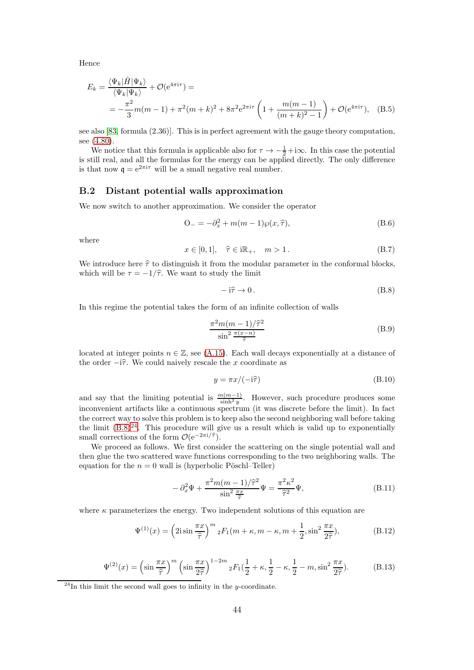Hence

$$
E_k = \frac{\langle \Psi_k | \hat{H} | \Psi_k \rangle}{\langle \Psi_k | \Psi_k \rangle} + \mathcal{O}(e^{4\pi i \tau}) =
$$
  
= 
$$
-\frac{\pi^2}{3}m(m-1) + \pi^2(m+k)^2 + 8\pi^2 e^{2\pi i \tau} \left(1 + \frac{m(m-1)}{(m+k)^2 - 1}\right) + \mathcal{O}(e^{4\pi i \tau}), \quad (B.5)
$$

see also [\[83,](#page-58-19) formula (2.36)]. This is in perfect agreement with the gauge theory computation, see  $(4.80)$ .

We notice that this formula is applicable also for  $\tau \to -\frac{1}{2} + i\infty$ . In this case the potential is still real, and all the formulas for the energy can be applied directly. The only difference is that now  $q = e^{2\pi i \tau}$  will be a small negative real number.

### <span id="page-43-0"></span>B.2 Distant potential walls approximation

We now switch to another approximation. We consider the operator

<span id="page-43-1"></span>
$$
O_{-} = -\partial_{x}^{2} + m(m-1)\wp(x,\hat{\tau}),
$$
\n(B.6)

where

$$
x \in [0, 1], \quad \hat{\tau} \in i\mathbb{R}_+, \quad m > 1. \tag{B.7}
$$

We introduce here  $\hat{\tau}$  to distinguish it from the modular parameter in the conformal blocks, which will be  $\tau = -1/\hat{\tau}$ . We want to study the limit

<span id="page-43-2"></span>
$$
-i\hat{\tau} \to 0. \tag{B.8}
$$

In this regime the potential takes the form of an infinite collection of walls

$$
\frac{\pi^2 m(m-1)/\hat{\tau}^2}{\sin^2 \frac{\pi(x-n)}{\hat{\tau}}}
$$
(B.9)

located at integer points  $n \in \mathbb{Z}$ , see [\(A.15\)](#page-42-4). Each wall decays exponentially at a distance of the order  $-i\hat{\tau}$ . We could naively rescale the x coordinate as

$$
y = \pi x / (-i\hat{\tau}) \tag{B.10}
$$

and say that the limiting potential is  $\frac{m(m-1)}{\sinh^2 y}$ . However, such procedure produces some inconvenient artifacts like a continuous spectrum (it was discrete before the limit). In fact the correct way to solve this problem is to keep also the second neighboring wall before taking the limit  $(B.8)^{24}$  $(B.8)^{24}$  $(B.8)^{24}$ . This procedure will give us a result which is valid up to exponentially small corrections of the form  $\mathcal{O}(e^{-2\pi i/\hat{\tau}})$ .

We proceed as follows. We first consider the scattering on the single potential wall and then glue the two scattered wave functions corresponding to the two neighboring walls. The equation for the  $n = 0$  wall is (hyperbolic Pöschl–Teller)

$$
-\partial_x^2 \Psi + \frac{\pi^2 m(m-1)/\hat{\tau}^2}{\sin^2 \frac{\pi x}{\hat{\tau}}} \Psi = \frac{\pi^2 \kappa^2}{\hat{\tau}^2} \Psi,
$$
\n(B.11)

where  $\kappa$  parameterizes the energy. Two independent solutions of this equation are

$$
\Psi^{(1)}(x) = \left(2i\sin\frac{\pi x}{\hat{\tau}}\right)^m{}_2F_1(m+\kappa, m-\kappa, m+\frac{1}{2}, \sin^2\frac{\pi x}{2\hat{\tau}}),\tag{B.12}
$$

$$
\Psi^{(2)}(x) = \left(\sin\frac{\pi x}{\hat{\tau}}\right)^m \left(\sin\frac{\pi x}{2\hat{\tau}}\right)^{1-2m} {}_2F_1\left(\frac{1}{2}+\kappa,\frac{1}{2}-\kappa,\frac{1}{2}-m,\sin^2\frac{\pi x}{2\hat{\tau}}\right). \tag{B.13}
$$

<span id="page-43-3"></span> $^{24}$ In this limit the second wall goes to infinity in the y-coordinate.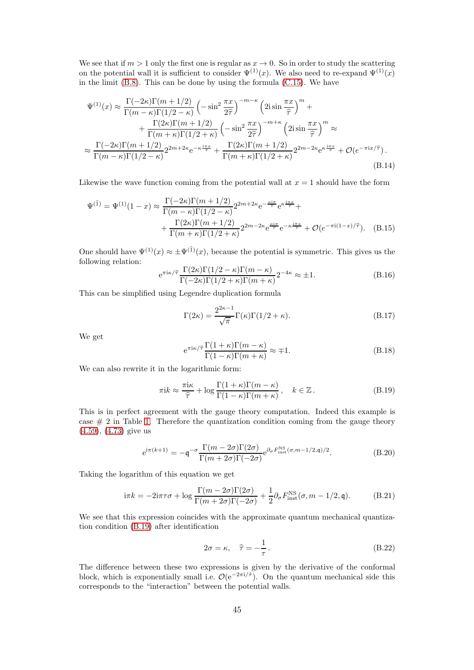We see that if  $m > 1$  only the first one is regular as  $x \to 0$ . So in order to study the scattering on the potential wall it is sufficient to consider  $\Psi^{(1)}(x)$ . We also need to re-expand  $\Psi^{(1)}(x)$ in the limit [\(B.8\)](#page-43-2). This can be done by using the formula [\(C.15\)](#page-47-0). We have

$$
\Psi^{(1)}(x) \approx \frac{\Gamma(-2\kappa)\Gamma(m+1/2)}{\Gamma(m-\kappa)\Gamma(1/2-\kappa)} \left(-\sin^2\frac{\pi x}{2\hat{\tau}}\right)^{-m-\kappa} \left(2i\sin\frac{\pi x}{\hat{\tau}}\right)^m + \n+ \frac{\Gamma(2\kappa)\Gamma(m+1/2)}{\Gamma(m+\kappa)\Gamma(1/2+\kappa)} \left(-\sin^2\frac{\pi x}{2\hat{\tau}}\right)^{-m+\kappa} \left(2i\sin\frac{\pi x}{\hat{\tau}}\right)^m \approx \n\approx \frac{\Gamma(-2\kappa)\Gamma(m+1/2)}{\Gamma(m-\kappa)\Gamma(1/2-\kappa)} 2^{2m+2\kappa} e^{-\kappa\frac{i\pi x}{\hat{\tau}}} + \frac{\Gamma(2\kappa)\Gamma(m+1/2)}{\Gamma(m+\kappa)\Gamma(1/2+\kappa)} 2^{2m-2\kappa} e^{\kappa\frac{i\pi x}{\hat{\tau}}} + \mathcal{O}(e^{-\pi i x/\hat{\tau}}).
$$
\n(B.14)

Likewise the wave function coming from the potential wall at  $x = 1$  should have the form

$$
\Psi^{(\tilde{1})} = \Psi^{(1)}(1-x) \approx \frac{\Gamma(-2\kappa)\Gamma(m+1/2)}{\Gamma(m-\kappa)\Gamma(1/2-\kappa)} 2^{2m+2\kappa} e^{-\frac{\kappa i \pi}{\tilde{\tau}}} e^{\kappa \frac{i\pi x}{\tilde{\tau}}} + \\ + \frac{\Gamma(2\kappa)\Gamma(m+1/2)}{\Gamma(m+\kappa)\Gamma(1/2+\kappa)} 2^{2m-2\kappa} e^{\frac{\kappa i \pi}{\tilde{\tau}}} e^{-\kappa \frac{i\pi x}{\tilde{\tau}}} + \mathcal{O}(e^{-\pi i(1-x)/\tilde{\tau}}). \quad (B.15)
$$

One should have  $\Psi^{(1)}(x) \approx \pm \Psi^{(\tilde{1})}(x)$ , because the potential is symmetric. This gives us the following relation:

$$
e^{\pi i\kappa/\hat{\tau}} \frac{\Gamma(2\kappa)\Gamma(1/2-\kappa)\Gamma(m-\kappa)}{\Gamma(-2\kappa)\Gamma(1/2+\kappa)\Gamma(m+\kappa)} 2^{-4\kappa} \approx \pm 1.
$$
 (B.16)

This can be simplified using Legendre duplication formula

$$
\Gamma(2\kappa) = \frac{2^{2\kappa - 1}}{\sqrt{\pi}} \Gamma(\kappa) \Gamma(1/2 + \kappa).
$$
 (B.17)

We get

$$
e^{\pi i\kappa/\hat{\tau}} \frac{\Gamma(1+\kappa)\Gamma(m-\kappa)}{\Gamma(1-\kappa)\Gamma(m+\kappa)} \approx \mp 1.
$$
 (B.18)

We can also rewrite it in the logarithmic form:

<span id="page-44-0"></span>
$$
\pi i k \approx \frac{\pi i \kappa}{\hat{\tau}} + \log \frac{\Gamma(1+\kappa)\Gamma(m-\kappa)}{\Gamma(1-\kappa)\Gamma(m+\kappa)}, \quad k \in \mathbb{Z}.
$$
 (B.19)

This is in perfect agreement with the gauge theory computation. Indeed this example is case  $# 2$  in Table [1.](#page-14-3) Therefore the quantization condition coming from the gauge theory [\(4.59\)](#page-18-6), [\(4.73\)](#page-19-6) give us

$$
e^{i\pi(k+1)} = -\mathfrak{q}^{-\sigma} \frac{\Gamma(m - 2\sigma)\Gamma(2\sigma)}{\Gamma(m + 2\sigma)\Gamma(-2\sigma)} e^{\partial_{\sigma} F_{\text{inst}}^{\text{NS}}(\sigma, m - 1/2, \mathfrak{q})/2}.
$$
 (B.20)

Taking the logarithm of this equation we get

$$
i\pi k = -2i\pi\tau\sigma + \log\frac{\Gamma(m - 2\sigma)\Gamma(2\sigma)}{\Gamma(m + 2\sigma)\Gamma(-2\sigma)} + \frac{1}{2}\partial_{\sigma}F_{inst}^{NS}(\sigma, m - 1/2, \mathfrak{q}).
$$
 (B.21)

We see that this expression coincides with the approximate quantum mechanical quantization condition [\(B.19\)](#page-44-0) after identification

$$
2\sigma = \kappa, \quad \hat{\tau} = -\frac{1}{\tau}.
$$
 (B.22)

The difference between these two expressions is given by the derivative of the conformal block, which is exponentially small i.e.  $\mathcal{O}(e^{-2\pi i/\hat{\tau}})$ . On the quantum mechanical side this corresponds to the "interaction" between the potential walls.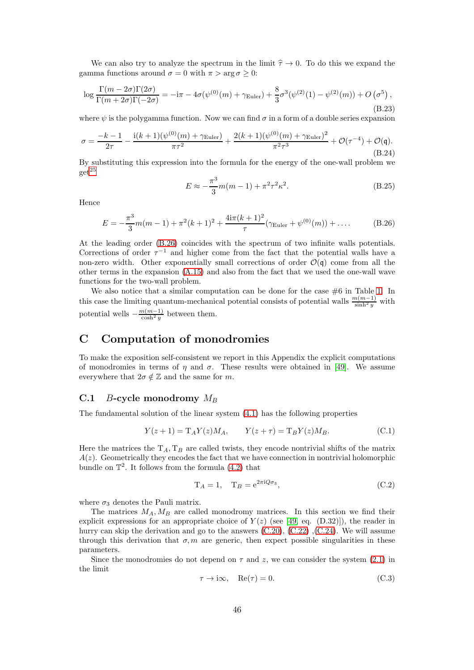We can also try to analyze the spectrum in the limit  $\hat{\tau} \to 0$ . To do this we expand the gamma functions around  $\sigma = 0$  with  $\pi > \arg \sigma \geq 0$ :

$$
\log \frac{\Gamma(m - 2\sigma)\Gamma(2\sigma)}{\Gamma(m + 2\sigma)\Gamma(-2\sigma)} = -i\pi - 4\sigma(\psi^{(0)}(m) + \gamma_{\text{Euler}}) + \frac{8}{3}\sigma^3(\psi^{(2)}(1) - \psi^{(2)}(m)) + O\left(\sigma^5\right),\tag{B.23}
$$

where  $\psi$  is the polygamma function. Now we can find  $\sigma$  in a form of a double series expansion

$$
\sigma = \frac{-k-1}{2\tau} - \frac{i(k+1)(\psi^{(0)}(m) + \gamma_{\text{Euler}})}{\pi\tau^2} + \frac{2(k+1)(\psi^{(0)}(m) + \gamma_{\text{Euler}})^2}{\pi^2\tau^3} + \mathcal{O}(\tau^{-4}) + \mathcal{O}(\mathfrak{q}).
$$
\n(B.24)

By substituting this expression into the formula for the energy of the one-wall problem we  $get^{25}$  $get^{25}$  $get^{25}$ 

$$
E \approx -\frac{\pi^3}{3}m(m-1) + \pi^2\tau^2\kappa^2.
$$
 (B.25)

Hence

<span id="page-45-2"></span>
$$
E = -\frac{\pi^3}{3}m(m-1) + \pi^2(k+1)^2 + \frac{4i\pi(k+1)^2}{\tau}(\gamma_{\text{Euler}} + \psi^{(0)}(m)) + \dots
$$
 (B.26)

At the leading order [\(B.26\)](#page-45-2) coincides with the spectrum of two infinite walls potentials. Corrections of order  $\tau^{-1}$  and higher come from the fact that the potential walls have a non-zero width. Other exponentially small corrections of order  $\mathcal{O}(\mathfrak{q})$  come from all the other terms in the expansion [\(A.15\)](#page-42-4) and also from the fact that we used the one-wall wave functions for the two-wall problem.

We also notice that a similar computation can be done for the case  $#6$  in Table [1.](#page-14-3) In this case the limiting quantum-mechanical potential consists of potential walls  $\frac{m(m-1)}{\sinh^2 y}$  with potential wells  $-\frac{m(m-1)}{\cosh^2 y}$  between them.

# <span id="page-45-0"></span>C Computation of monodromies

To make the exposition self-consistent we report in this Appendix the explicit computations of monodromies in terms of  $\eta$  and  $\sigma$ . These results were obtained in [\[49\]](#page-57-5). We assume everywhere that  $2\sigma \notin \mathbb{Z}$  and the same for m.

### <span id="page-45-1"></span>C.1 B-cycle monodromy  $M_B$

The fundamental solution of the linear system [\(4.1\)](#page-10-1) has the following properties

<span id="page-45-3"></span>
$$
Y(z+1) = T_A Y(z) M_A, \t Y(z+\tau) = T_B Y(z) M_B.
$$
 (C.1)

Here the matrices the  $T_A$ ,  $T_B$  are called twists, they encode nontrivial shifts of the matrix  $A(z)$ . Geometrically they encodes the fact that we have connection in nontrivial holomorphic bundle on  $\mathbb{T}^2$ . It follows from the formula  $(4.2)$  that

$$
T_A = 1, \quad T_B = e^{2\pi i Q \sigma_3}, \tag{C.2}
$$

where  $\sigma_3$  denotes the Pauli matrix.

The matrices  $M_A, M_B$  are called monodromy matrices. In this section we find their explicit expressions for an appropriate choice of  $Y(z)$  (see [\[49,](#page-57-5) eq. (D.32)]), the reader in hurrycan skip the derivation and go to the answers  $(C.20)$ ,  $(C.22)$ ,  $(C.24)$ . We will assume through this derivation that  $\sigma$ , m are generic, then expect possible singularities in these parameters.

Since the monodromies do not depend on  $\tau$  and z, we can consider the system [\(2.1\)](#page-4-3) in the limit

$$
\tau \to i\infty, \quad \text{Re}(\tau) = 0. \tag{C.3}
$$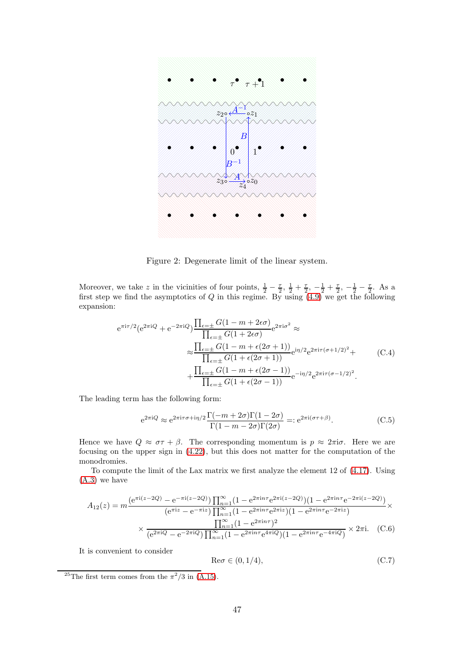

<span id="page-46-4"></span>Figure 2: Degenerate limit of the linear system.

Moreover, we take z in the vicinities of four points,  $\frac{1}{2} - \frac{\tau}{2}$ ,  $\frac{1}{2} + \frac{\tau}{2}$ ,  $-\frac{1}{2} + \frac{\tau}{2}$ ,  $-\frac{1}{2} - \frac{\tau}{2}$ . As a first step we find the asymptotics of  $Q$  in this regime. By using  $(4.9)$  we get the following expansion:

$$
e^{\pi i \tau/2} (e^{2\pi i Q} + e^{-2\pi i Q}) \frac{\prod_{\epsilon=\pm} G(1 - m + 2\epsilon \sigma)}{\prod_{\epsilon=\pm} G(1 + 2\epsilon \sigma)} e^{2\pi i \sigma^2} \approx
$$
  

$$
\approx \frac{\prod_{\epsilon=\pm} G(1 - m + \epsilon(2\sigma + 1))}{\prod_{\epsilon=\pm} G(1 + \epsilon(2\sigma + 1))} e^{i\eta/2} e^{2\pi i \tau(\sigma + 1/2)^2} +
$$
  

$$
+ \frac{\prod_{\epsilon=\pm} G(1 - m + \epsilon(2\sigma - 1))}{\prod_{\epsilon=\pm} G(1 + \epsilon(2\sigma - 1))} e^{-i\eta/2} e^{2\pi i \tau(\sigma - 1/2)^2}.
$$
 (C.4)

The leading term has the following form:

<span id="page-46-0"></span>
$$
e^{2\pi i Q} \approx e^{2\pi i \tau \sigma + i\eta/2} \frac{\Gamma(-m + 2\sigma)\Gamma(1 - 2\sigma)}{\Gamma(1 - m - 2\sigma)\Gamma(2\sigma)} =: e^{2\pi i (\sigma \tau + \beta)}.
$$
 (C.5)

Hence we have  $Q \approx \sigma \tau + \beta$ . The corresponding momentum is  $p \approx 2\pi i \sigma$ . Here we are focusing on the upper sign in [\(4.22\)](#page-13-2), but this does not matter for the computation of the monodromies.

To compute the limit of the Lax matrix we first analyze the element 12 of [\(4.17\)](#page-12-9). Using [\(A.3\)](#page-41-7) we have

$$
A_{12}(z) = m \frac{\left(e^{\pi i (z - 2Q)} - e^{-\pi i (z - 2Q)}\right) \prod_{n=1}^{\infty} (1 - e^{2\pi i n \tau} e^{2\pi i (z - 2Q)}) (1 - e^{2\pi i n \tau} e^{-2\pi i (z - 2Q)})}{\left(e^{\pi i z} - e^{-\pi i z}\right) \prod_{n=1}^{\infty} (1 - e^{2\pi i n \tau} e^{2\pi i z}) (1 - e^{2\pi i n \tau} e^{-2\pi i z})} \times \frac{\prod_{n=1}^{\infty} (1 - e^{2\pi i n \tau})^2}{\left(e^{2\pi i Q} - e^{-2\pi i Q}\right) \prod_{n=1}^{\infty} (1 - e^{2\pi i n \tau} e^{4\pi i Q}) (1 - e^{2\pi i n \tau} e^{-4\pi i Q})} \times 2\pi i. \quad (C.6)
$$

It is convenient to consider

<span id="page-46-3"></span><span id="page-46-2"></span>
$$
\text{Re}\sigma \in (0, 1/4),\tag{C.7}
$$

<span id="page-46-1"></span><sup>&</sup>lt;sup>25</sup>The first term comes from the  $\pi^2/3$  in [\(A.15\)](#page-42-4).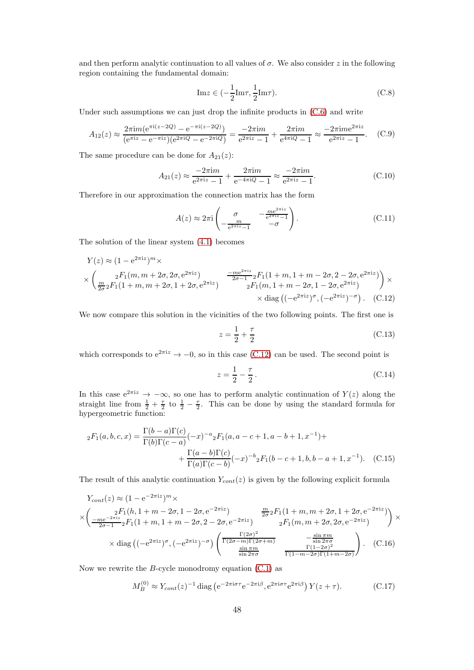and then perform analytic continuation to all values of  $\sigma$ . We also consider z in the following region containing the fundamental domain:

$$
\operatorname{Im} z \in \left(-\frac{1}{2}\operatorname{Im}\tau, \frac{1}{2}\operatorname{Im}\tau\right). \tag{C.8}
$$

Under such assumptions we can just drop the infinite products in  $(C.6)$  and write

$$
A_{12}(z) \approx \frac{2\pi i m (e^{\pi i (z - 2Q)} - e^{-\pi i (z - 2Q)})}{(e^{\pi i z} - e^{-\pi i z})(e^{2\pi i Q} - e^{-2\pi i Q})} = \frac{-2\pi i m}{e^{2\pi i z} - 1} + \frac{2\pi i m}{e^{4\pi i Q} - 1} \approx \frac{-2\pi i m e^{2\pi i z}}{e^{2\pi i z} - 1}.
$$
 (C.9)

The same procedure can be done for  $A_{21}(z)$ :

$$
A_{21}(z) \approx \frac{-2\pi im}{e^{2\pi iz} - 1} + \frac{2\pi im}{e^{-4\pi i Q} - 1} \approx \frac{-2\pi im}{e^{2\pi iz} - 1}.
$$
 (C.10)

Therefore in our approximation the connection matrix has the form

$$
A(z) \approx 2\pi i \begin{pmatrix} \sigma & -\frac{me^{2\pi i z}}{e^{2\pi i z} - 1} \\ -\frac{m}{e^{2\pi i z} - 1} & -\sigma \end{pmatrix}.
$$
 (C.11)

The solution of the linear system [\(4.1\)](#page-10-1) becomes

$$
Y(z) \approx (1 - e^{2\pi i z})^m \times
$$
  
\n
$$
\times \left( \frac{{}_2F_1(m, m + 2\sigma, 2\sigma, e^{2\pi i z})}{\frac{m}{2\sigma^2} F_1(1 + m, m + 2\sigma, 1 + 2\sigma, e^{2\pi i z})} - \frac{-me^{2\pi i z}}{2\sigma - 1} {}_2F_1(1 + m, 1 + m - 2\sigma, 2 - 2\sigma, e^{2\pi i z}) \right) \times
$$
  
\n
$$
\times \text{diag} ((-e^{2\pi i z})^{\sigma}, (-e^{2\pi i z})^{-\sigma}).
$$
 (C.12)

We now compare this solution in the vicinities of the two following points. The first one is

<span id="page-47-1"></span>
$$
z = \frac{1}{2} + \frac{\tau}{2}
$$
 (C.13)

which corresponds to  $e^{2\pi i z} \rightarrow -0$ , so in this case [\(C.12\)](#page-47-1) can be used. The second point is

<span id="page-47-0"></span>
$$
z = \frac{1}{2} - \frac{\tau}{2}.
$$
 (C.14)

In this case  $e^{2\pi i z} \to -\infty$ , so one has to perform analytic continuation of  $Y(z)$  along the straight line from  $\frac{1}{2} + \frac{\tau}{2}$  to  $\frac{1}{2} - \frac{\tau}{2}$ . This can be done by using the standard formula for hypergeometric function:

$$
{}_2F_1(a,b,c,x) = \frac{\Gamma(b-a)\Gamma(c)}{\Gamma(b)\Gamma(c-a)}(-x)^{-a}{}_2F_1(a,a-c+1,a-b+1,x^{-1}) + + \frac{\Gamma(a-b)\Gamma(c)}{\Gamma(a)\Gamma(c-b)}(-x)^{-b}{}_2F_1(b-c+1,b,b-a+1,x^{-1}).
$$
 (C.15)

The result of this analytic continuation  $Y_{cont}(z)$  is given by the following explicit formula

$$
Y_{cont}(z) \approx (1 - e^{-2\pi i z})^m \times
$$
  
\n
$$
\times \left( \frac{{}_2F_1(h, 1 + m - 2\sigma, 1 - 2\sigma, e^{-2\pi i z})}{\frac{-m e^{-2\pi i z}}{2\sigma - 1} {}_2F_1(1 + m, 1 + m - 2\sigma, 2 - 2\sigma, e^{-2\pi i z})} \right) \times
$$
  
\n
$$
\times \text{diag} \left( (-e^{2\pi i z})^{\sigma}, (-e^{2\pi i z})^{-\sigma} \right) \left( \frac{\Gamma(2\sigma)^2}{\Gamma(2\sigma - m)\Gamma(2\sigma + m)} - \frac{\sin \pi m}{\sin 2\pi \sigma} \right) \times
$$
  
\n
$$
\times \text{diag} \left( (-e^{2\pi i z})^{\sigma}, (-e^{2\pi i z})^{-\sigma} \right) \left( \frac{\Gamma(2\sigma)^2}{\sin 2\pi \sigma} - \frac{\sin \pi m}{\Gamma(1 - 2\sigma)^2} \right). \quad (C.16)
$$

Now we rewrite the  $B$ -cycle monodromy equation  $(C.1)$  as

$$
M_B^{(0)} \approx Y_{cont}(z)^{-1} \operatorname{diag} \left( e^{-2\pi i \sigma \tau} e^{-2\pi i \beta}, e^{2\pi i \sigma \tau} e^{2\pi i \beta} \right) Y(z+\tau). \tag{C.17}
$$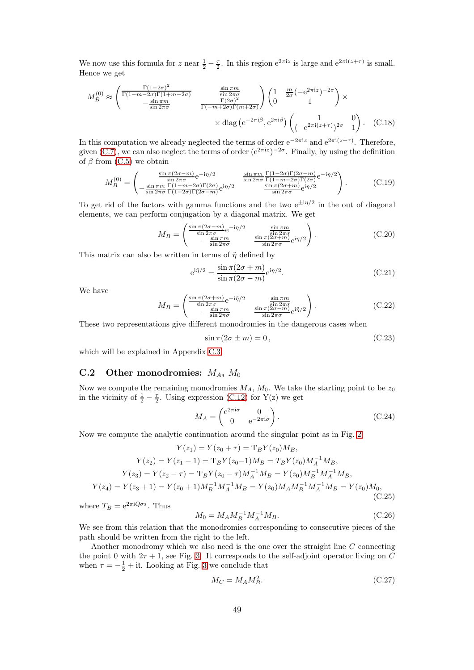We now use this formula for z near  $\frac{1}{2} - \frac{\tau}{2}$ . In this region  $e^{2\pi i z}$  is large and  $e^{2\pi i (z+\tau)}$  is small. Hence we get

$$
M_B^{(0)} \approx \begin{pmatrix} \frac{\Gamma(1-2\sigma)^2}{\Gamma(1-m-2\sigma)\Gamma(1+m-2\sigma)} & \frac{\sin \pi m}{\sin 2\pi\sigma} \\ -\frac{\sin \pi m}{\sin 2\pi\sigma} & \frac{\Gamma(2\sigma)^2}{\Gamma(-m+2\sigma)\Gamma(m+2\sigma)} \end{pmatrix} \begin{pmatrix} 1 & \frac{m}{2\sigma} \left( -e^{2\pi i z} \right)^{-2\sigma} \\ 0 & 1 \end{pmatrix} \times \\ \times \text{diag} \left( e^{-2\pi i \beta}, e^{2\pi i \beta} \right) \begin{pmatrix} 1 & 0 \\ \left( -e^{2\pi i (z+\tau)} \right)^{2\sigma} & 1 \end{pmatrix}. \quad \text{(C.18)}
$$

In this computation we already neglected the terms of order  $e^{-2\pi i z}$  and  $e^{2\pi i (z+\tau)}$ . Therefore, given [\(C.7\)](#page-46-3), we can also neglect the terms of order  $(e^{2\pi i z})^{-2\sigma}$ . Finally, by using the definition of  $\beta$  from [\(C.5\)](#page-46-0) we obtain

$$
M_B^{(0)} = \begin{pmatrix} \frac{\sin \pi (2\sigma - m)}{\sin 2\pi \sigma} e^{-i\eta/2} & \frac{\sin \pi m}{\sin 2\pi \sigma} \frac{\Gamma (1 - 2\sigma) \Gamma (2\sigma - m)}{\Gamma (1 - m - 2\sigma) \Gamma (2\sigma)} e^{-i\eta/2} \\ -\frac{\sin \pi m}{\sin 2\pi \sigma} \frac{\Gamma (1 - m - 2\sigma) \Gamma (2\sigma)}{\Gamma (1 - 2\sigma) \Gamma (2\sigma - m)} e^{i\eta/2} & \frac{\sin \pi (2\sigma + m)}{\sin 2\pi \sigma} e^{i\eta/2} \end{pmatrix}.
$$
 (C.19)

To get rid of the factors with gamma functions and the two  $e^{\pm i\eta/2}$  in the out of diagonal elements, we can perform conjugation by a diagonal matrix. We get

<span id="page-48-1"></span>
$$
M_B = \begin{pmatrix} \frac{\sin \pi (2\sigma - m)}{\sin 2\pi \sigma} e^{-i\eta/2} & \frac{\sin \pi m}{\sin 2\pi \sigma} \\ -\frac{\sin \pi m}{\sin 2\pi \sigma} & \frac{\sin \pi (2\sigma + m)}{\sin 2\pi \sigma} e^{i\eta/2} \end{pmatrix}.
$$
 (C.20)

This matrix can also be written in terms of  $\tilde{\eta}$  defined by

e

$$
\frac{\sin \pi (2\sigma + m)}{\sin \pi (2\sigma - m)} e^{i\eta/2}.
$$
\n(C.21)

We have

<span id="page-48-2"></span>
$$
M_B = \begin{pmatrix} \frac{\sin \pi (2\sigma + m)}{\sin 2\pi \sigma} e^{-i\tilde{\eta}/2} & \frac{\sin \pi m}{\sin 2\pi \sigma} \\ -\frac{\sin \pi m}{\sin 2\pi \sigma} & \frac{\sin \pi (2\sigma - m)}{\sin 2\pi \sigma} e^{i\tilde{\eta}/2} \end{pmatrix}.
$$
 (C.22)

These two representations give different monodromies in the dangerous cases when

<span id="page-48-4"></span>
$$
\sin \pi (2\sigma \pm m) = 0, \qquad (C.23)
$$

which will be explained in Appendix [C.3.](#page-49-0)

### <span id="page-48-0"></span>C.2 Other monodromies:  $M_A$ ,  $M_0$

Now we compute the remaining monodromies  $M_A$ ,  $M_0$ . We take the starting point to be  $z_0$ in the vicinity of  $\frac{1}{2} - \frac{\tau}{2}$ . Using expression [\(C.12\)](#page-47-1) for Y(z) we get

<span id="page-48-3"></span>
$$
M_A = \begin{pmatrix} e^{2\pi i \sigma} & 0\\ 0 & e^{-2\pi i \sigma} \end{pmatrix} .
$$
 (C.24)

Now we compute the analytic continuation around the singular point as in Fig. [2:](#page-46-4)

$$
Y(z_1) = Y(z_0 + \tau) = T_B Y(z_0) M_B,
$$
  
\n
$$
Y(z_2) = Y(z_1 - 1) = T_B Y(z_0 - 1) M_B = T_B Y(z_0) M_A^{-1} M_B,
$$
  
\n
$$
Y(z_3) = Y(z_2 - \tau) = T_B Y(z_0 - \tau) M_A^{-1} M_B = Y(z_0) M_B^{-1} M_A^{-1} M_B,
$$
  
\n
$$
Y(z_4) = Y(z_3 + 1) = Y(z_0 + 1) M_B^{-1} M_A^{-1} M_B = Y(z_0) M_A M_B^{-1} M_A^{-1} M_B = Y(z_0) M_0,
$$
  
\n(C.25)

where  $T_B = e^{2\pi i Q \sigma_3}$ . Thus

$$
M_0 = M_A M_B^{-1} M_A^{-1} M_B. \tag{C.26}
$$

We see from this relation that the monodromies corresponding to consecutive pieces of the path should be written from the right to the left.

Another monodromy which we also need is the one over the straight line C connecting the point 0 with  $2\tau + 1$ , see Fig. [3.](#page-49-1) It corresponds to the self-adjoint operator living on C when  $\tau = -\frac{1}{2} + i\mathfrak{t}$ . Looking at Fig. [3](#page-49-1) we conclude that

$$
M_C = M_A M_B^2. \tag{C.27}
$$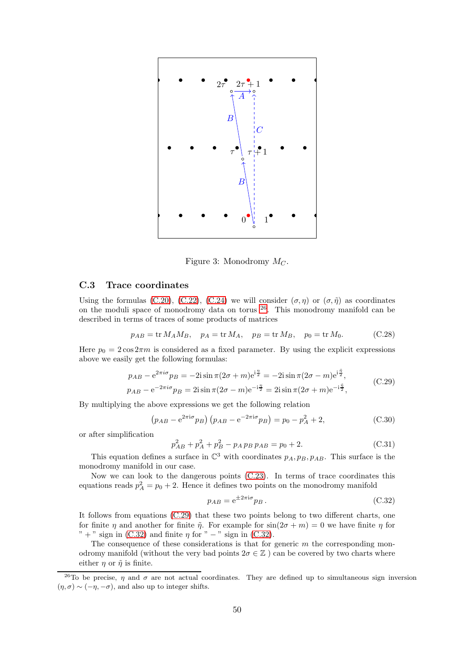

<span id="page-49-1"></span>Figure 3: Monodromy  $M_C$ .

### <span id="page-49-0"></span>C.3 Trace coordinates

Using the formulas [\(C.20\)](#page-48-1), [\(C.22\)](#page-48-2), [\(C.24\)](#page-48-3) we will consider  $(\sigma, \eta)$  or  $(\sigma, \tilde{\eta})$  as coordinates on the moduli space of monodromy data on torus [26](#page-49-2). This monodromy manifold can be described in terms of traces of some products of matrices

$$
p_{AB} = \text{tr } M_A M_B, \quad p_A = \text{tr } M_A, \quad p_B = \text{tr } M_B, \quad p_0 = \text{tr } M_0. \tag{C.28}
$$

Here  $p_0 = 2 \cos 2\pi m$  is considered as a fixed parameter. By using the explicit expressions above we easily get the following formulas:

<span id="page-49-3"></span>
$$
p_{AB} - e^{2\pi i \sigma} p_B = -2i \sin \pi (2\sigma + m) e^{i\frac{\pi}{2}} = -2i \sin \pi (2\sigma - m) e^{i\frac{\pi}{2}},
$$
  
\n
$$
p_{AB} - e^{-2\pi i \sigma} p_B = 2i \sin \pi (2\sigma - m) e^{-i\frac{\pi}{2}} = 2i \sin \pi (2\sigma + m) e^{-i\frac{\pi}{2}},
$$
\n(C.29)

By multiplying the above expressions we get the following relation

$$
(p_{AB} - e^{2\pi i \sigma} p_B) (p_{AB} - e^{-2\pi i \sigma} p_B) = p_0 - p_A^2 + 2,
$$
 (C.30)

or after simplification

$$
p_{AB}^2 + p_A^2 + p_B^2 - p_A p_B p_{AB} = p_0 + 2. \tag{C.31}
$$

This equation defines a surface in  $\mathbb{C}^3$  with coordinates  $p_A, p_B, p_{AB}$ . This surface is the monodromy manifold in our case.

Now we can look to the dangerous points [\(C.23\)](#page-48-4). In terms of trace coordinates this equations reads  $p_A^2 = p_0 + 2$ . Hence it defines two points on the monodromy manifold

<span id="page-49-4"></span>
$$
p_{AB} = e^{\pm 2\pi i \sigma} p_B. \tag{C.32}
$$

It follows from equations [\(C.29\)](#page-49-3) that these two points belong to two different charts, one for finite  $\eta$  and another for finite  $\tilde{\eta}$ . For example for  $\sin(2\sigma + m) = 0$  we have finite  $\eta$  for " + " sign in [\(C.32\)](#page-49-4) and finite  $\eta$  for " – " sign in (C.32).

The consequence of these considerations is that for generic  $m$  the corresponding monodromy manifold (without the very bad points  $2\sigma \in \mathbb{Z}$ ) can be covered by two charts where either  $\eta$  or  $\tilde{\eta}$  is finite.

<span id="page-49-2"></span><sup>&</sup>lt;sup>26</sup>To be precise,  $\eta$  and  $\sigma$  are not actual coordinates. They are defined up to simultaneous sign inversion  $(\eta, \sigma) \sim (-\eta, -\sigma)$ , and also up to integer shifts.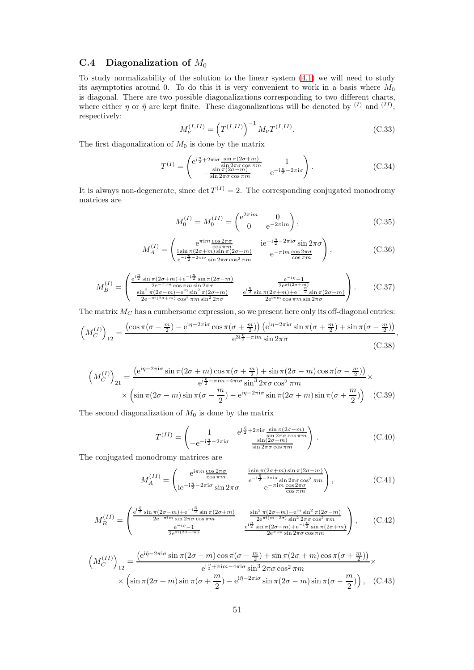### <span id="page-50-0"></span>C.4 Diagonalization of  $M_0$

To study normalizability of the solution to the linear system [\(4.1\)](#page-10-1) we will need to study its asymptotics around 0. To do this it is very convenient to work in a basis where  $M_0$ is diagonal. There are two possible diagonalizations corresponding to two different charts, where either  $\eta$  or  $\tilde{\eta}$  are kept finite. These diagonalizations will be denoted by  $^{(I)}$  and  $^{(II)}$ , respectively:

$$
M_{\nu}^{(I,II)} = \left(T^{(I,II)}\right)^{-1} M_{\nu} T^{(I,II)}.
$$
\n(C.33)

The first diagonalization of  $M_0$  is done by the matrix

$$
T^{(I)} = \begin{pmatrix} e^{i\frac{\eta}{2} + 2\pi i\sigma} \frac{\sin \pi (2\sigma + m)}{\sin 2\pi \sigma \cos \pi m} & 1\\ -\frac{\sin \pi (2\sigma - m)}{\sin 2\pi \sigma \cos \pi m} & e^{-i\frac{\eta}{2} - 2\pi i\sigma} \end{pmatrix}.
$$
 (C.34)

It is always non-degenerate, since  $\det T^{(I)} = 2$ . The corresponding conjugated monodromy matrices are

$$
M_0^{(I)} = M_0^{(II)} = \begin{pmatrix} e^{2\pi im} & 0\\ 0 & e^{-2\pi im} \end{pmatrix},
$$
 (C.35)

$$
M_A^{(I)} = \begin{pmatrix} e^{\pi i m} \frac{\cos 2\pi \sigma}{\cos \pi m} & i e^{-i\frac{\eta}{2} - 2\pi i \sigma} \sin 2\pi \sigma \\ \frac{i \sin \pi (2\sigma + m) \sin \pi (2\sigma - m)}{e^{-i\frac{\eta}{2} - 2\pi i \sigma} \sin 2\pi \sigma \cos^2 \pi m} & e^{-\pi i m} \frac{\cos 2\pi \sigma}{\cos \pi m} \end{pmatrix},
$$
(C.36)

$$
M_B^{(I)} = \begin{pmatrix} \frac{e^{i\frac{\eta}{2}}\sin\pi(2\sigma+m)+e^{-i\frac{\eta}{2}}\sin\pi(2\sigma-m)}{2e^{-\pi im}\cos\pi m\sin 2\pi\sigma} & \frac{e^{-i\eta}-1}{2e^{\pi i(2\sigma+m)}}\\ \frac{\sin^2\pi(2\sigma-m)-e^{i\eta}\sin^2\pi(2\sigma+m)}{2e^{-\pi i(2\sigma+m)}\cos^2\pi m\sin^2 2\pi\sigma} & \frac{e^{i\frac{\eta}{2}}\sin\pi(2\sigma+m)+e^{-i\frac{\eta}{2}}\sin\pi(2\sigma-m)}{2e^{i\pi m}\cos\pi m\sin 2\pi\sigma} \end{pmatrix}.
$$
 (C.37)

The matrix  $M_C$  has a cumbersome expression, so we present here only its off-diagonal entries:

$$
\left(M_C^{(I)}\right)_{12} = \frac{\left(\cos\pi\left(\sigma - \frac{m}{2}\right) - e^{i\eta - 2\pi i\sigma}\cos\pi\left(\sigma + \frac{m}{2}\right)\right)\left(e^{i\eta - 2\pi i\sigma}\sin\pi\left(\sigma + \frac{m}{2}\right) + \sin\pi\left(\sigma - \frac{m}{2}\right)\right)}{e^{3i\frac{\eta}{2} + \pi i m}\sin 2\pi\sigma},\tag{C.38}
$$

$$
\left(M_C^{(I)}\right)_{21} = \frac{\left(e^{i\eta - 2\pi i\sigma}\sin\pi(2\sigma + m)\cos\pi(\sigma + \frac{m}{2}) + \sin\pi(2\sigma - m)\cos\pi(\sigma - \frac{m}{2})\right)}{e^{i\frac{\eta}{2} - \pi i m - 4\pi i\sigma}\sin^3 2\pi\sigma\cos^2 \pi m} \times \left(\sin\pi(2\sigma - m)\sin\pi(\sigma - \frac{m}{2}) - e^{i\eta - 2\pi i\sigma}\sin\pi(2\sigma + m)\sin\pi(\sigma + \frac{m}{2})\right) \quad \text{(C.39)}
$$

The second diagonalization of  $M_0$  is done by the matrix

$$
T^{(II)} = \begin{pmatrix} 1 & e^{i\frac{\tilde{\eta}}{2} + 2\pi i\sigma \frac{\sin \pi (2\sigma - m)}{\sin 2\pi \sigma \cos \pi m}} \\ -e^{-i\frac{\tilde{\eta}}{2} - 2\pi i\sigma} & \frac{\sin (2\sigma + m)}{\sin 2\pi \sigma \cos \pi m} \end{pmatrix} .
$$
 (C.40)

The conjugated monodromy matrices are

$$
M_A^{(II)} = \begin{pmatrix} e^{i\pi m} \frac{\cos 2\pi \sigma}{\cos \pi m} & \frac{i \sin \pi (2\sigma + m) \sin \pi (2\sigma - m)}{e^{-i\frac{\tilde{\eta}}{2} - 2\pi i \sigma} \sin 2\pi \sigma \cos^2 \pi m} \\ i e^{-i\frac{\tilde{\eta}}{2} - 2\pi i \sigma} \sin 2\pi \sigma & e^{-\pi i m} \frac{\cos 2\pi \sigma}{\cos \pi m} \end{pmatrix},
$$
(C.41)

$$
M_B^{(II)} = \begin{pmatrix} \frac{e^{i\frac{\tilde{\eta}}{2}\sin\pi(2\sigma - m) + e^{-i\frac{\tilde{\eta}}{2}\sin\pi(2\sigma + m)}}{2e^{-\pi im\sin 2\pi\sigma\cos\pi m}} & \frac{\sin^2\pi(2\sigma + m) - e^{i\tilde{\eta}}\sin^2\pi(2\sigma - m)}{2e^{\pi i(m-2\sigma)\sin^2 2\pi\sigma\cos^2 \pi m}}\\ \frac{e^{-i\tilde{\eta}} - 1}{2e^{\pi i(2\sigma - m)}} & \frac{e^{i\frac{\tilde{\eta}}{2}\sin\pi(2\sigma - m) + e^{-i\frac{\tilde{\eta}}{2}\sin\pi(2\sigma + m)}}{2e^{\pi im\sin 2\pi\sigma\cos\pi m}} \end{pmatrix}, \quad (C.42)
$$

$$
\left(M_C^{(II)}\right)_{12} = \frac{\left(e^{i\tilde{\eta} - 2\pi i\sigma} \sin \pi (2\sigma - m) \cos \pi (\sigma - \frac{m}{2}) + \sin \pi (2\sigma + m) \cos \pi (\sigma + \frac{m}{2})\right)}{e^{i\frac{\tilde{\eta}}{2} + \pi i m - 4\pi i\sigma} \sin^3 2\pi \sigma \cos^2 \pi m} \times \left(\sin \pi (2\sigma + m) \sin \pi (\sigma + \frac{m}{2}) - e^{i\tilde{\eta} - 2\pi i\sigma} \sin \pi (2\sigma - m) \sin \pi (\sigma - \frac{m}{2})\right), \quad (C.43)
$$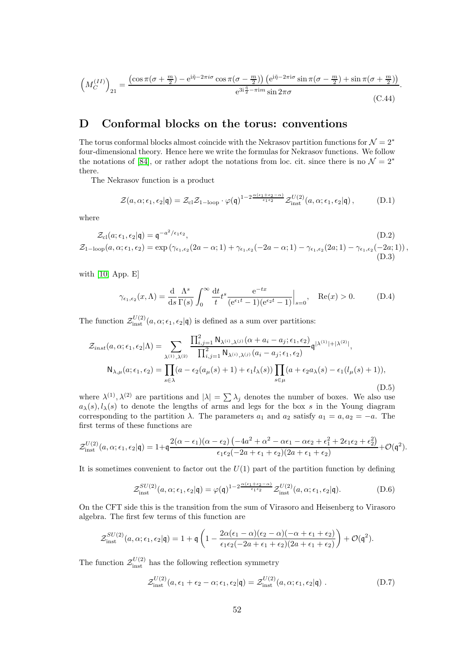$$
\left(M_C^{(II)}\right)_{21} = \frac{\left(\cos\pi(\sigma + \frac{m}{2}) - e^{i\tilde{\eta} - 2\pi i\sigma}\cos\pi(\sigma - \frac{m}{2})\right)\left(e^{i\tilde{\eta} - 2\pi i\sigma}\sin\pi(\sigma - \frac{m}{2}) + \sin\pi(\sigma + \frac{m}{2})\right)}{e^{3i\frac{\tilde{\eta}}{2} - \pi i m}\sin 2\pi\sigma}.
$$
\n(C.44)

# <span id="page-51-0"></span>D Conformal blocks on the torus: conventions

The torus conformal blocks almost coincide with the Nekrasov partition functions for  $\mathcal{N} = 2^*$ four-dimensional theory. Hence here we write the formulas for Nekrasov functions. We follow the notations of [\[84\]](#page-58-20), or rather adopt the notations from loc. cit. since there is no  $\mathcal{N} = 2^*$ there.

The Nekrasov function is a product

<span id="page-51-1"></span>
$$
\mathcal{Z}(a,\alpha;\epsilon_1,\epsilon_2|\mathfrak{q}) = \mathcal{Z}_{\text{cl}}\mathcal{Z}_{1-\text{loop}} \cdot \varphi(\mathfrak{q})^{1-2\frac{\alpha(\epsilon_1+\epsilon_2-\alpha)}{\epsilon_1\epsilon_2}} \mathcal{Z}_{\text{inst}}^{U(2)}(a,\alpha;\epsilon_1,\epsilon_2|\mathfrak{q}),\tag{D.1}
$$

where

$$
\mathcal{Z}_{cl}(a; \epsilon_1, \epsilon_2 | \mathbf{q}) = \mathbf{q}^{-a^2/\epsilon_1 \epsilon_2},
$$
\n
$$
\mathcal{Z}_{1-loop}(a, \alpha; \epsilon_1, \epsilon_2) = \exp(\gamma_{\epsilon_1, \epsilon_2}(2a - \alpha; 1) + \gamma_{\epsilon_1, \epsilon_2}(-2a - \alpha; 1) - \gamma_{\epsilon_1, \epsilon_2}(2a; 1) - \gamma_{\epsilon_1, \epsilon_2}(-2a; 1)),
$$
\n(D.2)\n(D.3)

with [\[10,](#page-55-9) App. E]

$$
\gamma_{\epsilon_1,\epsilon_2}(x,\Lambda) = \frac{\mathrm{d}}{\mathrm{d}s} \frac{\Lambda^s}{\Gamma(s)} \int_0^\infty \frac{\mathrm{d}t}{t} t^s \frac{e^{-tx}}{(e^{\epsilon_1 t} - 1)(e^{\epsilon_2 t} - 1)} \Big|_{s=0}, \quad \text{Re}(x) > 0. \tag{D.4}
$$

The function  $\mathcal{Z}_{\text{inst}}^{U(2)}(a,\alpha;\epsilon_1,\epsilon_2|\mathbf{q})$  is defined as a sum over partitions:

$$
\mathcal{Z}_{inst}(a,\alpha;\epsilon_1,\epsilon_2|\Lambda) = \sum_{\lambda^{(1)},\lambda^{(2)}} \frac{\prod_{i,j=1}^2 \mathsf{N}_{\lambda^{(i)},\lambda^{(j)}}(\alpha+a_i-a_j;\epsilon_1,\epsilon_2)}{\prod_{i,j=1}^2 \mathsf{N}_{\lambda^{(i)},\lambda^{(j)}}(a_i-a_j;\epsilon_1,\epsilon_2)} \mathsf{q}^{|\lambda^{(1)}|+|\lambda^{(2)}|},
$$
  

$$
\mathsf{N}_{\lambda,\mu}(a;\epsilon_1,\epsilon_2) = \prod_{s \in \lambda} (a - \epsilon_2(a_\mu(s) + 1) + \epsilon_1 l_\lambda(s)) \prod_{s \in \mu} (a + \epsilon_2 a_\lambda(s) - \epsilon_1(l_\mu(s) + 1)),
$$
  
(D.5)

where  $\lambda^{(1)}, \lambda^{(2)}$  are partitions and  $|\lambda| = \sum \lambda_j$  denotes the number of boxes. We also use  $a_{\lambda}(s)$ ,  $l_{\lambda}(s)$  to denote the lengths of arms and legs for the box s in the Young diagram corresponding to the partition  $\lambda$ . The parameters  $a_1$  and  $a_2$  satisfy  $a_1 = a, a_2 = -a$ . The first terms of these functions are

$$
\mathcal{Z}^{U(2)}_{\rm inst}(a,\alpha;\epsilon_1,\epsilon_2|\mathfrak{q})=1+\mathfrak{q}\frac{2(\alpha-\epsilon_1)(\alpha-\epsilon_2)\left(-4a^2+\alpha^2-\alpha\epsilon_1-\alpha\epsilon_2+\epsilon_1^2+2\epsilon_1\epsilon_2+\epsilon_2^2\right)}{\epsilon_1\epsilon_2(-2a+\epsilon_1+\epsilon_2)(2a+\epsilon_1+\epsilon_2)}+\mathcal{O}(\mathfrak{q}^2).
$$

It is sometimes convenient to factor out the  $U(1)$  part of the partition function by defining

$$
\mathcal{Z}_{inst}^{SU(2)}(a,\alpha;\epsilon_1,\epsilon_2|\mathfrak{q}) = \varphi(\mathfrak{q})^{1-2\frac{\alpha(\epsilon_1+\epsilon_2-\alpha)}{\epsilon_1\epsilon_2}} \mathcal{Z}_{inst}^{U(2)}(a,\alpha;\epsilon_1,\epsilon_2|\mathfrak{q}). \tag{D.6}
$$

On the CFT side this is the transition from the sum of Virasoro and Heisenberg to Virasoro algebra. The first few terms of this function are

$$
\mathcal{Z}_{\rm inst}^{SU(2)}(a,\alpha;\epsilon_1,\epsilon_2|\mathfrak{q})=1+\mathfrak{q}\left(1-\frac{2\alpha(\epsilon_1-\alpha)(\epsilon_2-\alpha)(-\alpha+\epsilon_1+\epsilon_2)}{\epsilon_1\epsilon_2(-2a+\epsilon_1+\epsilon_2)(2a+\epsilon_1+\epsilon_2)}\right)+\mathcal{O}(\mathfrak{q}^2).
$$

The function  $\mathcal{Z}_{\text{inst}}^{U(2)}$  has the following reflection symmetry

$$
\mathcal{Z}_{\rm inst}^{U(2)}(a,\epsilon_1+\epsilon_2-\alpha;\epsilon_1,\epsilon_2|\mathfrak{q})=\mathcal{Z}_{\rm inst}^{U(2)}(a,\alpha;\epsilon_1,\epsilon_2|\mathfrak{q})\ .
$$
 (D.7)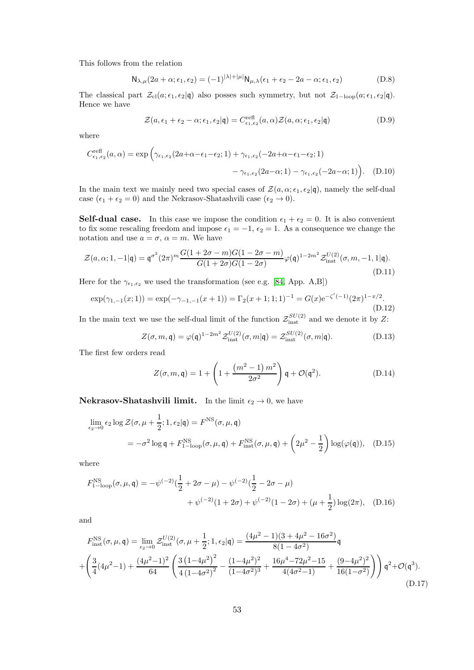This follows from the relation

$$
N_{\lambda,\mu}(2a+\alpha;\epsilon_1,\epsilon_2) = (-1)^{|\lambda|+|\mu|} N_{\mu,\lambda}(\epsilon_1+\epsilon_2-2a-\alpha;\epsilon_1,\epsilon_2)
$$
 (D.8)

The classical part  $\mathcal{Z}_{\text{cl}}(a; \epsilon_1, \epsilon_2|\mathfrak{q})$  also posses such symmetry, but not  $\mathcal{Z}_{1-\text{loop}}(a; \epsilon_1, \epsilon_2|\mathfrak{q})$ . Hence we have

<span id="page-52-2"></span>
$$
\mathcal{Z}(a,\epsilon_1+\epsilon_2-\alpha;\epsilon_1,\epsilon_2|\mathbf{q})=C_{\epsilon_1,\epsilon_2}^{\text{refl}}(a,\alpha)\mathcal{Z}(a,\alpha;\epsilon_1,\epsilon_2|\mathbf{q})
$$
(D.9)

where

$$
C_{\epsilon_1,\epsilon_2}^{\text{refl}}(a,\alpha) = \exp\left(\gamma_{\epsilon_1,\epsilon_2}(2a+\alpha-\epsilon_1-\epsilon_2;1) + \gamma_{\epsilon_1,\epsilon_2}(-2a+\alpha-\epsilon_1-\epsilon_2;1) - \gamma_{\epsilon_1,\epsilon_2}(2a-\alpha;1) - \gamma_{\epsilon_1,\epsilon_2}(-2a-\alpha;1)\right). \tag{D.10}
$$

In the main text we mainly need two special cases of  $\mathcal{Z}(a,\alpha;\epsilon_1,\epsilon_2|\mathfrak{q})$ , namely the self-dual case  $(\epsilon_1 + \epsilon_2 = 0)$  and the Nekrasov-Shatashvili case  $(\epsilon_2 \rightarrow 0)$ .

**Self-dual case.** In this case we impose the condition  $\epsilon_1 + \epsilon_2 = 0$ . It is also convenient to fix some rescaling freedom and impose  $\epsilon_1 = -1$ ,  $\epsilon_2 = 1$ . As a consequence we change the notation and use  $a = \sigma$ ,  $\alpha = m$ . We have

$$
\mathcal{Z}(a,\alpha;1,-1|\mathfrak{q}) = \mathfrak{q}^{\sigma^2} (2\pi)^m \frac{G(1+2\sigma-m)G(1-2\sigma-m)}{G(1+2\sigma)G(1-2\sigma)} \varphi(\mathfrak{q})^{1-2m^2} \mathcal{Z}_{\text{inst}}^{U(2)}(\sigma,m,-1,1|\mathfrak{q}).
$$
\n(D.11)

Here for the  $\gamma_{\epsilon_1,\epsilon_2}$  we used the transformation (see e.g. [\[84,](#page-58-20) App. A,B])

$$
\exp(\gamma_{1,-1}(x;1)) = \exp(-\gamma_{-1,-1}(x+1)) = \Gamma_2(x+1;1;1)^{-1} = G(x)e^{-\zeta'(-1)}(2\pi)^{1-x/2}.
$$
\n(D.12)

In the main text we use the self-dual limit of the function  $\mathcal{Z}_{\text{inst}}^{SU(2)}$  and we denote it by Z:

<span id="page-52-0"></span>
$$
Z(\sigma, m, \mathbf{q}) = \varphi(\mathbf{q})^{1-2m^2} \mathcal{Z}_{\text{inst}}^{U(2)}(\sigma, m|\mathbf{q}) = \mathcal{Z}_{\text{inst}}^{SU(2)}(\sigma, m|\mathbf{q}). \tag{D.13}
$$

The first few orders read

<span id="page-52-3"></span><span id="page-52-1"></span>
$$
Z(\sigma, m, \mathfrak{q}) = 1 + \left(1 + \frac{\left(m^2 - 1\right)m^2}{2\sigma^2}\right)\mathfrak{q} + \mathcal{O}(\mathfrak{q}^2). \tag{D.14}
$$

**Nekrasov-Shatashvili limit.** In the limit  $\epsilon_2 \to 0$ , we have

$$
\lim_{\epsilon_2 \to 0} \epsilon_2 \log \mathcal{Z}(\sigma, \mu + \frac{1}{2}; 1, \epsilon_2 | \mathbf{q}) = F^{\text{NS}}(\sigma, \mu, \mathbf{q})
$$
  
=  $-\sigma^2 \log \mathbf{q} + F^{\text{NS}}_{1-\text{loop}}(\sigma, \mu, \mathbf{q}) + F^{\text{NS}}_{\text{inst}}(\sigma, \mu, \mathbf{q}) + \left(2\mu^2 - \frac{1}{2}\right) \log(\varphi(\mathbf{q})), \quad (D.15)$ 

where

$$
F_{1-\text{loop}}^{\text{NS}}(\sigma,\mu,\mathfrak{q}) = -\psi^{(-2)}\left(\frac{1}{2} + 2\sigma - \mu\right) - \psi^{(-2)}\left(\frac{1}{2} - 2\sigma - \mu\right) + \psi^{(-2)}(1 + 2\sigma) + \psi^{(-2)}(1 - 2\sigma) + (\mu + \frac{1}{2})\log(2\pi), \quad (D.16)
$$

and

$$
F_{\rm inst}^{\rm NS}(\sigma,\mu,\mathfrak{q}) = \lim_{\epsilon_2 \to 0} \mathcal{Z}_{\rm inst}^{U(2)}(\sigma,\mu + \frac{1}{2}; 1, \epsilon_2 | \mathfrak{q}) = \frac{(4\mu^2 - 1)(3 + 4\mu^2 - 16\sigma^2)}{8(1 - 4\sigma^2)} \mathfrak{q}
$$
  
+ 
$$
\left(\frac{3}{4}(4\mu^2 - 1) + \frac{(4\mu^2 - 1)^2}{64} \left(\frac{3(1 - 4\mu^2)^2}{4(1 - 4\sigma^2)^2} - \frac{(1 - 4\mu^2)^2}{(1 - 4\sigma^2)^3} + \frac{16\mu^4 - 72\mu^2 - 15}{4(4\sigma^2 - 1)} + \frac{(9 - 4\mu^2)^2}{16(1 - \sigma^2)}\right)\right) \mathfrak{q}^2 + \mathcal{O}(\mathfrak{q}^3).
$$
(D.17)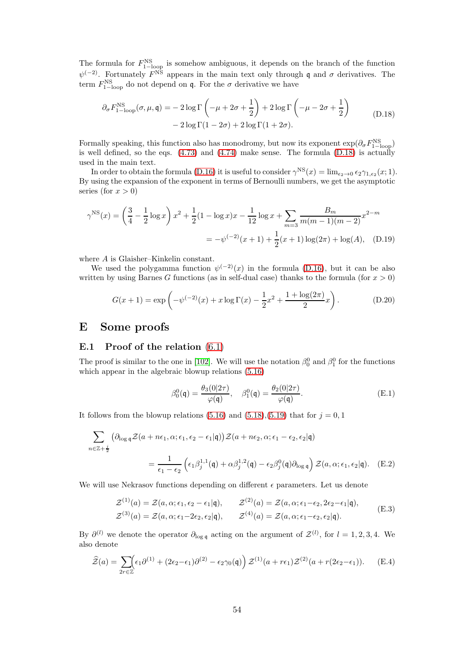The formula for  $F_{1-\text{loop}}^{\text{NS}}$  is somehow ambiguous, it depends on the branch of the function  $\psi^{(-2)}$ . Fortunately  $F^{\text{NS}}$  appears in the main text only through q and  $\sigma$  derivatives. The term  $F_{1-loop}^{NS}$  do not depend on q. For the  $\sigma$  derivative we have

<span id="page-53-2"></span>
$$
\partial_{\sigma} F_{1-\text{loop}}^{\text{NS}}(\sigma,\mu,\mathfrak{q}) = -2\log \Gamma\left(-\mu+2\sigma+\frac{1}{2}\right) + 2\log \Gamma\left(-\mu-2\sigma+\frac{1}{2}\right) -2\log \Gamma(1-2\sigma) + 2\log \Gamma(1+2\sigma).
$$
 (D.18)

Formally speaking, this function also has monodromy, but now its exponent  $\exp(\partial_{\sigma} F_{1-loop}^{NS})$ is well defined, so the eqs.  $(4.73)$  and  $(4.74)$  make sense. The formula  $(D.18)$  is actually used in the main text.

In order to obtain the formula [\(D.16\)](#page-52-3) it is useful to consider  $\gamma^{NS}(x) = \lim_{\epsilon_2 \to 0} \epsilon_2 \gamma_{1,\epsilon_2}(x; 1)$ . By using the expansion of the exponent in terms of Bernoulli numbers, we get the asymptotic series (for  $x > 0$ )

$$
\gamma^{\text{NS}}(x) = \left(\frac{3}{4} - \frac{1}{2}\log x\right)x^2 + \frac{1}{2}(1 - \log x)x - \frac{1}{12}\log x + \sum_{m=3}^{\infty} \frac{B_m}{m(m-1)(m-2)}x^{2-m}
$$

$$
= -\psi^{(-2)}(x+1) + \frac{1}{2}(x+1)\log(2\pi) + \log(A), \quad \text{(D.19)}
$$

where A is Glaisher–Kinkelin constant.

We used the polygamma function  $\psi^{(-2)}(x)$  in the formula [\(D.16\)](#page-52-3), but it can be also written by using Barnes G functions (as in self-dual case) thanks to the formula (for  $x > 0$ )

$$
G(x+1) = \exp\left(-\psi^{(-2)}(x) + x\log\Gamma(x) - \frac{1}{2}x^2 + \frac{1+\log(2\pi)}{2}x\right).
$$
 (D.20)

# <span id="page-53-0"></span>E Some proofs

### <span id="page-53-1"></span>E.1 Proof of the relation [\(6.1\)](#page-25-2)

The proof is similar to the one in [\[102\]](#page-59-12). We will use the notation  $\beta_0^0$  and  $\beta_1^0$  for the functions which appear in the algebraic blowup relations [\(5.16\)](#page-22-4)

<span id="page-53-3"></span>
$$
\beta_0^0(\mathbf{q}) = \frac{\theta_3(0|2\tau)}{\varphi(\mathbf{q})}, \quad \beta_1^0(\mathbf{q}) = \frac{\theta_2(0|2\tau)}{\varphi(\mathbf{q})}.
$$
 (E.1)

It follows from the blowup relations  $(5.16)$  and  $(5.18),(5.19)$  $(5.18),(5.19)$  that for  $j=0,1$ 

$$
\sum_{n \in \mathbb{Z} + \frac{j}{2}} \left( \partial_{\log \mathfrak{q}} \mathcal{Z}(a + n\epsilon_1, \alpha; \epsilon_1, \epsilon_2 - \epsilon_1 | \mathfrak{q}) \right) \mathcal{Z}(a + n\epsilon_2, \alpha; \epsilon_1 - \epsilon_2, \epsilon_2 | \mathfrak{q})
$$

$$
= \frac{1}{\epsilon_1 - \epsilon_2} \left( \epsilon_1 \beta_j^{1,1}(\mathfrak{q}) + \alpha \beta_j^{1,2}(\mathfrak{q}) - \epsilon_2 \beta_j^0(\mathfrak{q}) \partial_{\log \mathfrak{q}} \right) \mathcal{Z}(a, \alpha; \epsilon_1, \epsilon_2 | \mathfrak{q}). \quad (E.2)
$$

We will use Nekrasov functions depending on different  $\epsilon$  parameters. Let us denote

$$
\mathcal{Z}^{(1)}(a) = \mathcal{Z}(a,\alpha;\epsilon_1,\epsilon_2 - \epsilon_1|\mathbf{q}), \qquad \mathcal{Z}^{(2)}(a) = \mathcal{Z}(a,\alpha;\epsilon_1 - \epsilon_2, 2\epsilon_2 - \epsilon_1|\mathbf{q}),\n\mathcal{Z}^{(3)}(a) = \mathcal{Z}(a,\alpha;\epsilon_1 - 2\epsilon_2,\epsilon_2|\mathbf{q}), \qquad \mathcal{Z}^{(4)}(a) = \mathcal{Z}(a,\alpha;\epsilon_1 - \epsilon_2,\epsilon_2|\mathbf{q}).
$$
\n(E.3)

By  $\partial^{(l)}$  we denote the operator  $\partial_{\log q}$  acting on the argument of  $\mathcal{Z}^{(l)}$ , for  $l = 1, 2, 3, 4$ . We also denote

$$
\widehat{\mathcal{Z}}(a) = \sum_{2r \in \mathbb{Z}} \epsilon_1 \partial^{(1)} + (2\epsilon_2 - \epsilon_1) \partial^{(2)} - \epsilon_2 \gamma_0(\mathfrak{q}) \mathfrak{Z}^{(1)}(a + r\epsilon_1) \mathcal{Z}^{(2)}(a + r(2\epsilon_2 - \epsilon_1)).
$$
 (E.4)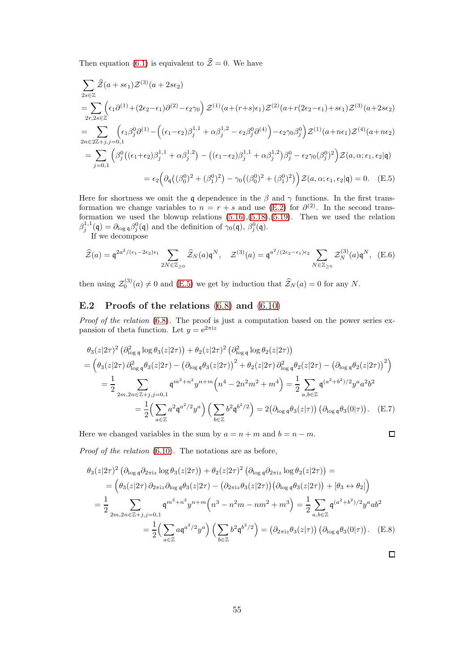Then equation [\(6.1\)](#page-25-2) is equivalent to  $\hat{\mathcal{Z}} = 0$ . We have

$$
\sum_{2s\in\mathbb{Z}} \hat{Z}(a+s\epsilon_1)\mathcal{Z}^{(3)}(a+2s\epsilon_2)
$$
\n
$$
=\sum_{2r,2s\in\mathbb{Z}} \left(\epsilon_1\partial^{(1)} + (2\epsilon_2 - \epsilon_1)\partial^{(2)} - \epsilon_2\gamma_0\right)\mathcal{Z}^{(1)}(a+(r+s)\epsilon_1)\mathcal{Z}^{(2)}(a+r(2\epsilon_2-\epsilon_1)+s\epsilon_1)\mathcal{Z}^{(3)}(a+2s\epsilon_2)
$$
\n
$$
=\sum_{2n\in\mathbb{Z}+j,j=0,1} \left(\epsilon_1\beta_j^0\partial^{(1)} - \left((\epsilon_1-\epsilon_2)\beta_j^{1,1} + \alpha\beta_j^{1,2} - \epsilon_2\beta_j^0\partial^{(4)}\right) - \epsilon_2\gamma_0\beta_j^0\right)\mathcal{Z}^{(1)}(a+n\epsilon_1)\mathcal{Z}^{(4)}(a+n\epsilon_2)
$$
\n
$$
=\sum_{j=0,1} \left(\beta_j^0\left((\epsilon_1+\epsilon_2)\beta_j^{1,1} + \alpha\beta_j^{1,2}\right) - \left((\epsilon_1-\epsilon_2)\beta_j^{1,1} + \alpha\beta_j^{1,2}\right)\beta_j^0 - \epsilon_2\gamma_0(\beta_j^0)^2\right)\mathcal{Z}(a,\alpha;\epsilon_1,\epsilon_2|\mathfrak{q})
$$
\n
$$
=\epsilon_2\left(\partial_{\mathfrak{q}}\left((\beta_0^0)^2 + (\beta_1^0)^2\right) - \gamma_0\left((\beta_0^0)^2 + (\beta_1^0)^2\right)\right)\mathcal{Z}(a,\alpha;\epsilon_1,\epsilon_2|\mathfrak{q}) = 0. \quad \text{(E.5)}
$$

Here for shortness we omit the q dependence in the  $\beta$  and  $\gamma$  functions. In the first transformation we change variables to  $n = r + s$  and use [\(E.2\)](#page-53-3) for  $\partial^{(2)}$ . In the second transformation we used the blowup relations  $(5.16)$ , $(5.18)$ , $(5.19)$ . Then we used the relation  $\beta_j^{1,1}(\mathfrak{q}) = \partial_{\log \mathfrak{q}} \beta_j^0(\mathfrak{q})$  and the definition of  $\gamma_0(\mathfrak{q}), \beta_j^0(\mathfrak{q})$ .

If we decompose

$$
\widehat{\mathcal{Z}}(a) = \mathfrak{q}^{2a^2/(\epsilon_1 - 2\epsilon_2)\epsilon_1} \sum_{2N \in \mathbb{Z}_{\geq 0}} \widehat{\mathcal{Z}}_N(a)\mathfrak{q}^N, \quad \mathcal{Z}^{(3)}(a) = \mathfrak{q}^{a^2/(2\epsilon_2 - \epsilon_1)\epsilon_2} \sum_{N \in \mathbb{Z}_{\geq 0}} \mathcal{Z}_N^{(3)}(a)\mathfrak{q}^N, \quad (E.6)
$$

then using  $\mathcal{Z}_0^{(3)}(a) \neq 0$  and [\(E.5\)](#page-54-1) we get by induction that  $\widehat{\mathcal{Z}}_N(a) = 0$  for any N.

# <span id="page-54-0"></span>E.2 Proofs of the relations  $(6.8)$  and  $(6.10)$

Proof of the relation [\(6.8\)](#page-26-0). The proof is just a computation based on the power series expansion of theta function. Let  $y = e^{2\pi i z}$ 

$$
\theta_{3}(z|2\tau)^{2} (\partial_{\log q}^{2} \log \theta_{3}(z|2\tau)) + \theta_{2}(z|2\tau)^{2} (\partial_{\log q}^{2} \log \theta_{2}(z|2\tau))
$$
\n
$$
= \left(\theta_{3}(z|2\tau)\partial_{\log q}^{2} \theta_{3}(z|2\tau) - (\partial_{\log q} \theta_{3}(z|2\tau))^{2} + \theta_{2}(z|2\tau)\partial_{\log q}^{2} \theta_{2}(z|2\tau) - (\partial_{\log q} \theta_{2}(z|2\tau))^{2}\right)
$$
\n
$$
= \frac{1}{2} \sum_{2m,2n \in \mathbb{Z}+j,j=0,1} \mathfrak{q}^{m^{2}+n^{2}} y^{n+m} \left(n^{4} - 2n^{2}m^{2} + m^{4}\right) = \frac{1}{2} \sum_{a,b \in \mathbb{Z}} \mathfrak{q}^{(a^{2}+b^{2})/2} y^{a} a^{2} b^{2}
$$
\n
$$
= \frac{1}{2} \left(\sum_{a \in \mathbb{Z}} a^{2} \mathfrak{q}^{a^{2}/2} y^{a}\right) \left(\sum_{b \in \mathbb{Z}} b^{2} \mathfrak{q}^{b^{2}/2}\right) = 2(\partial_{\log q} \theta_{3}(z|\tau)) (\partial_{\log q} \theta_{3}(0|\tau)) . \quad (E.7)
$$

Here we changed variables in the sum by  $a = n + m$  and  $b = n - m$ .

<span id="page-54-1"></span>
$$
\Box
$$

Proof of the relation [\(6.10\)](#page-27-1). The notations are as before,

$$
\theta_{3}(z|2\tau)^{2} (\partial_{\log q} \partial_{2\pi iz} \log \theta_{3}(z|2\tau)) + \theta_{2}(z|2\tau)^{2} (\partial_{\log q} \partial_{2\pi iz} \log \theta_{2}(z|2\tau)) =
$$
\n
$$
= (\theta_{3}(z|2\tau) \partial_{2\pi iz} \partial_{\log q} \theta_{3}(z|2\tau) - (\partial_{2\pi iz} \theta_{3}(z|2\tau)) (\partial_{\log q} \theta_{3}(z|2\tau)) + [\theta_{3} \leftrightarrow \theta_{2}])
$$
\n
$$
= \frac{1}{2} \sum_{2m,2n \in \mathbb{Z}+j,j=0,1} q^{m^{2}+n^{2}} y^{n+m} (n^{3} - n^{2}m - nm^{2} + m^{3}) = \frac{1}{2} \sum_{a,b \in \mathbb{Z}} q^{(a^{2}+b^{2})/2} y^{a} ab^{2}
$$
\n
$$
= \frac{1}{2} (\sum_{a \in \mathbb{Z}} a q^{a^{2}/2} y^{a}) (\sum_{b \in \mathbb{Z}} b^{2} q^{b^{2}/2}) = (\partial_{2\pi iz} \theta_{3}(z|\tau)) (\partial_{\log q} \theta_{3}(0|\tau)). \quad (E.8)
$$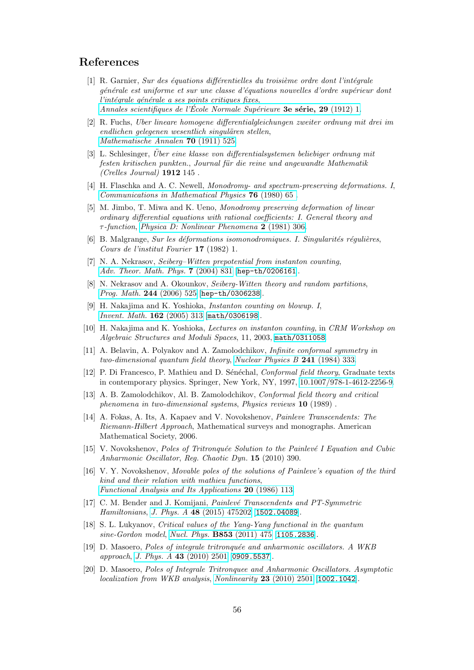# <span id="page-55-0"></span>References

- $[1]$  R. Garnier, Sur des équations différentielles du troisième ordre dont l'intégrale générale est uniforme et sur une classe d'équations nouvelles d'ordre supérieur dont l'intégrale générale a ses points critiques fixes, Annales scientifiques de l'École Normale Supérieure **3e série, 29** (1912) 1.
- <span id="page-55-1"></span>[2] R. Fuchs, Uber lineare homogene differentialgleichungen zweiter ordnung mit drei im endlichen gelegenen wesentlich singulären stellen, [Mathematische Annalen](https://doi.org/10.1007/BF01564511) 70 (1911) 525.
- <span id="page-55-2"></span> $[3]$  L. Schlesinger, Über eine klasse von differentialsystemen beliebiger ordnung mit festen kritischen punkten., Journal für die reine und angewandte Mathematik (Crelles Journal) 1912 145 .
- <span id="page-55-3"></span>[4] H. Flaschka and A. C. Newell, Monodromy- and spectrum-preserving deformations. I, [Communications in Mathematical Physics](https://doi.org/cmp/1103908189) 76 (1980) 65 .
- <span id="page-55-4"></span>[5] M. Jimbo, T. Miwa and K. Ueno, Monodromy preserving deformation of linear ordinary differential equations with rational coefficients: I. General theory and τ-function, [Physica D: Nonlinear Phenomena](https://doi.org/https://doi.org/10.1016/0167-2789(81)90013-0) 2 (1981) 306.
- <span id="page-55-5"></span>[6] B. Malgrange, Sur les déformations isomonodromiques. I. Singularités régulières, Cours de l'institut Fourier 17 (1982) 1.
- <span id="page-55-6"></span>[7] N. A. Nekrasov, Seiberg–Witten prepotential from instanton counting, [Adv. Theor. Math. Phys.](https://doi.org/10.4310/ATMP.2003.v7.n5.a4) 7 (2004) 831 [[hep-th/0206161](https://arxiv.org/abs/hep-th/0206161)].
- <span id="page-55-7"></span>[8] N. Nekrasov and A. Okounkov, Seiberg-Witten theory and random partitions, [Prog. Math.](https://doi.org/10.1007/0-8176-4467-9_15) 244 (2006) 525 [[hep-th/0306238](https://arxiv.org/abs/hep-th/0306238)].
- <span id="page-55-8"></span>[9] H. Nakajima and K. Yoshioka, Instanton counting on blowup. I, [Invent. Math.](https://doi.org/10.1007/s00222-005-0444-1) 162 (2005) 313 [[math/0306198](https://arxiv.org/abs/math/0306198)].
- <span id="page-55-9"></span>[10] H. Nakajima and K. Yoshioka, Lectures on instanton counting, in CRM Workshop on Algebraic Structures and Moduli Spaces, 11, 2003, [math/0311058](https://arxiv.org/abs/math/0311058).
- <span id="page-55-10"></span>[11] A. Belavin, A. Polyakov and A. Zamolodchikov, Infinite conformal symmetry in two-dimensional quantum field theory, [Nuclear Physics B](https://doi.org/https://doi.org/10.1016/0550-3213(84)90052-X) 241 (1984) 333.
- <span id="page-55-11"></span>[12] P. Di Francesco, P. Mathieu and D. Sénéchal, *Conformal field theory*, Graduate texts in contemporary physics. Springer, New York, NY, 1997, [10.1007/978-1-4612-2256-9.](https://doi.org/10.1007/978-1-4612-2256-9)
- <span id="page-55-12"></span>[13] A. B. Zamolodchikov, Al. B. Zamolodchikov, Conformal field theory and critical phenomena in two-dimensional systems, Physics reviews 10 (1989) .
- <span id="page-55-13"></span>[14] A. Fokas, A. Its, A. Kapaev and V. Novokshenov, Painleve Transcendents: The Riemann-Hilbert Approach, Mathematical surveys and monographs. American Mathematical Society, 2006.
- <span id="page-55-14"></span>[15] V. Novokshenov, Poles of Tritronquée Solution to the Painlevé I Equation and Cubic Anharmonic Oscillator, Reg. Chaotic Dyn. 15 (2010) 390.
- <span id="page-55-15"></span>[16] V. Y. Novokshenov, Movable poles of the solutions of Painleve's equation of the third kind and their relation with mathieu functions, [Functional Analysis and Its Applications](https://doi.org/10.1007/BF01077265) 20 (1986) 113.
- <span id="page-55-16"></span>[17] C. M. Bender and J. Komijani, *Painlevé Transcendents and PT-Symmetric* Hamiltonians, J. Phys. A 48 [\(2015\) 475202](https://doi.org/10.1088/1751-8113/48/47/475202) [[1502.04089](https://arxiv.org/abs/1502.04089)].
- <span id="page-55-17"></span>[18] S. L. Lukyanov, Critical values of the Yang-Yang functional in the quantum sine-Gordon model, [Nucl. Phys.](https://doi.org/10.1016/j.nuclphysb.2011.07.028) B853 (2011) 475 [[1105.2836](https://arxiv.org/abs/1105.2836)].
- <span id="page-55-18"></span>[19] D. Masoero, Poles of integrale tritronquée and anharmonic oscillators. A WKB approach, J. Phys. A 43 [\(2010\) 2501](https://doi.org/10.1088/1751-8113/43/9/095201) [[0909.5537](https://arxiv.org/abs/0909.5537)].
- <span id="page-55-19"></span>[20] D. Masoero, Poles of Integrale Tritronquee and Anharmonic Oscillators. Asymptotic localization from WKB analysis, [Nonlinearity](https://doi.org/10.1088/0951-7715/23/10/008) 23 (2010) 2501 [[1002.1042](https://arxiv.org/abs/1002.1042)].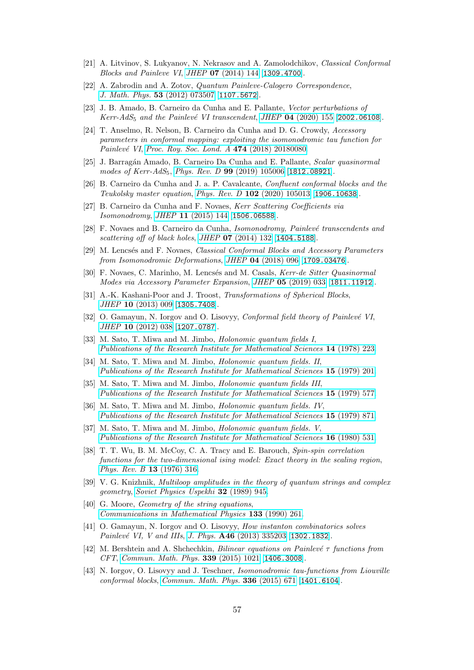- <span id="page-56-1"></span><span id="page-56-0"></span>[21] A. Litvinov, S. Lukyanov, N. Nekrasov and A. Zamolodchikov, Classical Conformal Blocks and Painleve VI, JHEP 07 [\(2014\) 144](https://doi.org/10.1007/JHEP07(2014)144) [[1309.4700](https://arxiv.org/abs/1309.4700)].
- [22] A. Zabrodin and A. Zotov, Quantum Painleve-Calogero Correspondence, [J. Math. Phys.](https://doi.org/10.1063/1.4732532) 53 (2012) 073507 [[1107.5672](https://arxiv.org/abs/1107.5672)].
- <span id="page-56-2"></span>[23] J. B. Amado, B. Carneiro da Cunha and E. Pallante, Vector perturbations of Kerr-Ad $S_5$  and the Painlevé VI transcendent, JHEP 04 [\(2020\) 155](https://doi.org/10.1007/JHEP04(2020)155) [[2002.06108](https://arxiv.org/abs/2002.06108)].
- <span id="page-56-3"></span>[24] T. Anselmo, R. Nelson, B. Carneiro da Cunha and D. G. Crowdy, Accessory parameters in conformal mapping: exploiting the isomonodromic tau function for Painlevé VI, [Proc. Roy. Soc. Lond. A](https://doi.org/10.1098/rspa.2018.0080) 474 (2018) 20180080.
- <span id="page-56-4"></span>[25] J. Barragán Amado, B. Carneiro Da Cunha and E. Pallante, *Scalar quasinormal* modes of Kerr-AdS<sub>5</sub>, Phys. Rev. D **99** [\(2019\) 105006](https://doi.org/10.1103/PhysRevD.99.105006) [[1812.08921](https://arxiv.org/abs/1812.08921)].
- <span id="page-56-5"></span>[26] B. Carneiro da Cunha and J. a. P. Cavalcante, Confluent conformal blocks and the Teukolsky master equation, Phys. Rev. D 102 [\(2020\) 105013](https://doi.org/10.1103/PhysRevD.102.105013) [[1906.10638](https://arxiv.org/abs/1906.10638)].
- <span id="page-56-6"></span>[27] B. Carneiro da Cunha and F. Novaes, Kerr Scattering Coefficients via Isomonodromy, JHEP 11 [\(2015\) 144](https://doi.org/10.1007/JHEP11(2015)144) [[1506.06588](https://arxiv.org/abs/1506.06588)].
- <span id="page-56-7"></span>[28] F. Novaes and B. Carneiro da Cunha, Isomonodromy, Painlevé transcendents and scattering off of black holes, JHEP  $07$  [\(2014\) 132](https://doi.org/10.1007/JHEP07(2014)132) [[1404.5188](https://arxiv.org/abs/1404.5188)].
- <span id="page-56-8"></span>[29] M. Lencsés and F. Novaes, *Classical Conformal Blocks and Accessory Parameters* from Isomonodromic Deformations, JHEP 04 [\(2018\) 096](https://doi.org/10.1007/JHEP04(2018)096) [[1709.03476](https://arxiv.org/abs/1709.03476)].
- <span id="page-56-9"></span>[30] F. Novaes, C. Marinho, M. Lencsés and M. Casals, Kerr-de Sitter Quasinormal Modes via Accessory Parameter Expansion, JHEP 05 [\(2019\) 033](https://doi.org/10.1007/JHEP05(2019)033) [[1811.11912](https://arxiv.org/abs/1811.11912)].
- <span id="page-56-10"></span>[31] A.-K. Kashani-Poor and J. Troost, Transformations of Spherical Blocks, JHEP 10 [\(2013\) 009](https://doi.org/10.1007/JHEP10(2013)009) [[1305.7408](https://arxiv.org/abs/1305.7408)].
- <span id="page-56-11"></span>[32] O. Gamayun, N. Iorgov and O. Lisovyy, Conformal field theory of Painlevé VI, JHEP 10 [\(2012\) 038](https://doi.org/10.1007/JHEP10(2012)183, 10.1007/JHEP10(2012)038) [[1207.0787](https://arxiv.org/abs/1207.0787)].
- <span id="page-56-15"></span>[33] M. Sato, T. Miwa and M. Jimbo, *Holonomic quantum fields I*, [Publications of the Research Institute for Mathematical Sciences](https://doi.org/10.2977/prims/1195189284) 14 (1978) 223.
- <span id="page-56-16"></span>[34] M. Sato, T. Miwa and M. Jimbo, Holonomic quantum fields. II, [Publications of the Research Institute for Mathematical Sciences](https://doi.org/10.2977/prims/1195188429) 15 (1979) 201.
- <span id="page-56-17"></span>[35] M. Sato, T. Miwa and M. Jimbo, Holonomic quantum fields III, [Publications of the Research Institute for Mathematical Sciences](https://doi.org/10.2977/prims/1195188185) 15 (1979) 577.
- <span id="page-56-18"></span>[36] M. Sato, T. Miwa and M. Jimbo, *Holonomic quantum fields. IV*, [Publications of the Research Institute for Mathematical Sciences](https://doi.org/10.2977/prims/1195187881) 15 (1979) 871.
- <span id="page-56-19"></span>[37] M. Sato, T. Miwa and M. Jimbo, *Holonomic quantum fields. V*, [Publications of the Research Institute for Mathematical Sciences](https://doi.org/10.2977/prims/1195187216) 16 (1980) 531.
- <span id="page-56-20"></span>[38] T. T. Wu, B. M. McCoy, C. A. Tracy and E. Barouch, Spin-spin correlation functions for the two-dimensional ising model: Exact theory in the scaling region, [Phys. Rev. B](https://doi.org/10.1103/PhysRevB.13.316) 13 (1976) 316.
- <span id="page-56-21"></span>[39] V. G. Knizhnik, Multiloop amplitudes in the theory of quantum strings and complex geometry, [Soviet Physics Uspekhi](https://doi.org/10.1070/pu1989v032n11abeh002775) 32 (1989) 945.
- <span id="page-56-22"></span>[40] G. Moore, *Geometry of the string equations*, [Communications in Mathematical Physics](https://doi.org/10.1007/BF02097368) 133 (1990) 261.
- <span id="page-56-12"></span>[41] O. Gamayun, N. Iorgov and O. Lisovyy, How instanton combinatorics solves Painlevé VI, V and IIIs, J. Phys. A46 [\(2013\) 335203](https://doi.org/10.1088/1751-8113/46/33/335203) [[1302.1832](https://arxiv.org/abs/1302.1832)].
- <span id="page-56-13"></span>[42] M. Bershtein and A. Shchechkin, Bilinear equations on Painlevé  $\tau$  functions from CFT, [Commun. Math. Phys.](https://doi.org/10.1007/s00220-015-2427-4) 339 (2015) 1021 [[1406.3008](https://arxiv.org/abs/1406.3008)].
- <span id="page-56-14"></span>[43] N. Iorgov, O. Lisovyy and J. Teschner, Isomonodromic tau-functions from Liouville conformal blocks, [Commun. Math. Phys.](https://doi.org/10.1007/s00220-014-2245-0) 336 (2015) 671 [[1401.6104](https://arxiv.org/abs/1401.6104)].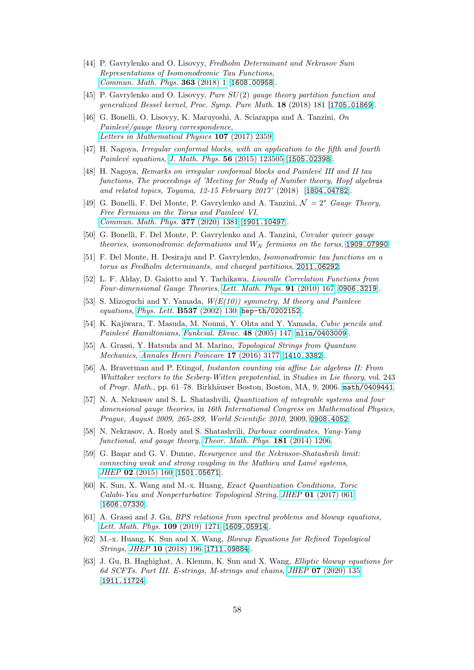- <span id="page-57-0"></span>[44] P. Gavrylenko and O. Lisovyy, Fredholm Determinant and Nekrasov Sum Representations of Isomonodromic Tau Functions, [Commun. Math. Phys.](https://doi.org/10.1007/s00220-018-3224-7) 363 (2018) 1 [[1608.00958](https://arxiv.org/abs/1608.00958)].
- <span id="page-57-1"></span>[45] P. Gavrylenko and O. Lisovyy, Pure SU(2) gauge theory partition function and generalized Bessel kernel, Proc. Symp. Pure Math. 18 (2018) 181 [[1705.01869](https://arxiv.org/abs/1705.01869)].
- <span id="page-57-2"></span>[46] G. Bonelli, O. Lisovyy, K. Maruyoshi, A. Sciarappa and A. Tanzini, On  $Painlevé/gauge$  theory correspondence, [Letters in Mathematical Physics](https://doi.org/10.1007/s11005-017-0983-6) 107 (2017) 2359.
- <span id="page-57-3"></span>[47] H. Nagoya, Irregular conformal blocks, with an application to the fifth and fourth  $Painlevé \; equations, J. \; Math. \; Phys. \; {\bf 56} \; (2015) \; 123505 \; [{\bf 1505.02398}].$  $Painlevé \; equations, J. \; Math. \; Phys. \; {\bf 56} \; (2015) \; 123505 \; [{\bf 1505.02398}].$  $Painlevé \; equations, J. \; Math. \; Phys. \; {\bf 56} \; (2015) \; 123505 \; [{\bf 1505.02398}].$
- <span id="page-57-4"></span>[48] H. Nagoya, Remarks on irregular conformal blocks and Painlevé III and II tau functions, The proceedings of 'Meeting for Study of Number theory, Hopf algebras and related topics, Toyama, 12-15 February 2017' (2018) [[1804.04782](https://arxiv.org/abs/1804.04782)].
- <span id="page-57-5"></span>[49] G. Bonelli, F. Del Monte, P. Gavrylenko and A. Tanzini,  $\mathcal{N} = 2^*$  Gauge Theory, Free Fermions on the Torus and Painlevé VI, [Commun. Math. Phys.](https://doi.org/10.1007/s00220-020-03743-y) 377 (2020) 1381 [[1901.10497](https://arxiv.org/abs/1901.10497)].
- <span id="page-57-6"></span>[50] G. Bonelli, F. Del Monte, P. Gavrylenko and A. Tanzini, Circular quiver gauge theories, isomonodromic deformations and  $W_N$  fermions on the torus, [1909.07990](https://arxiv.org/abs/1909.07990).
- <span id="page-57-7"></span>[51] F. Del Monte, H. Desiraju and P. Gavrylenko, Isomonodromic tau functions on a torus as Fredholm determinants, and charged partitions, [2011.06292](https://arxiv.org/abs/2011.06292).
- <span id="page-57-8"></span>[52] L. F. Alday, D. Gaiotto and Y. Tachikawa, Liouville Correlation Functions from Four-dimensional Gauge Theories, [Lett. Math. Phys.](https://doi.org/10.1007/s11005-010-0369-5) 91 (2010) 167 [[0906.3219](https://arxiv.org/abs/0906.3219)].
- <span id="page-57-14"></span>[53] S. Mizoguchi and Y. Yamada,  $W(E(10))$  symmetry, M theory and Painleve equations, [Phys. Lett.](https://doi.org/10.1016/S0370-2693(02)01870-1) B537 (2002) 130 [[hep-th/0202152](https://arxiv.org/abs/hep-th/0202152)].
- <span id="page-57-15"></span>[54] K. Kajiwara, T. Masuda, M. Noumi, Y. Ohta and Y. Yamada, Cubic pencils and Painlevé Hamiltonians, [Funkcial. Ekvac.](https://doi.org/10.1619/fesi.48.147) 48 (2005) 147 [[nlin/0403009](https://arxiv.org/abs/nlin/0403009)].
- <span id="page-57-13"></span>[55] A. Grassi, Y. Hatsuda and M. Marino, Topological Strings from Quantum Mechanics, [Annales Henri Poincare](https://doi.org/10.1007/s00023-016-0479-4) 17 (2016) 3177 [[1410.3382](https://arxiv.org/abs/1410.3382)].
- <span id="page-57-9"></span>[56] A. Braverman and P. Etingof, Instanton counting via affine Lie algebras II: From Whittaker vectors to the Seiberg-Witten prepotential, in Studies in Lie theory, vol. 243 of Progr. Math., pp. 61-78. Birkhäuser Boston, Boston, MA, 9, 2006. [math/0409441](https://arxiv.org/abs/math/0409441).
- <span id="page-57-10"></span>[57] N. A. Nekrasov and S. L. Shatashvili, *Quantization of integrable systems and four* dimensional gauge theories, in 16th International Congress on Mathematical Physics, Prague, August 2009, 265-289, World Scientific 2010, 2009, [0908.4052](https://arxiv.org/abs/0908.4052).
- <span id="page-57-11"></span>[58] N. Nekrasov, A. Rosly and S. Shatashvili, Darboux coordinates, Yang-Yang functional, and gauge theory, [Theor. Math. Phys.](https://doi.org/10.1007/s11232-014-0209-3) 181 (2014) 1206.
- <span id="page-57-12"></span>[59] G. Başar and G. V. Dunne, Resurgence and the Nekrasov-Shatashvili limit: connecting weak and strong coupling in the Mathieu and Lamé systems, JHEP 02 [\(2015\) 160](https://doi.org/10.1007/JHEP02(2015)160) [[1501.05671](https://arxiv.org/abs/1501.05671)].
- <span id="page-57-16"></span>[60] K. Sun, X. Wang and M.-x. Huang, Exact Quantization Conditions, Toric Calabi-Yau and Nonperturbative Topological String, JHEP 01 [\(2017\) 061](https://doi.org/10.1007/JHEP01(2017)061) [[1606.07330](https://arxiv.org/abs/1606.07330)].
- <span id="page-57-17"></span>[61] A. Grassi and J. Gu, BPS relations from spectral problems and blowup equations, [Lett. Math. Phys.](https://doi.org/10.1007/s11005-019-01163-1) 109 (2019) 1271 [[1609.05914](https://arxiv.org/abs/1609.05914)].
- <span id="page-57-18"></span>[62] M.-x. Huang, K. Sun and X. Wang, Blowup Equations for Refined Topological Strings, JHEP 10 [\(2018\) 196](https://doi.org/10.1007/JHEP10(2018)196) [[1711.09884](https://arxiv.org/abs/1711.09884)].
- <span id="page-57-19"></span>[63] J. Gu, B. Haghighat, A. Klemm, K. Sun and X. Wang, Elliptic blowup equations for 6d SCFTs. Part III. E-strings, M-strings and chains, JHEP 07 [\(2020\) 135](https://doi.org/10.1007/JHEP07(2020)135) [[1911.11724](https://arxiv.org/abs/1911.11724)].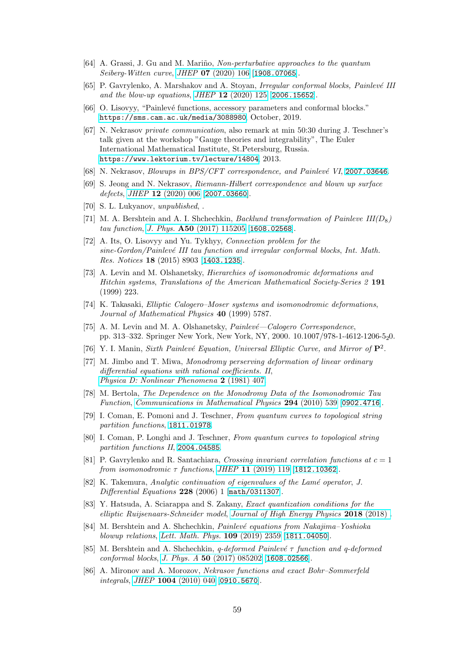- <span id="page-58-1"></span><span id="page-58-0"></span>[64] A. Grassi, J. Gu and M. Mariño, Non-perturbative approaches to the quantum Seiberg-Witten curve, JHEP 07 [\(2020\) 106](https://doi.org/10.1007/JHEP07(2020)106) [[1908.07065](https://arxiv.org/abs/1908.07065)].
- [65] P. Gavrylenko, A. Marshakov and A. Stoyan, Irregular conformal blocks, Painlevé III and the blow-up equations, JHEP 12 [\(2020\) 125](https://doi.org/10.1007/JHEP12(2020)125) [[2006.15652](https://arxiv.org/abs/2006.15652)].
- <span id="page-58-3"></span><span id="page-58-2"></span>[66] O. Lisovyy, "Painlevé functions, accessory parameters and conformal blocks." <https://sms.cam.ac.uk/media/3088980>, October, 2019.
- [67] N. Nekrasov private communication, also remark at min 50:30 during J. Teschner's talk given at the workshop "Gauge theories and integrability", The Euler International Mathematical Institute, St.Petersburg, Russia. <https://www.lektorium.tv/lecture/14804>, 2013.
- <span id="page-58-5"></span><span id="page-58-4"></span>[68] N. Nekrasov, Blowups in BPS/CFT correspondence, and Painlevé VI, [2007.03646](https://arxiv.org/abs/2007.03646).
- <span id="page-58-6"></span>[69] S. Jeong and N. Nekrasov, Riemann-Hilbert correspondence and blown up surface defects, JHEP  $12$  [\(2020\) 006](https://doi.org/10.1007/JHEP12(2020)006) [[2007.03660](https://arxiv.org/abs/2007.03660)].
- <span id="page-58-7"></span>[70] S. L. Lukyanov, unpublished, .
- [71] M. A. Bershtein and A. I. Shchechkin, *Backlund transformation of Painleve III(D<sub>8</sub>)* tau function, J. Phys. A50 [\(2017\) 115205](https://doi.org/10.1088/1751-8121/aa59c9) [[1608.02568](https://arxiv.org/abs/1608.02568)].
- <span id="page-58-8"></span>[72] A. Its, O. Lisovy and Yu. Tykhyy, *Connection problem for the* sine-Gordon/Painlevé III tau function and irregular conformal blocks, Int. Math. Res. Notices 18 (2015) 8903 [[1403.1235](https://arxiv.org/abs/1403.1235)].
- <span id="page-58-9"></span>[73] A. Levin and M. Olshanetsky, Hierarchies of isomonodromic deformations and Hitchin systems, Translations of the American Mathematical Society-Series 2 191 (1999) 223.
- <span id="page-58-10"></span>[74] K. Takasaki, Elliptic Calogero–Moser systems and isomonodromic deformations, Journal of Mathematical Physics 40 (1999) 5787.
- <span id="page-58-11"></span>[75] A. M. Levin and M. A. Olshanetsky,  $\textit{Painlev\'e}-Calogero\ Correspondence,$ pp. 313–332. Springer New York, New York, NY, 2000. 10.1007/978-1-4612-1206-520.
- <span id="page-58-13"></span><span id="page-58-12"></span>[76] Y. I. Manin, Sixth Painlevé Equation, Universal Elliptic Curve, and Mirror of  $\mathbf{P}^2$ .
- [77] M. Jimbo and T. Miwa, Monodromy perserving deformation of linear ordinary differential equations with rational coefficients. II, [Physica D: Nonlinear Phenomena](https://doi.org/https://doi.org/10.1016/0167-2789(81)90021-X) 2 (1981) 407.
- <span id="page-58-14"></span>[78] M. Bertola, The Dependence on the Monodromy Data of the Isomonodromic Tau Function, [Communications in Mathematical Physics](https://doi.org/10.1007/s00220-009-0961-7) 294 (2010) 539 [[0902.4716](https://arxiv.org/abs/0902.4716)].
- <span id="page-58-16"></span><span id="page-58-15"></span>[79] I. Coman, E. Pomoni and J. Teschner, From quantum curves to topological string partition functions, [1811.01978](https://arxiv.org/abs/1811.01978).
- [80] I. Coman, P. Longhi and J. Teschner, From quantum curves to topological string partition functions II, [2004.04585](https://arxiv.org/abs/2004.04585).
- <span id="page-58-17"></span>[81] P. Gavrylenko and R. Santachiara, Crossing invariant correlation functions at  $c = 1$ from isomonodromic  $\tau$  functions, JHEP 11 [\(2019\) 119](https://doi.org/10.1007/JHEP11(2019)119) [[1812.10362](https://arxiv.org/abs/1812.10362)].
- <span id="page-58-18"></span>[82] K. Takemura, Analytic continuation of eigenvalues of the Lamé operator, J. Differential Equations 228 (2006) 1 [[math/0311307](https://arxiv.org/abs/math/0311307)].
- <span id="page-58-19"></span>[83] Y. Hatsuda, A. Sciarappa and S. Zakany, Exact quantization conditions for the elliptic Ruijsenaars-Schneider model, [Journal of High Energy Physics](https://doi.org/10.1007/jhep11(2018)118) 2018 (2018) .
- <span id="page-58-20"></span>[84] M. Bershtein and A. Shchechkin, *Painlevé equations from Nakajima–Yoshioka* blowup relations, [Lett. Math. Phys.](https://doi.org/10.1007/s11005-019-01198-4) 109 (2019) 2359 [[1811.04050](https://arxiv.org/abs/1811.04050)].
- <span id="page-58-21"></span>[85] M. Bershtein and A. Shchechkin, q-deformed Painlevé  $\tau$  function and q-deformed conformal blocks, J. Phys. A 50 [\(2017\) 085202](https://doi.org/10.1088/1751-8121/aa5572) [[1608.02566](https://arxiv.org/abs/1608.02566)].
- <span id="page-58-22"></span>[86] A. Mironov and A. Morozov, Nekrasov functions and exact Bohr–Sommerfeld integrals, JHEP 1004 [\(2010\) 040](https://doi.org/10.1007/JHEP04(2010)040) [[0910.5670](https://arxiv.org/abs/0910.5670)].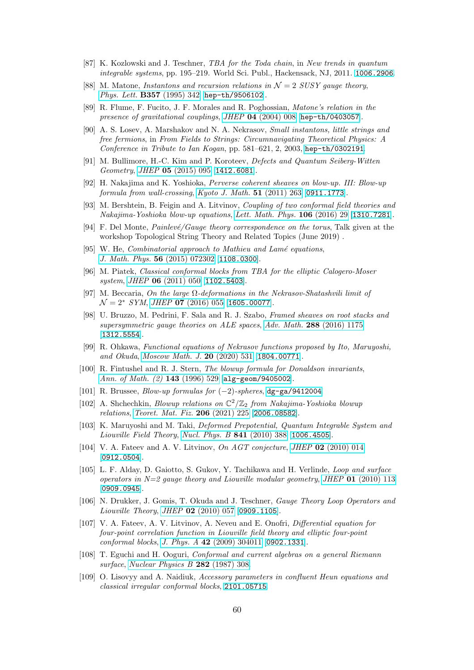- <span id="page-59-1"></span><span id="page-59-0"></span>[87] K. Kozlowski and J. Teschner, TBA for the Toda chain, in New trends in quantum integrable systems, pp. 195–219. World Sci. Publ., Hackensack, NJ, 2011. [1006.2906](https://arxiv.org/abs/1006.2906).
- <span id="page-59-2"></span>[88] M. Matone, Instantons and recursion relations in  $\mathcal{N}=2$  SUSY gauge theory, [Phys. Lett.](https://doi.org/10.1016/0370-2693(95)00920-G) **B357** (1995) 342 [[hep-th/9506102](https://arxiv.org/abs/hep-th/9506102)].
- <span id="page-59-3"></span>[89] R. Flume, F. Fucito, J. F. Morales and R. Poghossian, Matone's relation in the presence of gravitational couplings, JHEP 04 [\(2004\) 008](https://doi.org/10.1088/1126-6708/2004/04/008) [[hep-th/0403057](https://arxiv.org/abs/hep-th/0403057)].
- [90] A. S. Losev, A. Marshakov and N. A. Nekrasov, Small instantons, little strings and free fermions, in From Fields to Strings: Circumnavigating Theoretical Physics: A Conference in Tribute to Ian Kogan, pp.  $581-621$ , 2, 2003, [hep-th/0302191](https://arxiv.org/abs/hep-th/0302191).
- <span id="page-59-4"></span>[91] M. Bullimore, H.-C. Kim and P. Koroteev, Defects and Quantum Seiberg-Witten Geometry, JHEP 05 [\(2015\) 095](https://doi.org/10.1007/JHEP05(2015)095) [[1412.6081](https://arxiv.org/abs/1412.6081)].
- <span id="page-59-5"></span>[92] H. Nakajima and K. Yoshioka, Perverse coherent sheaves on blow-up. III: Blow-up formula from wall-crossing, [Kyoto J. Math.](https://doi.org/10.1215/21562261-1214366) 51 (2011) 263 [[0911.1773](https://arxiv.org/abs/0911.1773)].
- <span id="page-59-6"></span>[93] M. Bershtein, B. Feigin and A. Litvinov, Coupling of two conformal field theories and Nakajima-Yoshioka blow-up equations, [Lett. Math. Phys.](https://doi.org/10.1007/s11005-015-0802-x) 106 (2016) 29 [[1310.7281](https://arxiv.org/abs/1310.7281)].
- <span id="page-59-7"></span>[94] F. Del Monte, *Painlevé/Gauge theory correspondence on the torus*, Talk given at the workshop Topological String Theory and Related Topics (June 2019) .
- <span id="page-59-13"></span>[95] W. He, *Combinatorial approach to Mathieu and Lamé equations*, [J. Math. Phys.](https://doi.org/10.1063/1.4926954) 56 (2015) 072302 [[1108.0300](https://arxiv.org/abs/1108.0300)].
- <span id="page-59-14"></span>[96] M. Piatek, Classical conformal blocks from TBA for the elliptic Calogero-Moser system, JHEP **06** [\(2011\) 050](https://doi.org/10.1007/JHEP06(2011)050) [[1102.5403](https://arxiv.org/abs/1102.5403)].
- <span id="page-59-15"></span>[97] M. Beccaria, On the large  $\Omega$ -deformations in the Nekrasov-Shatashvili limit of  $\mathcal{N}=2^*$  SYM, JHEP 07 [\(2016\) 055](https://doi.org/10.1007/JHEP07(2016)055) [[1605.00077](https://arxiv.org/abs/1605.00077)].
- <span id="page-59-8"></span>[98] U. Bruzzo, M. Pedrini, F. Sala and R. J. Szabo, Framed sheaves on root stacks and supersymmetric gauge theories on ALE spaces, Adv. Math. 288 [\(2016\) 1175](https://doi.org/10.1016/j.aim.2015.11.005) [[1312.5554](https://arxiv.org/abs/1312.5554)].
- <span id="page-59-9"></span>[99] R. Ohkawa, Functional equations of Nekrasov functions proposed by Ito, Maruyoshi, and Okuda, [Moscow Math. J.](https://doi.org/10.17323/1609-4514-2020-20-3-531-573) 20 (2020) 531 [[1804.00771](https://arxiv.org/abs/1804.00771)].
- <span id="page-59-10"></span>[100] R. Fintushel and R. J. Stern, The blowup formula for Donaldson invariants, [Ann. of Math. \(2\)](https://doi.org/10.2307/2118535) 143 (1996) 529 [[alg-geom/9405002](https://arxiv.org/abs/alg-geom/9405002)].
- <span id="page-59-12"></span><span id="page-59-11"></span>[101] R. Brussee,  $Blow-up$  formulas for  $(-2)$ -spheres, [dg-ga/9412004](https://arxiv.org/abs/dg-ga/9412004).
- [102] A. Shchechkin, *Blowup relations on*  $\mathbb{C}^2/\mathbb{Z}_2$  from *Nakajima-Yoshioka blowup* relations, [Teoret. Mat. Fiz.](https://doi.org/10.4213/tmf9957) 206 (2021) 225 [[2006.08582](https://arxiv.org/abs/2006.08582)].
- <span id="page-59-16"></span>[103] K. Maruyoshi and M. Taki, Deformed Prepotential, Quantum Integrable System and Liouville Field Theory, [Nucl. Phys. B](https://doi.org/10.1016/j.nuclphysb.2010.08.008) 841 (2010) 388 [[1006.4505](https://arxiv.org/abs/1006.4505)].
- <span id="page-59-17"></span>[104] V. A. Fateev and A. V. Litvinov, On AGT conjecture, JHEP 02 [\(2010\) 014](https://doi.org/10.1007/JHEP02(2010)014) [[0912.0504](https://arxiv.org/abs/0912.0504)].
- <span id="page-59-18"></span>[105] L. F. Alday, D. Gaiotto, S. Gukov, Y. Tachikawa and H. Verlinde, Loop and surface operators in  $N=2$  gauge theory and Liouville modular geometry, JHEP 01 [\(2010\) 113](https://doi.org/10.1007/JHEP01(2010)113) [[0909.0945](https://arxiv.org/abs/0909.0945)].
- <span id="page-59-19"></span>[106] N. Drukker, J. Gomis, T. Okuda and J. Teschner, Gauge Theory Loop Operators and Liouville Theory, JHEP 02 [\(2010\) 057](https://doi.org/10.1007/JHEP02(2010)057) [[0909.1105](https://arxiv.org/abs/0909.1105)].
- <span id="page-59-20"></span>[107] V. A. Fateev, A. V. Litvinov, A. Neveu and E. Onofri, Differential equation for four-point correlation function in Liouville field theory and elliptic four-point conformal blocks, J. Phys. A 42 [\(2009\) 304011](https://doi.org/10.1088/1751-8113/42/30/304011) [[0902.1331](https://arxiv.org/abs/0902.1331)].
- <span id="page-59-21"></span>[108] T. Eguchi and H. Ooguri, Conformal and current algebras on a general Riemann surface, [Nuclear Physics B](https://doi.org/https://doi.org/10.1016/0550-3213(87)90686-9) 282 (1987) 308.
- <span id="page-59-22"></span>[109] O. Lisovyy and A. Naidiuk, Accessory parameters in confluent Heun equations and classical irregular conformal blocks, [2101.05715](https://arxiv.org/abs/2101.05715).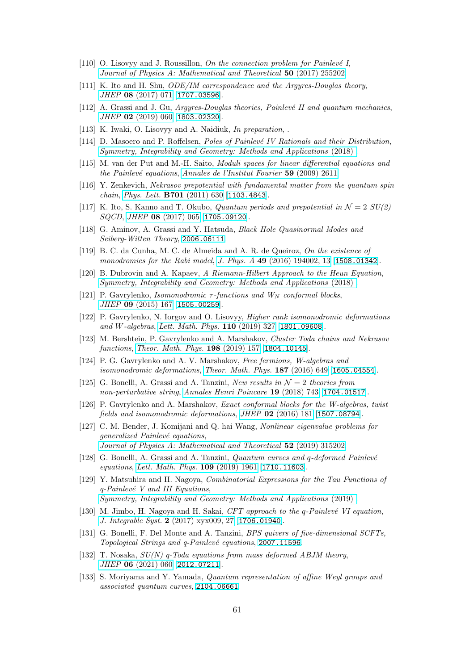- <span id="page-60-1"></span><span id="page-60-0"></span>[110] O. Lisovyy and J. Roussillon, On the connection problem for Painlevé I, [Journal of Physics A: Mathematical and Theoretical](https://doi.org/10.1088/1751-8121/aa6e12) 50 (2017) 255202.
- <span id="page-60-2"></span>[111] K. Ito and H. Shu, ODE/IM correspondence and the Argyres-Douglas theory, JHEP 08 [\(2017\) 071](https://doi.org/10.1007/JHEP08(2017)071) [[1707.03596](https://arxiv.org/abs/1707.03596)].
- [112] A. Grassi and J. Gu, Argyres-Douglas theories, Painlevé II and quantum mechanics, JHEP 02 [\(2019\) 060](https://doi.org/10.1007/JHEP02(2019)060) [[1803.02320](https://arxiv.org/abs/1803.02320)].
- <span id="page-60-4"></span><span id="page-60-3"></span>[113] K. Iwaki, O. Lisovyy and A. Naidiuk, In preparation, .
- <span id="page-60-5"></span>[114] D. Masoero and P. Roffelsen, *Poles of Painlevé IV Rationals and their Distribution*, [Symmetry, Integrability and Geometry: Methods and Applications](https://doi.org/10.3842/sigma.2018.002) (2018) .
- [115] M. van der Put and M.-H. Saito, Moduli spaces for linear differential equations and the Painlevé equations, [Annales de l'Institut Fourier](https://doi.org/10.5802/aif.2502)  $59$  (2009) 2611.
- <span id="page-60-7"></span><span id="page-60-6"></span>[116] Y. Zenkevich, Nekrasov prepotential with fundamental matter from the quantum spin chain, [Phys. Lett.](https://doi.org/10.1016/j.physletb.2011.06.030) B701 (2011) 630 [[1103.4843](https://arxiv.org/abs/1103.4843)].
- [117] K. Ito, S. Kanno and T. Okubo, *Quantum periods and prepotential in*  $\mathcal{N} = 2 \ SU(2)$ SQCD, JHEP 08 [\(2017\) 065](https://doi.org/10.1007/JHEP08(2017)065) [[1705.09120](https://arxiv.org/abs/1705.09120)].
- <span id="page-60-8"></span>[118] G. Aminov, A. Grassi and Y. Hatsuda, Black Hole Quasinormal Modes and Seiberg-Witten Theory, [2006.06111](https://arxiv.org/abs/2006.06111).
- <span id="page-60-9"></span>[119] B. C. da Cunha, M. C. de Almeida and A. R. de Queiroz, On the existence of monodromies for the Rabi model, J. Phys. A 49 [\(2016\) 194002, 13](https://doi.org/10.1088/1751-8113/49/19/194002) [[1508.01342](https://arxiv.org/abs/1508.01342)].
- <span id="page-60-10"></span>[120] B. Dubrovin and A. Kapaev, A Riemann-Hilbert Approach to the Heun Equation, [Symmetry, Integrability and Geometry: Methods and Applications](https://doi.org/10.3842/sigma.2018.093) (2018) .
- <span id="page-60-11"></span>[121] P. Gavrylenko, *Isomonodromic*  $\tau$ -functions and  $W_N$  conformal blocks, JHEP 09 [\(2015\) 167](https://doi.org/10.1007/JHEP09(2015)167) [[1505.00259](https://arxiv.org/abs/1505.00259)].
- <span id="page-60-12"></span>[122] P. Gavrylenko, N. Iorgov and O. Lisovyy, Higher rank isomonodromic deformations and W-algebras, [Lett. Math. Phys.](https://doi.org/10.1007/s11005-019-01207-6) 110 (2019) 327 [[1801.09608](https://arxiv.org/abs/1801.09608)].
- <span id="page-60-13"></span>[123] M. Bershtein, P. Gavrylenko and A. Marshakov, Cluster Toda chains and Nekrasov functions, [Theor. Math. Phys.](https://doi.org/10.1134/S0040577919020016)  $198$  (2019) 157 [[1804.10145](https://arxiv.org/abs/1804.10145)].
- <span id="page-60-14"></span>[124] P. G. Gavrylenko and A. V. Marshakov, Free fermions, W-algebras and isomonodromic deformations, [Theor. Math. Phys.](https://doi.org/10.1134/S0040577916050044)  $187$  (2016) 649 [[1605.04554](https://arxiv.org/abs/1605.04554)].
- <span id="page-60-15"></span>[125] G. Bonelli, A. Grassi and A. Tanzini, New results in  $\mathcal{N}=2$  theories from non-perturbative string, [Annales Henri Poincare](https://doi.org/10.1007/s00023-017-0643-5) 19 (2018) 743 [[1704.01517](https://arxiv.org/abs/1704.01517)].
- <span id="page-60-16"></span>[126] P. Gavrylenko and A. Marshakov, Exact conformal blocks for the W-algebras, twist fields and isomonodromic deformations, JHEP  $02$  [\(2016\) 181](https://doi.org/10.1007/JHEP02(2016)181) [[1507.08794](https://arxiv.org/abs/1507.08794)].
- <span id="page-60-17"></span>[127] C. M. Bender, J. Komijani and Q. hai Wang, Nonlinear eigenvalue problems for generalized Painlevé equations, [Journal of Physics A: Mathematical and Theoretical](https://doi.org/10.1088/1751-8121/ab2bcc) 52 (2019) 315202.
- <span id="page-60-18"></span>[128] G. Bonelli, A. Grassi and A. Tanzini, Quantum curves and q-deformed Painlevé equations, [Lett. Math. Phys.](https://doi.org/10.1007/s11005-019-01174-y) 109 (2019) 1961 [[1710.11603](https://arxiv.org/abs/1710.11603)].
- <span id="page-60-19"></span>[129] Y. Matsuhira and H. Nagoya, Combinatorial Expressions for the Tau Functions of  $q$ -Painlevé V and III Equations, [Symmetry, Integrability and Geometry: Methods and Applications](https://doi.org/10.3842/sigma.2019.074) (2019) .
- <span id="page-60-20"></span>[130] M. Jimbo, H. Nagoya and H. Sakai,  $CFT$  approach to the q-Painlevé VI equation, J. Integrable Syst. 2 [\(2017\) xyx009, 27](https://doi.org/10.1093/integr/xyx009) [[1706.01940](https://arxiv.org/abs/1706.01940)].
- <span id="page-60-21"></span>[131] G. Bonelli, F. Del Monte and A. Tanzini, BPS quivers of five-dimensional SCFTs, Topological Strings and q-Painlevé equations, [2007.11596](https://arxiv.org/abs/2007.11596).
- <span id="page-60-22"></span>[132] T. Nosaka,  $SU(N)$  q-Toda equations from mass deformed ABJM theory, JHEP 06 [\(2021\) 060](https://doi.org/10.1007/JHEP06(2021)060) [[2012.07211](https://arxiv.org/abs/2012.07211)].
- <span id="page-60-23"></span>[133] S. Moriyama and Y. Yamada, Quantum representation of affine Weyl groups and associated quantum curves, [2104.06661](https://arxiv.org/abs/2104.06661).